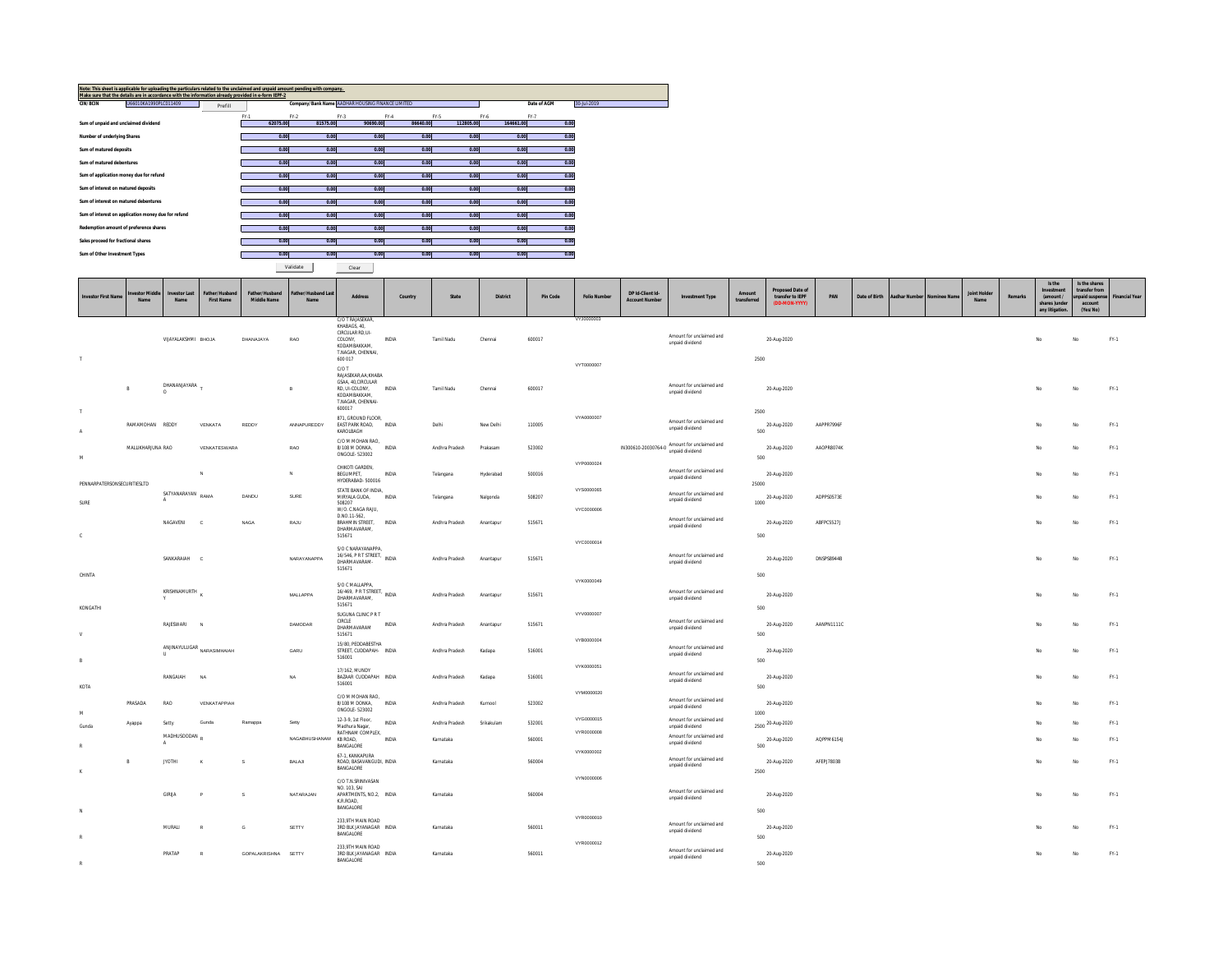|                                     | Note: This sheet is applicable for uploading the particulars related to the unclaimed and unpaid amount pending with company. |         |        |          |                                                  |          |          |           |             |             |
|-------------------------------------|-------------------------------------------------------------------------------------------------------------------------------|---------|--------|----------|--------------------------------------------------|----------|----------|-----------|-------------|-------------|
|                                     | Make sure that the details are in accordance with the information already provided in e-form IEPF-2                           |         |        |          |                                                  |          |          |           |             |             |
| <b>CIN/BCIN</b>                     | U66010KA1990PLC011409                                                                                                         |         |        |          | Company/Bank Name AADHAR HOUSING FINANCE LIMITED |          |          |           | Date of AGM | 30-Jul-2019 |
|                                     |                                                                                                                               | Prefill |        |          |                                                  |          |          |           |             |             |
|                                     |                                                                                                                               |         | $FY-1$ | $FY-2$   | $FY-3$                                           | $FY-4$   | $FY-5$   | FY-6      | $FY-7$      |             |
|                                     | Sum of unpaid and unclaimed dividend                                                                                          |         |        | 62075.00 | 81575.00                                         | 90690.00 | 86640.00 | 112805.00 | 164661.00   | 0.00        |
|                                     |                                                                                                                               |         |        |          |                                                  |          |          |           |             |             |
| Number of underlying Shares         |                                                                                                                               |         |        | 0.00     | 0.00                                             | 0.00     | 0.00     | 0.00      | 0.00        | 0.00        |
|                                     |                                                                                                                               |         |        |          |                                                  |          |          |           |             |             |
| Sum of matured deposits             |                                                                                                                               |         |        | 0.00     | 0.00                                             | 0.00     | 0.00     | 0.00      | 0.00        | 0.00        |
|                                     |                                                                                                                               |         |        |          |                                                  |          |          |           |             |             |
| Sum of matured debentures           |                                                                                                                               |         |        | 0.00     | 0.00                                             | 0.00     | 0.00     | 0.00      | 0.00        | 0.00        |
|                                     |                                                                                                                               |         |        |          |                                                  |          |          |           |             |             |
|                                     | Sum of application money due for refund                                                                                       |         |        | 0.00     | 0.00                                             | 0.00     | 0.00     | 0.00      | 0.00        | 0.00        |
|                                     |                                                                                                                               |         |        |          |                                                  |          |          |           |             |             |
| Sum of interest on matured deposits |                                                                                                                               |         |        | 0.00     | 0.00                                             | 0.00     | 0.00     | 0.00      | 0.00        | 0.00        |
|                                     |                                                                                                                               |         |        |          |                                                  |          |          |           |             |             |
|                                     | Sum of interest on matured debentures                                                                                         |         |        | 0.00     | 0.00                                             | 0.00     | 0.00     | 0.00      | 0.00        | 0.00        |
|                                     |                                                                                                                               |         |        |          |                                                  |          |          |           |             |             |
|                                     | Sum of interest on application money due for refund                                                                           |         |        | 0.00     | 0.00                                             | 0.00     | 0.00     | 0.00      | 0.00        | 0.00        |
|                                     |                                                                                                                               |         |        |          |                                                  |          |          |           |             |             |
|                                     | Redemption amount of preference shares                                                                                        |         |        | 0.00     | 0.00                                             | 0.00     | 0.00     | 0.00      | 0.00        | 0.00        |
|                                     |                                                                                                                               |         |        |          |                                                  |          |          |           |             |             |
| Sales proceed for fractional shares |                                                                                                                               |         |        | 0.00     | 0.00                                             | 0.00     | 0.00     | 0.00      | 0.00        | 0.00        |
|                                     |                                                                                                                               |         |        |          |                                                  |          |          |           |             |             |
| Sum of Other Investment Types       |                                                                                                                               |         |        | 0.00     | 0.00                                             | 0.00     | 0.00     | 0.00      | 0.00        | 0.00        |

Validate Clear

| <b>Investor First Name</b>  | westor Midd<br>Name | <b>Investor Last</b><br><b>Name</b> | Father/Hushand<br><b>First Name</b>                                                                            | <b>Father/Hushand</b><br>Middle Name | ather/Hushand Las<br>Name | <b>Address</b>                                                                                                          | Country        | State                       | <b>District</b> | Pin Code         | <b>Folio Number</b>      | DP Id-Client Id-<br><b>Account Number</b> | <b>Investment Type</b>                                                                     | Amount<br>transferred | <b>Proposed Date of</b><br>transfer to IEPF<br>(DD-MON-YYYY) | PAN               | Date of Birth | Aadhar Number Nominee Nam | <b>Joint Holde</b><br><b>Name</b> | Remarks | Is the<br>Investment<br>(amount /<br>shares )under<br>any litigation. | Is the shares<br>transfer from<br>unpaid suspen<br>account<br>(Yes/No) | <b>Financial Year</b> |
|-----------------------------|---------------------|-------------------------------------|----------------------------------------------------------------------------------------------------------------|--------------------------------------|---------------------------|-------------------------------------------------------------------------------------------------------------------------|----------------|-----------------------------|-----------------|------------------|--------------------------|-------------------------------------------|--------------------------------------------------------------------------------------------|-----------------------|--------------------------------------------------------------|-------------------|---------------|---------------------------|-----------------------------------|---------|-----------------------------------------------------------------------|------------------------------------------------------------------------|-----------------------|
| $\top$                      |                     | VIJAYALAKSHMI BHOJA                 |                                                                                                                | DHANAJAYA                            | RAO                       | C/O T RAJASEKAR,<br>KHABAGS, 40,<br>CIRCULAR RD,UI-<br>COLONY.<br>KODAMBAKKAM,<br>T.NAGAR, CHENNAI,<br>600 017<br>C/O T | <b>INDIA</b>   | Tamil Nadu                  | Chennai         | 600017           | VYJ0000003<br>VYT0000007 |                                           | Amount for unclaimed and<br>unpaid dividend                                                | 2500                  | 20-Aug-2020                                                  |                   |               |                           |                                   |         | No                                                                    | No                                                                     | $FY-1$                |
| $\top$                      | R                   | DHANANJAYARA -<br>O                 |                                                                                                                |                                      | $\mathbb{R}$              | RAJASEKAR, AA; KHABA<br>GSAA, 40, CIRCULAR<br>RD. UI-COLONY.<br>KODAMBAKKAM,<br>T.NAGAR, CHENNAI-<br>600017             | INDIA          | Tamil Nadu                  | Chennai         | 600017           |                          |                                           | Amount for unclaimed and<br>unpaid dividend                                                | 2500                  | 20-Aug-2020                                                  |                   |               |                           |                                   |         | No                                                                    | No                                                                     | $FY-1$                |
| A                           | RAMAMOHAN REDDY     |                                     | VENKATA                                                                                                        | REDDY                                | ANNAPUREDDY               | 871, GROUND FLOOR,<br>EAST PARK ROAD, INDIA<br>KAROLBAGH                                                                |                | Delhi                       | New Delhi       | 110005           | VYA0000007               |                                           | Amount for unclaimed and<br>unpaid dividend                                                | 500                   | 20-Aug-2020                                                  | AAPPR7996         |               |                           |                                   |         | No                                                                    | No                                                                     | $FY-1$                |
| ${\mathsf M}$               | MALLIKHARJUNA RAO   |                                     | VENKATESWARA                                                                                                   |                                      | RAO                       | C/O M MOHAN RAO,<br>8/108 M DONKA, INDIA<br>ONGOLE-523002                                                               |                | Andhra Pradesh              | Prakasam        | 523002           | VYP0000024               | IN300610-20030764-0                       | Amount for unclaimed and<br>unpaid dividend                                                | 500                   | 20-Aug-2020                                                  | AAOPR8074K        |               |                           |                                   |         | No                                                                    | No.                                                                    | $FY-1$                |
| PENNARPATERSONSECURITIESLTD |                     |                                     | N                                                                                                              |                                      | $\mathbb{N}$              | CHIKOTI GARDEN.<br>BEGUMPET,<br>HYDERABAD-500016                                                                        | <b>INDIA</b>   | Telangana                   | Hyderabad       | 500016           |                          |                                           | Amount for unclaimed and<br>unpaid dividend                                                | 25000                 | 20-Aug-2020                                                  |                   |               |                           |                                   |         | No                                                                    | No                                                                     | $FY-1$                |
| SURF                        |                     | SATYANARAYAN<br>A                   | RAMA                                                                                                           | DANDU                                | SURF                      | STATE BANK OF INDIA,<br>MIRYALA GUDA,<br>508207<br>W/O. C.NAGA RAJU,                                                    | INDIA          | Telangana                   | Nalgonda        | 508207           | VYS0000065<br>VYC0000006 |                                           | Amount for unclaimed and<br>unpaid dividend                                                | 1000                  | 20-Aug-2020                                                  | ADPPS0573E        |               |                           |                                   |         | No                                                                    | No                                                                     | $FY-1$                |
| $\mathbb{C}$                |                     | NAGAVENI                            | $\alpha$                                                                                                       | <b>NAGA</b>                          | RAJU                      | D.NO.11-562,<br>BRAHMIN STREET,<br>DHARMAVARAM,<br>515671                                                               | INDIA          | Andhra Pradesh              | Anantapur       | 515671           |                          |                                           | Amount for unclaimed and<br>unpaid dividend                                                | 500                   | 20-Aug-2020                                                  | ABFPC5527J        |               |                           |                                   |         | No                                                                    | No                                                                     | $FY-1$                |
|                             |                     | SANKARAIAH                          | c                                                                                                              |                                      | NARAYANAPPA               | S/O C NARAYANAPPA,<br>16/546, P R T STREET, INDIA<br>DHARMAVARAM-<br>515671                                             |                | Andhra Pradesh              | Anantapur       | 515671           | VYC0000014               |                                           | Amount for unclaimed and<br>unpaid dividend                                                |                       | 20-Aug-2020                                                  | <b>DNSPS8944B</b> |               |                           |                                   |         | No                                                                    | No                                                                     | $FY-1$                |
| CHINTA<br>KONGATHI          |                     | KRISHNAMURTH                        |                                                                                                                |                                      | MALLAPPA                  | S/O C MALLAPPA,<br>S/U L MYSLAN<br>16/469, P R T STREET, INDIA<br>DHARMAVARAM,<br>515671                                |                | Andhra Pradesh              | Anantapur       | 515671           | VYK0000049               |                                           | Amount for unclaimed and<br>unpaid dividend                                                | 500<br>500            | 20-Aug-2020                                                  |                   |               |                           |                                   |         | No                                                                    | No                                                                     | $FY-1$                |
| V                           |                     | RAJESWARI                           |                                                                                                                |                                      | DAMODAR                   | SUGUNA CLINIC PRT<br><b>CIRCLE</b><br>DHARMAVARAM<br>515671                                                             | <b>INDIA</b>   | Andhra Pradesh              | Anantapur       | 515671           | VYV0000007               |                                           | Amount for unclaimed and<br>unpaid dividend                                                | 500                   | 20-Aug-2020                                                  | AANPN1111C        |               |                           |                                   |         | No                                                                    | No                                                                     | $FY-1$                |
| B                           |                     | U.                                  | $\label{eq:anuniv} \begin{minipage}{0.9\linewidth} \textbf{ANINAYULUGAR} \textbf{NARASIMHAIAN} \end{minipage}$ |                                      | GARU                      | 15/80, PEDDABESTHA<br>STREET, CUDDAPAH- INDIA<br>516001                                                                 |                | Andhra Pradesh              | Kadapa          | 516001           | VYB0000004               |                                           | Amount for unclaimed and<br>unpaid dividend                                                | 500                   | 20-Aug-2020                                                  |                   |               |                           |                                   |         | No                                                                    | No                                                                     | $FY-1$                |
| KOTA                        |                     | RANGAIAH                            | <b>NA</b>                                                                                                      |                                      | <b>NA</b>                 | 17/162, MUNDY<br>BAZAAR CUDDAPAH INDIA<br>516001                                                                        |                | Andhra Pradesh              | Kadapa          | 516001           | VYK0000051               |                                           | Amount for unclaimed and<br>unpaid dividend                                                | 500                   | 20-Aug-2020                                                  |                   |               |                           |                                   |         | No                                                                    | No                                                                     | $FY-1$                |
| M                           | PRASADA             | RAO                                 | VENKATAPPIAH                                                                                                   |                                      |                           | C/O M MOHAN RAO,<br>8/108 M DONKA,<br>ONGOLE-523002                                                                     | INDIA          | Andhra Pradesh              | Kurnool         | 523002           | VYM0000020               |                                           | Amount for unclaimed and<br>unpaid dividend                                                | 1000                  | 20-Aug-2020                                                  |                   |               |                           |                                   |         | No                                                                    | No                                                                     | $FY-1$                |
| Gunda<br>$\mathbf{D}$       | Ayappa              | Setty<br>MADHUSOODAN<br>A           | Gunda                                                                                                          | Ramappa                              | Setty<br>NAGABHUSHANAM    | 12-3-9, 1st Floor,<br>Madhura Nagar,<br>RATHNAM COMPLEX,<br>KB ROAD,                                                    | INDIA<br>INDIA | Andhra Pradesh<br>Karnataka | Srikakulam      | 532001<br>560001 | VYG0000015<br>VYR0000008 |                                           | Amount for unclaimed and<br>unpaid dividend<br>Amount for unclaimed and<br>unpaid dividend |                       | 2500 20-Aug-2020<br>20-Aug-2020                              | AQPPM6154J        |               |                           |                                   |         | No<br>No                                                              | No<br>No                                                               | $FY-1$<br>$FY-1$      |
|                             | R                   | JYOTHI                              | K                                                                                                              | s                                    | BALAJI                    | BANGALORE<br>67-1. KANKAPURA<br>ROAD, BASAVANGUDI, INDIA<br><b>BANGALORE</b>                                            |                | Karnataka                   |                 | 560004           | VYK0000002               |                                           | Amount for unclaimed and<br>unpaid dividend                                                | 500                   | 20-Aug-2020                                                  | AFEPJ7803B        |               |                           |                                   |         | No                                                                    | No                                                                     | $FY-1$                |
| K                           |                     | <b>GIRIJA</b>                       |                                                                                                                | s                                    | NATARAJAN                 | C/O T.N.SRINIVASAN<br>NO. 103, SAI<br>APARTMENTS, NO.2, INDIA<br>K.R.ROAD,<br>BANGALORE                                 |                | Karnataka                   |                 | 560004           | VYN0000006               |                                           | Amount for unclaimed and<br>unpaid dividend                                                | 2500                  | 20-Aug-2020                                                  |                   |               |                           |                                   |         | No                                                                    | No                                                                     | $FY-1$                |
| N<br>R                      |                     | MURALI                              |                                                                                                                | G                                    | SETTY                     | 233,9TH MAIN ROAD<br>3RD BLK JAYANAGAR INDIA<br>BANGALORE                                                               |                | Karnataka                   |                 | 560011           | VYR0000010               |                                           | Amount for unclaimed and<br>unpaid dividend                                                | 500<br>500            | 20-Aug-2020                                                  |                   |               |                           |                                   |         |                                                                       | No                                                                     | $FY-1$                |
| R                           |                     | PRATAP                              |                                                                                                                | GOPALAKRISHNA SETTY                  |                           | 233,9TH MAIN ROAD<br>3RD BLK JAYANAGAR INDIA<br>BANGALORE                                                               |                | Karnataka                   |                 | 560011           | VYR0000012               |                                           | Amount for unclaimed and<br>unpaid dividend                                                | 500                   | 20-Aug-2020                                                  |                   |               |                           |                                   |         | No                                                                    | No                                                                     | $FY-1$                |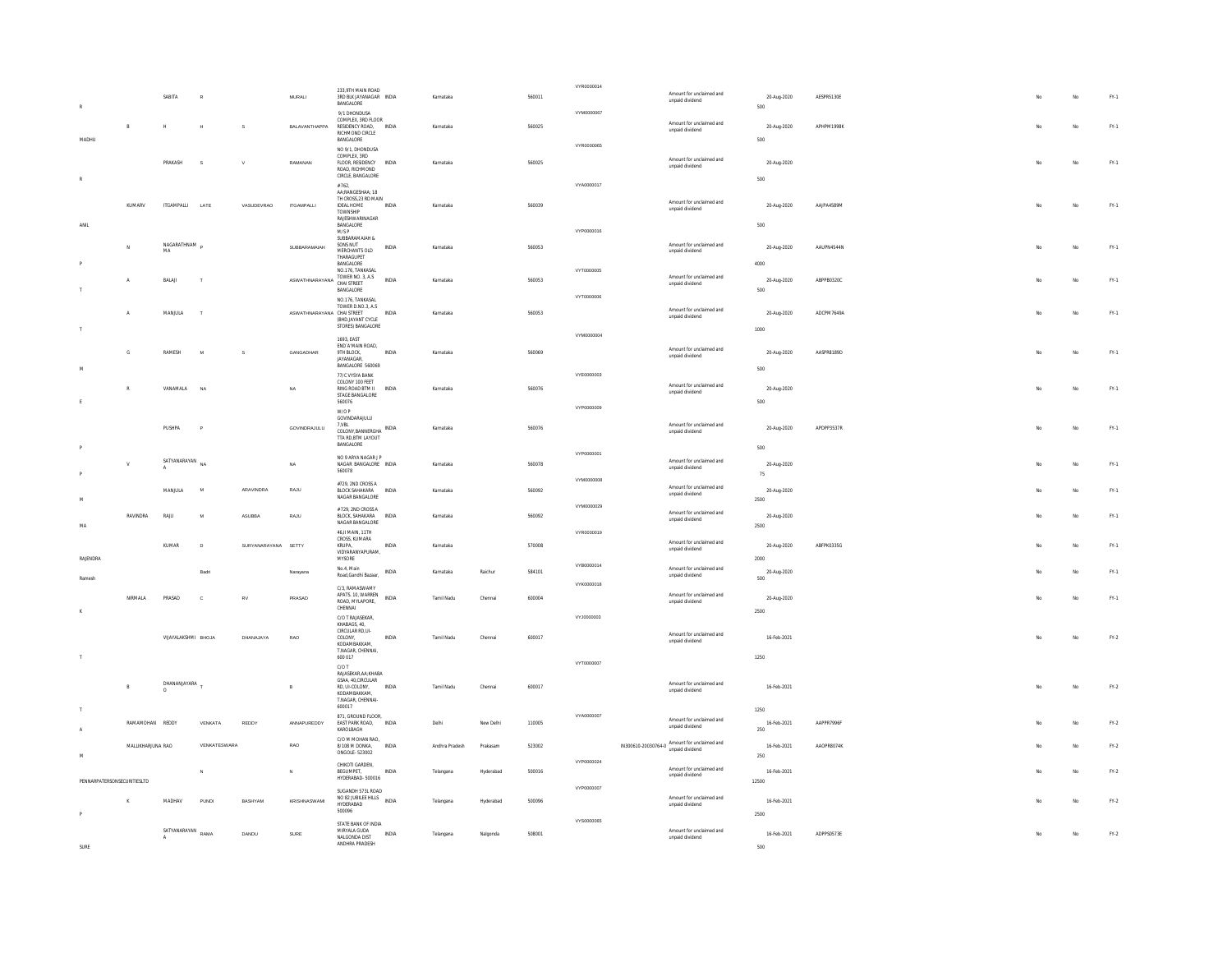|                             |                   |                                |                |                     |                                 | 233,9TH MAIN ROAD                                                                                |              |                |           |        | VYR0000014 |                                              |                      |            |    |     |        |
|-----------------------------|-------------------|--------------------------------|----------------|---------------------|---------------------------------|--------------------------------------------------------------------------------------------------|--------------|----------------|-----------|--------|------------|----------------------------------------------|----------------------|------------|----|-----|--------|
|                             |                   | SABITA                         |                |                     | MURALI                          | 3RD BLK JAYANAGAR INDIA<br>BANGALORE                                                             |              | Karnataka      |           | 560011 |            | Amount for unclaimed and<br>unpaid dividend  | 20-Aug-2020<br>500   | AESPR5130E |    |     | FY.1   |
|                             | $\mathbb{R}$      | $\mathbb{H}$                   |                | s                   | BALAVANTHAPPA                   | 9/1 DHONDUSA<br>COMPLEX, 3RD FLOOR<br>RESIDENCY ROAD,<br>RICHMOND CIRCLE                         | INDIA        | Karnataka      |           | 560025 | VYM0000067 | Amount for unclaimed and<br>unpaid dividend  | 20-Aug-2020          | APHPM1998K |    | No. | FY.1   |
| MADHU                       |                   |                                |                |                     |                                 | BANGALORE<br>NO 9/1, DHONDUSA                                                                    |              |                |           |        | VYR0000065 |                                              | 500                  |            |    |     |        |
|                             |                   | PRAKASH                        | s              |                     | RAMANAN                         | COMPLEX, 3RD<br>FLOOR, RESIDENCY<br>ROAD, RICHMOND<br>CIRCLE, BANGALORE                          | INDIA        | Karnataka      |           | 560025 |            | Amount for unclaimed and<br>unpaid dividend  | 20-Aug-2020          |            |    | No  | FY.1   |
|                             |                   |                                |                |                     |                                 | #762,<br>AA-RANGESHAA-18                                                                         |              |                |           |        | VYA0000017 |                                              | 500                  |            |    |     |        |
|                             | KUMARV            | <b>ITGAMPALLE</b>              | LATE           | VASUDEVRAO          | <b>ITGAMPALLI</b>               | TH CROSS, 23 RD MAIN<br><b>IDEAL HOME</b><br>TOWNSHIP<br>RAJESHWARINAGAR                         | INDIA        | Karnataka      |           | 560039 |            | Amount for unclaimed and<br>unpaid dividend  | 20-Aug-2020          | AAIPA4589M |    | No  | $FN-1$ |
| ANIL                        |                   |                                |                |                     |                                 | BANGALORE<br>M/SP<br>SUBBARAMAIAH &                                                              |              |                |           |        | VYP0000016 |                                              | 500                  |            |    |     |        |
|                             |                   | NAGARATHNAM<br>MA              |                |                     | SUBBARAMAIAH                    | SONS NUT<br>MERCHANTS OLD<br>THARAGUPET<br><b>BANGALORE</b>                                      | INDIA        | Karnataka      |           | 560053 |            | Amount for unclaimed and<br>unpaid dividend  | 20-Aug-2020<br>4000  | AAUPN4544N |    | No  | $FY-1$ |
|                             |                   | $\ensuremath{\mathsf{BALAll}}$ | $\mathbf{I}$   |                     | ASWATHNARAYANA TOWER NO. 3, A.S | NO.176, TANKASAL                                                                                 | <b>INDIA</b> | Karnataka      |           | 560053 | VYT0000005 | Amount for unclaimed and                     | 20-Aug-2020          | ABPPB0320C |    | No  | $FY-1$ |
|                             |                   |                                |                |                     |                                 | BANGALORE                                                                                        |              |                |           |        | VYT0000006 | unpaid dividend                              | 500                  |            |    |     |        |
|                             | $\overline{A}$    | MANJULA                        | $\mathbf{r}$   |                     | ASWATHNARAYANA CHAI STREET      | NO.176, TANKASAL<br>TOWER D.NO.3, A.S.<br>(BHD.JAYANT CYCLE)                                     | <b>INDIA</b> | Karnataka      |           | 560053 |            | Amount for unclaimed and<br>unpaid dividend  | 20-Aug-2020          | ADCPM7649A |    | No  | FY.1   |
|                             |                   |                                |                |                     |                                 | STORES) BANGALORE<br>1693, EAST                                                                  |              |                |           |        | VYM0000004 |                                              | 1000                 |            |    |     |        |
|                             | $\mathbb{G}$      | RAMESH                         |                |                     | GANGADHAR                       | END' A'MAIN ROAD.<br>9TH BLOCK.<br>JAYANAGAR<br>BANGALORE 560069                                 | <b>INDIA</b> | Karnataka      |           | 560069 |            | Amount for unclaimed and<br>unpaid dividend  | 20-Aug-2020          | AASPR8189D |    | No  | $FN-1$ |
|                             |                   |                                |                |                     |                                 | 77/C VYSYA BANK<br>COLONY 100 FEET                                                               |              |                |           |        | VYE0000003 | Amount for unclaimed and                     | 500                  |            |    |     |        |
|                             |                   | VANAMALA                       | NA             |                     | NA                              | RING ROAD BTM II<br>STAGE BANGALORE<br>560076                                                    | INDIA        | Karnataka      |           | 560076 |            | unpaid dividend                              | 20-Aug-2020<br>500   |            |    | No  | FY.1   |
|                             |                   |                                |                |                     |                                 | W/O P<br>GOVINDARAJULU                                                                           |              |                |           |        | VYP0000009 |                                              |                      |            |    |     |        |
|                             |                   | PIISHPA                        | $\overline{a}$ |                     | GOVINDRAJULU                    | 7.VBL<br>COLONY,BANNERGHA INDIA<br>TTA RD.BTM LAYOUT<br>BANGALORE                                |              | Karnataka      |           | 560076 |            | Amount for unclaimed and<br>unpaid dividend  | 20-Aug-2020<br>500   | APDPP3537R |    | No  | $FY-1$ |
|                             |                   | SATYANARAYAN NA                |                |                     | <b>NA</b>                       | NO 9 ARYA NAGAR J P<br>NAGAR BANGALORE INDIA                                                     |              | Karnataka      |           | 560078 | VYP0000001 | Amount for unclaimed and                     | 20-Aug-2020          |            |    | No  | $FY-1$ |
|                             |                   |                                |                |                     |                                 | 560078<br>#729.2ND CROSS A                                                                       |              |                |           |        | VYM0000008 | unpaid dividend<br>Amount for unclaimed and  | 75                   |            |    |     |        |
| <b>M</b>                    |                   | MANJULA                        | $\overline{N}$ | ARAVINDRA           | RAJU                            | BLOCK SAHAKARA<br>NAGAR BANGALORE                                                                | INDIA        | Karnataka      |           | 560092 | VYM0000029 | unpaid dividend                              | 20-Aug-2020<br>2500  |            |    | No  | FY.1   |
| MA                          | RAVINDRA          | RAIU                           | N              | ASUBBA              | RAJU                            | # 729. 2ND CROSS A<br>BLOCK, SAHAKARA<br>NAGAR BANGALORE                                         | INDIA        | Karnataka      |           | 560092 |            | Amount for unclaimed and<br>unpaid dividend  | 20-Aug-2020<br>2500  |            |    | No  | FY.1   |
|                             |                   | KUMAR                          | $\mathbf{D}$   | SURYANARAYANA SETTY |                                 | 46    MAIN 11TH<br>CROSS, KUMARA<br>KRUPA,                                                       | INDIA        | Karnataka      |           | 570008 | VYR0000019 | Amount for unclaimed and                     | 20-Aug-2020          | ABFPK0335G |    | No  | FY.1   |
| RAJENDRA                    |                   |                                |                |                     |                                 | VIDYARANYAPURAM,<br>MYSORE                                                                       |              |                |           |        | VYB0000014 | unpaid dividend                              | 2000                 |            |    |     |        |
| Ramesh                      |                   |                                | Badri          |                     | Narayana                        | No.4, Main<br>Road, Gandhi Bazaar,                                                               | INDIA        | Karnataka      | Raichur   | 584101 |            | Amount for unclaimed and<br>unpaid dividend  | 20-Aug-2020<br>500   |            |    | No  | FY.1   |
|                             | NIRMALA           | PRASAD                         | $\mathbf{c}$   | <b>RV</b>           | PRASAD                          | C/3 RAMASWAMY<br>APATS. 10, WARREN<br>ROAD MYLAPORE<br>CHENNAL                                   | <b>INDIA</b> | Tamil Nadu     | Chennai   | 600004 | VYK0000018 | Amount for unclaimed and<br>unpaid dividend  | 20-Aug-2020          |            |    | No  | $FN-1$ |
|                             |                   |                                |                |                     |                                 | C/O T RAJASEKAR,<br>KHARAGS 40                                                                   |              |                |           |        | VYJ0000003 |                                              | 2500                 |            |    |     |        |
|                             |                   | VIJAYALAKSHMI BHOJA            |                | DHANA JAYA          | RAO                             | CIRCULAR RD,UI-<br>COLONY<br>KODAMBAKKAM,<br>T.NAGAR, CHENNAI,                                   | <b>INDIA</b> | Tamil Nadu     | Chennai   | 600017 |            | Amount for unclaimed and<br>unpaid dividend  | 16-Feb-2021          |            |    | No  | FY.2   |
|                             |                   |                                |                |                     |                                 | 600 017<br>C/O T                                                                                 |              |                |           |        | VYT0000007 |                                              | 1250                 |            |    |     |        |
|                             |                   | DHANANJAYARA                   |                |                     | $\overline{B}$                  | RAJASEKAR, AA; KHABA<br>GSAA, 40, CIRCULAR<br>RD, UI-COLONY,<br>KODAMRAKKAM<br>T.NAGAR, CHENNAI- | INDIA        | Tamil Nadu     | Chenna    | 600017 |            | Amount for unclaimed and<br>unpaid dividend  | 16-Feb-2021          |            | No | No  | $FN-2$ |
|                             |                   |                                |                |                     |                                 | 600017<br>871, GROUND FLOOR.                                                                     |              |                |           |        | VYA0000007 | Amount for unclaimed and                     | 1250                 |            |    |     |        |
| $\overline{A}$              | RAMAMOHAN REDDY   |                                | VENKATA        | REDDY               | ANNAPUREDDY                     | EAST PARK ROAD,<br>KAROLBAGH<br>C/O M MOHAN RAO.                                                 | INDIA        | Delhi          | New Delhi | 110005 |            | unpaid dividend                              | 16-Feb-2021<br>250   | AAPPR7996F |    | No  | $FY-2$ |
| <b>M</b>                    | MALLIKHARJUNA RAO |                                | VENKATESWARA   |                     | RAO                             | 8/108 M DONKA,<br>ONGOLE-523002<br>CHIKOTI GARDEN.                                               | INDIA        | Andhra Pradesh | Prakasan  | 523002 | VYP0000024 | IN300610-20030764-0 Amount for unclaimed and | 16-Feb-2021<br>250   | AAOPR8074K |    | No  | FY.2   |
| PENNARPATERSONSECURITIESLTD |                   |                                | N              |                     |                                 | BEGUMPET,<br>HYDERABAD-500016                                                                    | INDIA        | Telangana      | Hyderabad | 500016 | VYP0000007 | Amount for unclaimed and<br>unpaid dividend  | 16-Feb-2021<br>12500 |            |    | No  | $FN-2$ |
|                             |                   | MADHAV                         | <b>PUNDI</b>   | BASHYAM             | KRISHNASWAMI                    | SUGANDH 573L ROAD<br>NO 82 JUBILEE HILLS<br>NO 82 JUBILEE HILLS<br>NDIA<br>HYDERABAD<br>500096   |              | Telangana      | Hyderabad | 500096 |            | Amount for unclaimed and<br>unpaid dividend  | 16-Feb-2021<br>2500  |            |    | No  | $FY-2$ |
|                             |                   | SATYANARAYAN RAMA              |                | DANDU               | SURE                            | STATE BANK OF INDIA<br>MIRYALA GUDA<br>NALGONDA DIST                                             | <b>INDIA</b> | Telangana      | Nalgonda  | 508001 | VYS0000065 | Amount for unclaimed and<br>unpaid dividend  | 16-Feb-2021          | ADPPS0573F |    | No  | $FY.2$ |
|                             |                   |                                |                |                     |                                 | ANDHRA PRADESH                                                                                   |              |                |           |        |            |                                              | 500                  |            |    |     |        |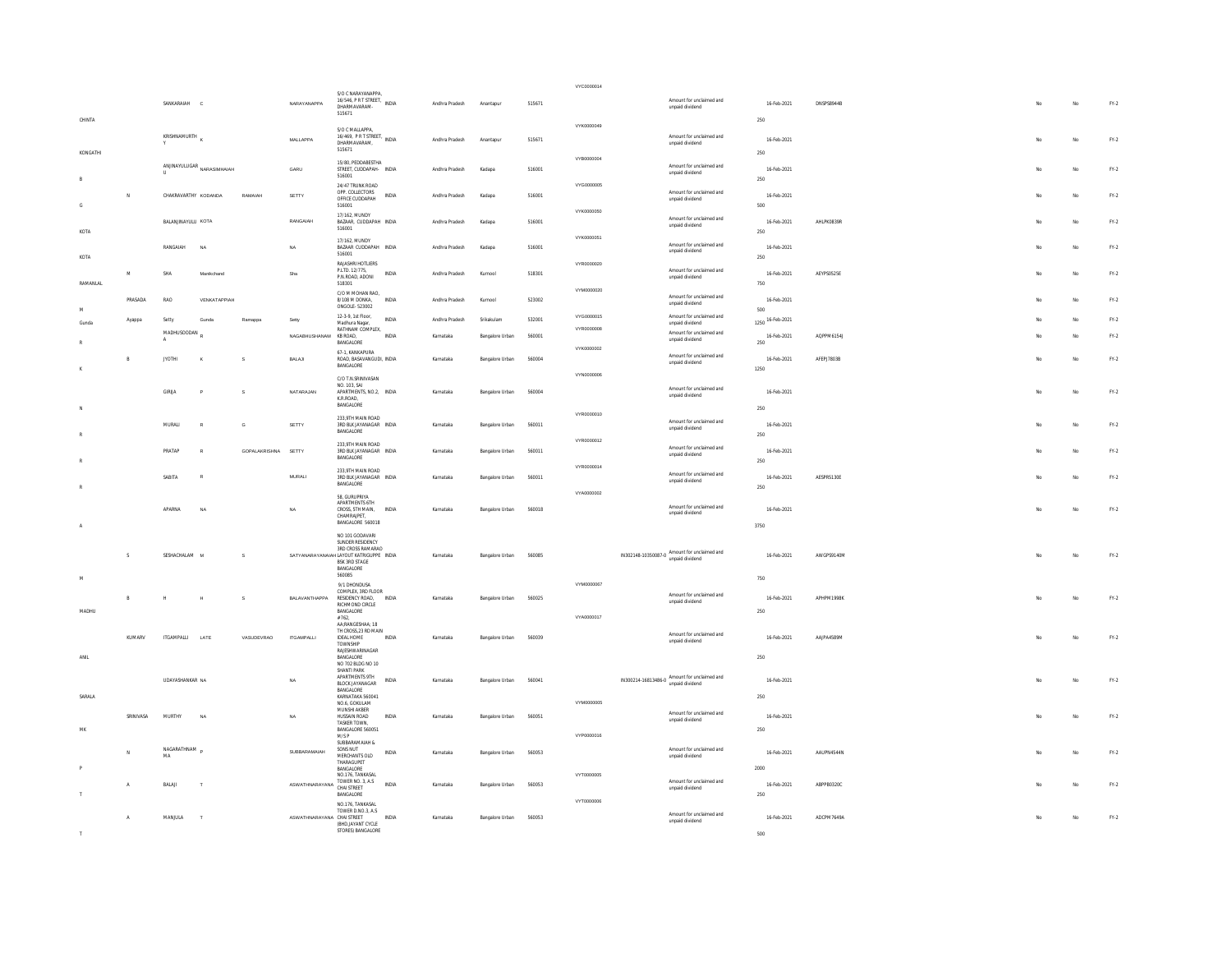|                    |                |                            |                                                              |                     |                            |                                                                                                      |              |                        |                                    |                  | VYC0000014               |                                                                 |                                                      |                                   |                          |  |     |          |                  |
|--------------------|----------------|----------------------------|--------------------------------------------------------------|---------------------|----------------------------|------------------------------------------------------------------------------------------------------|--------------|------------------------|------------------------------------|------------------|--------------------------|-----------------------------------------------------------------|------------------------------------------------------|-----------------------------------|--------------------------|--|-----|----------|------------------|
|                    |                | SANKARAIAH                 | $\mathbf{c}$                                                 |                     | NARAYANAPPA                | S/O C NARAYANAPPA<br>16/546, P R T STREET.<br>DHARMAVARAM-<br>515671                                 | INDIA        | Andhra Pradesh         | Anantapur                          | 515671           |                          | unpaid dividend                                                 | Amount for unclaimed and                             | 16-Feb-2021                       | <b>DNSPS8944B</b>        |  | No  | No       | $FN-2$           |
| CHINTA             |                | KRISHNAMURTH               |                                                              |                     | MALLAPPA                   | S/O C MALLAPPA,<br>S/O U MIRAMO<br>16/469, P R T STREET, INDIA<br>DHARMAVARAM,                       |              | Andhra Pradesh         | Anantapur                          | 515671           | VYK0000049               | unpaid dividend                                                 | Amount for unclaimed and                             | 250<br>16-Feb-2021                |                          |  |     | No       | $FN-2$           |
| KONGATHI           |                |                            | ${\small \textbf{ANINAVULUGAR} \atop \textbf{NARASIMHAIAH}}$ |                     | GARU                       | 515671<br>15/80, PEDDABESTHA<br>STREET, CUDDAPAH- INDIA                                              |              | Andhra Pradesh         | Kadapa                             | 516001           | VYR0000004               |                                                                 | Amount for unclaimed and                             | 250<br>16-Feb-2021                |                          |  | No  | No       | $FN-2$           |
| R                  | $\overline{N}$ | CHAKRAVARTHY KODANDA       |                                                              | RAMAJAH             | SETTY                      | 516001<br>24/47 TRUNK ROAD<br>OPP. COLLECTORS<br>OFFICE CUDDAPAH                                     | INDIA        | Andhra Pradesh         | Kadapa                             | 516001           | VYG0000005               | unpaid dividend<br>unpaid dividend                              | Amount for unclaimed and                             | 250<br>16-Feb-2021                |                          |  |     | No       | FY.2             |
| G                  |                | <b>BALAN INAYELLE KOTA</b> |                                                              |                     | RANGAIAH                   | 516001<br>17/162, MUNDY<br>BAZAAR, CUDDAPAH INDIA                                                    |              | Andhra Pradesh         | Kadana                             | 516001           | VYK0000050               | unpaid dividend                                                 | Amount for unclaimed and                             | 500<br>16-Feb-2021                | AHLPKOR39R               |  | No  | No       | $FY-2$           |
| KOTA               |                | RANGAIAH                   | NA                                                           |                     | NA                         | 516001<br>17/162. MUNDY<br>BAZAAR CUDDAPAH INDIA<br>516001                                           |              | Andhra Pradesh         | Kadapa                             | 516001           | VYK0000051               | unpaid dividend                                                 | Amount for unclaimed and                             | 250<br>16-Feb-2021                |                          |  |     | No       | $FN-2$           |
| KOTA               | M              | SHA                        | Manikchand                                                   |                     | Sha                        | RAJASHRI HOTLIERS<br>P.LTD. 12/775,<br>P.N.ROAD, ADONI                                               | INDIA        | Andhra Pradesh         | Kurnool                            | 518301           | VYR0000020               | unpaid dividend                                                 | Amount for unclaimed and                             | 250<br>16-Feb-2021                | AEYPS0525E               |  | No  | No       | $FY-2$           |
| RAMANLAL           | PRASADA        | RAO                        | VENKATAPPIAH                                                 |                     |                            | 518301<br>C/O M MOHAN RAO,<br>8/108 M DONKA,<br>ONGOLE - 523002                                      | <b>INDIA</b> | Andhra Pradesh         | Kurnool                            | 523002           | VYM0000020               | unpaid dividend                                                 | Amount for unclaimed and                             | 750<br>16-Feb-2021                |                          |  | Mo  | No       | FY.2             |
| ${\sf M}$<br>Gunda | Ayappa         | Setty<br>MADHUSOODAN       | Gunda                                                        | Ramappa             | Setty<br>NAGABHUSHANAM     | 12-3-9, 1st Floor.<br>Madhura Nagar,<br>RATHNAM COMPLEX.                                             | <b>INDIA</b> | Andhra Pradesh         | Srikakulam                         | 532001           | VYG0000015<br>VYR0000008 | unpaid dividend                                                 | Amount for unclaimed and<br>Amount for unclaimed and | 500<br>1250 16-Feb-2021           |                          |  |     | No<br>No | $FN-2$           |
|                    | В              | JYOTHI                     |                                                              | s                   | BALAJI                     | KB ROAD,<br>BANGALORE<br>67-1 KANKAPURA<br>ROAD, BASAVANGUDI, INDIA                                  | INDIA        | Karnataka<br>Karnataka | Bangalore Urban<br>Bangalore Urban | 560001<br>560004 | VYK0000002               | unpaid dividend<br>unpaid dividend                              | Amount for unclaimed and                             | 16-Feb-2021<br>250<br>16-Feb-2021 | AQPPM6154J<br>AFEPJ7803B |  | No  | No       | $FN-2$<br>$FN-2$ |
|                    |                |                            |                                                              |                     |                            | <b>BANGALORE</b><br>C/O T.N.SRINIVASAN<br>NO. 103. SAI                                               |              |                        |                                    |                  | VYN0000006               |                                                                 | Amount for unclaimed and                             | 1250                              |                          |  |     |          |                  |
|                    |                | <b>GIRIJA</b>              |                                                              | s                   | NATARAJAN                  | APARTMENTS, NO.2, INDIA<br>K.R.ROAD.<br>BANGALORE                                                    |              | Karnataka              | Bangalore Urban                    | 560004           | VYR0000010               | unpaid dividend                                                 |                                                      | 16-Feb-2021<br>250                |                          |  | No  | No       | $FN-2$           |
|                    |                | MURALI                     |                                                              | $\mathbf{G}$        | SETTY                      | 233 9TH MAIN ROAD<br>3RD BLK JAYANAGAR INDIA<br>BANGALORE                                            |              | Karnataka              | Bangalore Urban                    | 560011           | VYR0000012               | unpaid dividend                                                 | Amount for unclaimed and                             | 16-Feb-2021<br>250                |                          |  | No  | No       | FY.2             |
|                    |                | PRATAP                     |                                                              | GOPALAKRISHNA SETTY |                            | 233,9TH MAIN ROAD<br>3RD BLK JAYANAGAR INDIA<br>BANGALORE<br>233.9TH MAIN ROAD                       |              | Karnataka              | Bangalore Urban                    | 560011           | VYR0000014               | unpaid dividend                                                 | Amount for unclaimed and                             | 16-Feb-2021<br>250                |                          |  | No. | No       | $FY-2$           |
|                    |                | SABIT/                     |                                                              |                     | MURALI                     | 3RD BLK JAYANAGAR INDIA<br><b>RANGALORE</b><br>58. GURUPRIYA                                         |              | Karnataka              | Bangalore Urban                    | 560011           | VYA0000002               | unpaid dividend                                                 | Amount for unclaimed and                             | 16-Feb-2021<br>250                | AESPR5130E               |  |     | No       | $FN-2$           |
|                    |                | APARNA                     | NA                                                           |                     | NA                         | APARTMENTS 6TH<br>CROSS, 5TH MAIN,<br>CHAMRAIPET<br>BANGALORE 560018                                 | INDIA        | Karnataka              | Bangalore Urban                    | 560018           |                          | unpaid dividend                                                 | Amount for unclaimed and                             | 16-Feb-2021<br>3750               |                          |  | No  | No       | $FN-2$           |
|                    | $\mathsf{s}$   | SESHACHALAM M              |                                                              | s                   |                            | NO 101 GODAVARI<br>SUNDER RESIDENCY<br>3RD CROSS RAMARAO<br>SATYANARAYANAJAH LAYOUT KATRIGUPPE INDIA |              | Karnataka              | Bangalore Urban                    | 560085           |                          | IN302148-10350087-0 Amount for unclaimed and                    |                                                      | 16-Feb-2021                       | AWGPS9140M               |  | No  | No       | FY.2             |
|                    |                |                            |                                                              |                     |                            | BSK 3RD STAGE<br>BANGALORE<br>560085<br>9/1 DHONDUSA                                                 |              |                        |                                    |                  | VYM0000067               |                                                                 |                                                      | 750                               |                          |  |     |          |                  |
| MADHU              | B              |                            |                                                              |                     | BALAVANTHAPPA              | COMPLEX 3RD FLOOR<br>RESIDENCY ROAD,<br>RICHMOND CIRCLE<br>BANGALORE                                 | <b>INDIA</b> | Karnataka              | Bangalore Urban                    | 560025           |                          | unpaid dividend                                                 | Amount for unclaimed and                             | 16-Feb-2021<br>250                | APHPM1998K               |  |     | No       | $FN-2$           |
|                    | KUMARV         | <b>ITGAMPALLI</b>          | LATE                                                         | VASUDEVRAO          | <b>ITGAMPALLI</b>          | #762,<br>AA-RANGESHAA: 18<br>TH CROSS, 23 RD MAIN<br><b>IDEAL HOME</b>                               | <b>INDIA</b> | Karnataka              | Bangalore Urban                    | 560039           | VYA0000017               |                                                                 | Amount for unclaimed and                             | 16-Feb-2021                       | AAJPA4589M               |  | No  | No       | $FN-2$           |
| ANII               |                |                            |                                                              |                     |                            | TOWNSHIP<br>RAJESHWARINAGAR<br><b>BANGALORE</b><br>NO 702 BLDG NO 10                                 |              |                        |                                    |                  |                          | unpaid dividend                                                 |                                                      | 250                               |                          |  |     |          |                  |
|                    |                | <b>LIDAYASHANKAR NA</b>    |                                                              |                     | NA                         | SHANTI PARK<br>APARTMENTS 9TH<br>BLOCK JAYANAGAR<br><b>BANGALORE</b>                                 | INDIA        | Karnataka              | Bangalore Urban                    | 560041           |                          | IN300214-16813486-0 Amount for unclaimed and<br>unpaid dividend |                                                      | 16-Feb-2021                       |                          |  | No  | No       | FY.2             |
| SARALA             | SRINIVASA      | MURTHY                     | NA                                                           |                     | NA                         | KARNATAKA 560041<br>NO.6. GOKULAM<br>MUNSHI AKBER<br>HUSSAIN ROAD                                    | INDIA        | Karnataka              | Bangalore Urban                    | 560051           | VYM0000005               | unpaid dividend                                                 | Amount for unclaimed and                             | 250<br>16-Feb-2021                |                          |  | No  | No       | $FN-2$           |
|                    |                |                            |                                                              |                     |                            | <b>TASKER TOWN</b><br>BANGALORE 560051<br>M/SP<br>SUBBARAMAIAH &                                     |              |                        |                                    |                  | VYP0000016               |                                                                 |                                                      | 250                               |                          |  |     |          |                  |
|                    | N.             | NAGARATHNAM<br>MA          |                                                              |                     | SUBBARAMAIAH               | SONS NUT<br>MERCHANTS OLD<br>THARAGUPET<br>BANGALORE<br>NO.176, TANKASAL                             | <b>INDIA</b> | Karnataka              | Bangalore Urban                    | 560053           | VYT0000005               | unpaid dividend                                                 | Amount for unclaimed and                             | 16-Feb-2021<br>2000               | AAUPN4544N               |  | No. | No       | FY.2             |
|                    | $\mathsf{A}$   | BALAI                      |                                                              |                     | ASWATHNARAYANA [UWEN WO. J | TOWER NO. 3, A.S.<br>BANGALORE                                                                       | <b>INDIA</b> | Karnataka              | Bangalore Urban                    | 560053           | VYT0000006               | unpaid dividend                                                 | Amount for unclaimed and                             | 16-Feb-2021<br>250                | ABPPB0320C               |  |     | No       | $FY-2$           |
|                    | $\mathsf{A}$   | MANJULA                    | T                                                            |                     | ASWATHNARAYANA CHAI STREET | NO.176, TANKASAL<br>TOWER D.NO.3, A.S.<br>(BHD.JAYANT CYCLE<br>STORES) BANGALORE                     | INDIA        | Karnataka              | Bangalore Urban                    | 560053           |                          | unpaid dividend                                                 | Amount for unclaimed and                             | 16-Feb-2021                       | ADCPM7649A               |  | No  | No       | $FY-2$           |
|                    |                |                            |                                                              |                     |                            |                                                                                                      |              |                        |                                    |                  |                          |                                                                 |                                                      | 500                               |                          |  |     |          |                  |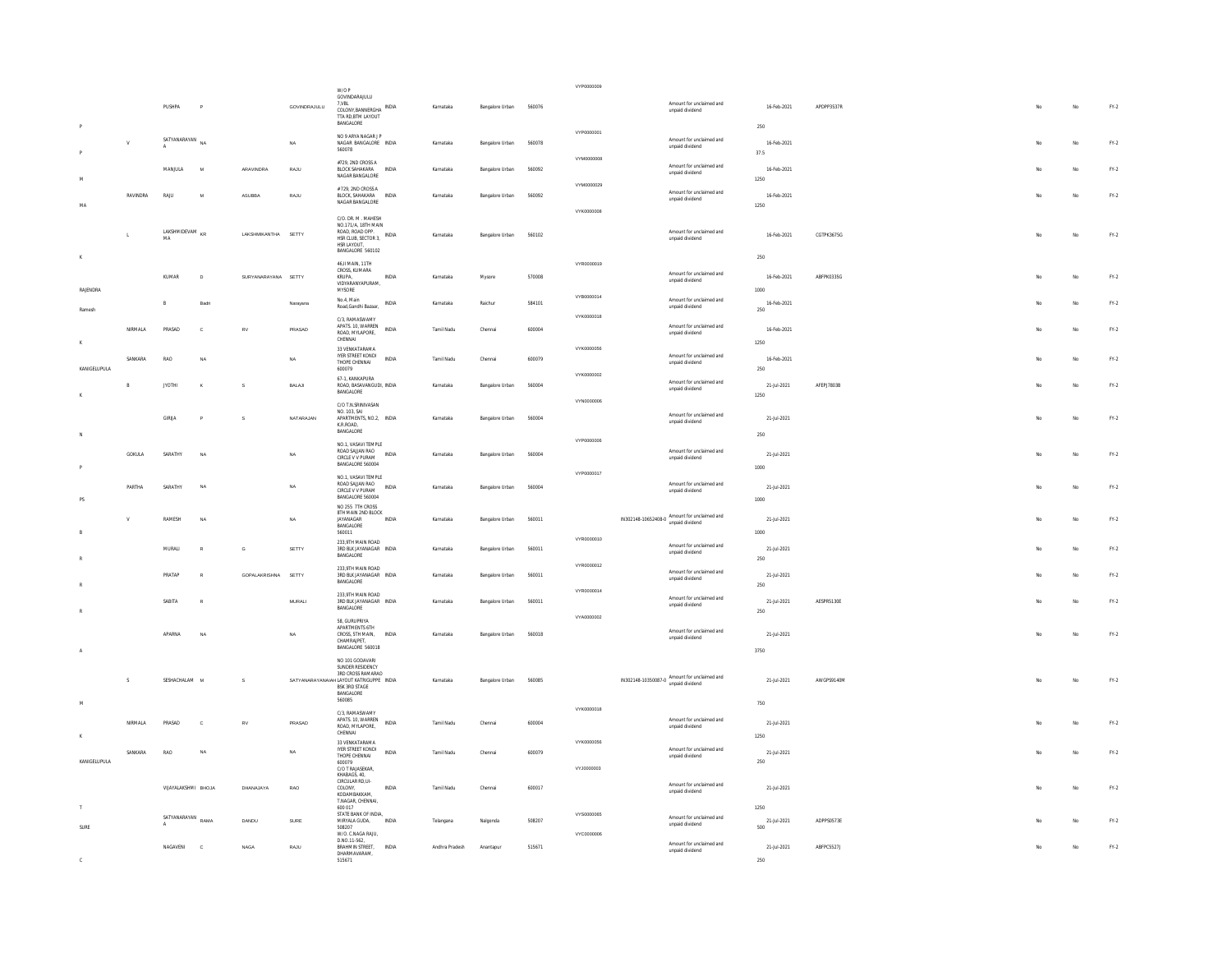|              |              |                                  |              |                     |               | W/O P                                                                                                                                         |              |                |                 |        | VYP0000009               |                                                                   |                            |            |  |     |             |                                 |
|--------------|--------------|----------------------------------|--------------|---------------------|---------------|-----------------------------------------------------------------------------------------------------------------------------------------------|--------------|----------------|-----------------|--------|--------------------------|-------------------------------------------------------------------|----------------------------|------------|--|-----|-------------|---------------------------------|
|              |              | PUSHPA                           | $\mathsf{P}$ |                     | GOVINDRAJULU  | GOVINDARAJULU<br>7.VBL<br>COLONY,BANNERGHA INDIA<br>TTA RD, BTM LAYOUT<br>BANGALORE                                                           |              | Karnataka      | Bangalore Urban | 560076 |                          | Amount for unclaimed and<br>unpaid dividend                       | 16-Feb-2021                | APDPP3537R |  | No  | No          | FY.2                            |
|              | $\mathbf{V}$ | SATYANARAYAN NA                  |              |                     | NA            | NO 9 ARYA NAGAR I P<br>NAGAR BANGALORE INDIA<br>560078                                                                                        |              | Karnataka      | Bangalore Urban | 560078 | VYP0000001               | Amount for unclaimed and<br>unpaid dividend                       | 250<br>16-Feb-2021<br>37.5 |            |  |     | No          | $FN-2$                          |
|              |              | MANJULA                          | M            | ARAVINDRA           | RAJU          | #729, 2ND CROSS A<br><b>BLOCK SAHAKARA</b><br>NAGAR BANGALORE                                                                                 | INDIA        | Karnataka      | Bangalore Urban | 560092 | VYM0000008               | Amount for unclaimed and<br>unpaid dividend                       | 16-Feb-2021<br>1250        |            |  |     | No          | FY.2                            |
|              | RAVINDRA     | RAJU                             | M            | ASUBBA              | RAJU          | # 729, 2ND CROSS A<br>BLOCK, SAHAKARA<br>NAGAR BANGALORE                                                                                      | INDIA        | Karnataka      | Bangalore Urban | 560092 | VYM0000029<br>VYK0000008 | Amount for unclaimed and<br>unpaid dividend                       | 16-Feb-2021<br>1250        |            |  | No. | No          | $FY-2$                          |
| $\,$ K       | L.           | LAKSHMIDEVAM <sub>KR</sub><br>MA |              | LAKSHMIKANTHA SETTY |               | C/O. DR. M. MAHESH<br>NO.171/A. 18TH MAIN<br>ROAD, ROAD OPP.<br>HSR CLUB SECTOR 3<br>HSR LAYOUT,<br>BANGALORE 560102                          | <b>INDIA</b> | Karnataka      | Bangalore Urban | 560102 |                          | Amount for unclaimed and<br>unpaid dividend                       | 16-Feb-2021<br>250         | CGTPK3675G |  | No  | No          | $FY-2$                          |
| RAIFNDRA     |              | KUMAR                            | $\mathsf{D}$ | SURYANARAYANA SETTY |               | 46    MAIN 11TH<br>CROSS, KUMARA<br><b>KRUPA</b><br>VIDYARANYAPURAM,<br>MYSORE                                                                | <b>INDIA</b> | Karnataka      | Mysore          | 570008 | VYR0000019               | Amount for unclaimed and<br>unpaid dividend                       | 16-Feb-2021<br>1000        | ABFPK0335G |  |     | $_{\rm No}$ | $\text{FY-2}$                   |
| Ramesh       |              |                                  | <b>Badri</b> |                     | Narayana      | No.4, Main<br>Road, Gandhi Bazaar,                                                                                                            | <b>INDIA</b> | Karnataka      | Raichur         | 584101 | VYB0000014<br>VYK0000018 | Amount for unclaimed and<br>unpaid dividend                       | 16-Feb-2021<br>250         |            |  |     | No          | FY.2                            |
|              | NIRMALA      | PRASAD                           | $\epsilon$   | <b>RV</b>           | PRASAD        | C/3, RAMASWAMY<br>APATS. 10. WARREN<br>ROAD, MYLAPORE,<br>CHENNAL                                                                             | <b>INDIA</b> | Tamil Nadu     | Chennai         | 600004 |                          | Amount for unclaimed and<br>unpaid dividend                       | 16-Feb-2021<br>1250        |            |  |     | No          | FY.2                            |
| KANIGELUPULA | SANKARA      | RAO                              | <b>NA</b>    |                     | NA            | 33 VENKATARAMA<br>IYER STREET KONDI<br>THOPE CHENNAL<br>600079                                                                                | INDIA        | Tamil Nadu     | Chenna          | 600079 | VYK0000056               | Amount for unclaimed and<br>unpaid dividend                       | 16-Feb-2021<br>250         |            |  |     | No          | $FY-2$                          |
|              |              | ЛОТНІ                            |              | ś                   | BALAJI        | 67-1. KANKAPURA<br>ROAD, BASAVANGUDI, INDIA<br>BANGALORE                                                                                      |              | Karnataka      | Bangalore Urban | 560004 | VYK0000002               | Amount for unclaimed and<br>unpaid dividend                       | 21-Jul-2021<br>1250        | AFEPJ7803B |  |     | No          | $FY-2$                          |
|              |              | GIRLIA                           |              | s                   | NATARAJAN     | C/O T.N.SRINIVASAN<br>NO. 103, SAI<br>APARTMENTS, NO.2. INDIA<br>K.R.ROAD,<br>BANGALORE                                                       |              | Karnataka      | Bangalore Urban | 560004 | VYN0000006               | Amount for unclaimed and<br>unpaid dividend                       | 21-Jul-2021                |            |  | No  | No          | FY.2                            |
|              | GOKULA       | SARATHY                          | NA           |                     | NA            | NO.1. VASAVI TEMPLE<br>ROAD SAUAN RAD<br>CIRCLE V V PURAM<br>BANGALORE 560004                                                                 | INDIA        | Karnataka      | Bangalore Urban | 560004 | VYP0000006               | Amount for unclaimed and<br>unpaid dividend                       | 250<br>21-Jul-2021<br>1000 |            |  |     | No          | $FY.2$                          |
| <b>PS</b>    | PARTHA       | SARATHY                          | <b>NA</b>    |                     | NA            | NO.1, VASAVI TEMPLE<br>ROAD SAUAN RAO<br>CIRCLE V V PURAM<br><b>BANGALORE 560004</b>                                                          | INDIA        | Karnataka      | Bangalore Urban | 560004 | VYP0000017               | Amount for unclaimed and<br>unpaid dividend                       | 21-Jul-2021<br>1000        |            |  |     | $_{\rm No}$ | $\text{FY-2}$                   |
|              | $\mathbf v$  | RAMESH                           | <b>NA</b>    |                     | NA            | NO 255 7TH CROSS<br><b>BTH MAIN 2ND BLOCK</b><br>JAYANAGAR<br>BANGALORE<br>560011                                                             | <b>INDIA</b> | Karnataka      | Bangalore Urban | 560011 |                          | $IN302148-10652408-0$ Amount for unclaimed and<br>unpaid dividend | 21-Jul-2021<br>1000        |            |  |     | No          | $FN-2$                          |
|              |              | MURALL                           | $\mathbb{R}$ | G                   | SETTY         | 233,9TH MAIN ROAD<br>3RD BLK JAYANAGAR INDIA<br>BANGALORE                                                                                     |              | Karnataka      | Bangalore Urban | 560011 | VYR0000010               | Amount for unclaimed and<br>unpaid dividend                       | 21-Jul-2021<br>250         |            |  |     | No          | FY.2                            |
|              |              | PRATAP                           | R            | GOPALAKRISHNA SETTY |               | 233,9TH MAIN ROAD<br>3RD BLK JAYANAGAR INDIA<br>BANGALORE                                                                                     |              | Karnataka      | Bangalore Urban | 560011 | VYR0000012               | Amount for unclaimed and<br>unpaid dividend                       | 21-Jul-2021<br>250         |            |  |     | No          | $FY-2$                          |
|              |              | SABITA                           | $\mathbb{R}$ |                     | <b>MURALI</b> | 233,9TH MAIN ROAD<br>3RD BLK JAYANAGAR INDIA<br>BANGALORE                                                                                     |              | Karnataka      | Bangalore Urban | 560011 | VYR0000014               | Amount for unclaimed and<br>unpaid dividend                       | 21-Jul-2021<br>250         | AESPR5130E |  |     | No          | $FY-2$                          |
|              |              | APARNA                           | NA           |                     | <b>NA</b>     | 58, GURUPRIYA<br>APARTMENTS 6TH<br>CROSS, 5TH MAIN,<br>CHAMRA IPET<br>BANGALORE 560018                                                        | INDIA        | Karnataka      | Bangalore Urban | 560018 | VYA0000002               | Amount for unclaimed and<br>unpaid dividend                       | 21-Jul-2021<br>3750        |            |  | No  | No          | $FN-2$                          |
| M            | $\mathsf{s}$ | SESHACHALAM M                    |              | s                   |               | NO 101 GODAVARI<br>SUNDER RESIDENCY.<br>3RD CROSS RAMARAO<br>SATYANARAYANAJAH LAYOUT KATRIGUPPE INDIA<br>BSK 3RD STAGE<br>BANGALORE<br>560085 |              | Karnataka      | Bangalore Urban | 560085 |                          | IN302148-10350087-0 Amount for unclaimed and<br>unpaid dividend   | 21-Jul-2021<br>750         | AWGPS9140M |  | No  | No          | FY.2                            |
|              | NIRMALA      | PRASAD                           | $\mathbf c$  | RV                  | PRASAD        | C/3, RAMASWAMY<br>APATS. 10. WARREN<br>ROAD, MYLAPORE,<br>CHENNAL                                                                             | INDIA        | Tamil Nadu     | Chenna          | 600004 | VYK0000018               | Amount for unclaimed and<br>unpaid dividend                       | 21-Jul-2021<br>1250        |            |  |     | $_{\rm No}$ | $\mathsf{FY}\text{-}\mathsf{2}$ |
| KANIGELUPULA | SANKARA      | RAO                              |              |                     | N             | 33 VENKATARAMA<br>IYER STREET KONDI<br>THOPE CHENNAL<br>600079<br>C/O T RAJASEKAR.                                                            | <b>INDIA</b> | Tamil Nadu     | Chennai         | 600079 | VYK0000056<br>VYJ0000003 | Amount for unclaimed and<br>unpaid dividend                       | 21-Jul-2021<br>250         |            |  |     | No          | FY.2                            |
|              |              | VIJAYALAKSHMI BHOJA              |              | DHANAJAYA           | RAO           | KHABAGS, 40,<br>CIRCULAR RD,UI-<br>COLONY,<br>KODAMBAKKAM.<br>T.NAGAR, CHENNAI,                                                               | <b>INDIA</b> | Tamil Nadu     | Chennai         | 600017 |                          | Amount for unclaimed and<br>unpaid dividend                       | 21-Jul-2021                |            |  |     | No          | $\text{FY-2}$                   |
| T.<br>SURE   |              | SATYANARAYAN RAMA                |              | DANDU               | SURE          | 600 017<br>STATE BANK OF INDIA,<br>MIRYALA GUDA,<br>508207<br>W/O. C.NAGA RAJU.                                                               | <b>INDIA</b> | Telangana      | Nalgonda        | 508207 | VYS0000065<br>VYC0000006 | Amount for unclaimed and<br>unpaid dividend                       | 1250<br>21-Jul-2021<br>500 | ADPPS0573E |  |     | No          | FY.2                            |
|              |              | NAGAVENI                         | $\mathbf c$  | <b>NAGA</b>         | RAJU          | D.NO.11-562.<br>BRAHMIN STREET,<br>DHARMAVARAM,<br>515671                                                                                     | INDIA        | Andhra Pradesh | Anantapur       | 515671 |                          | Amount for unclaimed and<br>unpaid dividend                       | 21-Jul-2021<br>250         | ABFPC5527J |  |     | No          | FY.2                            |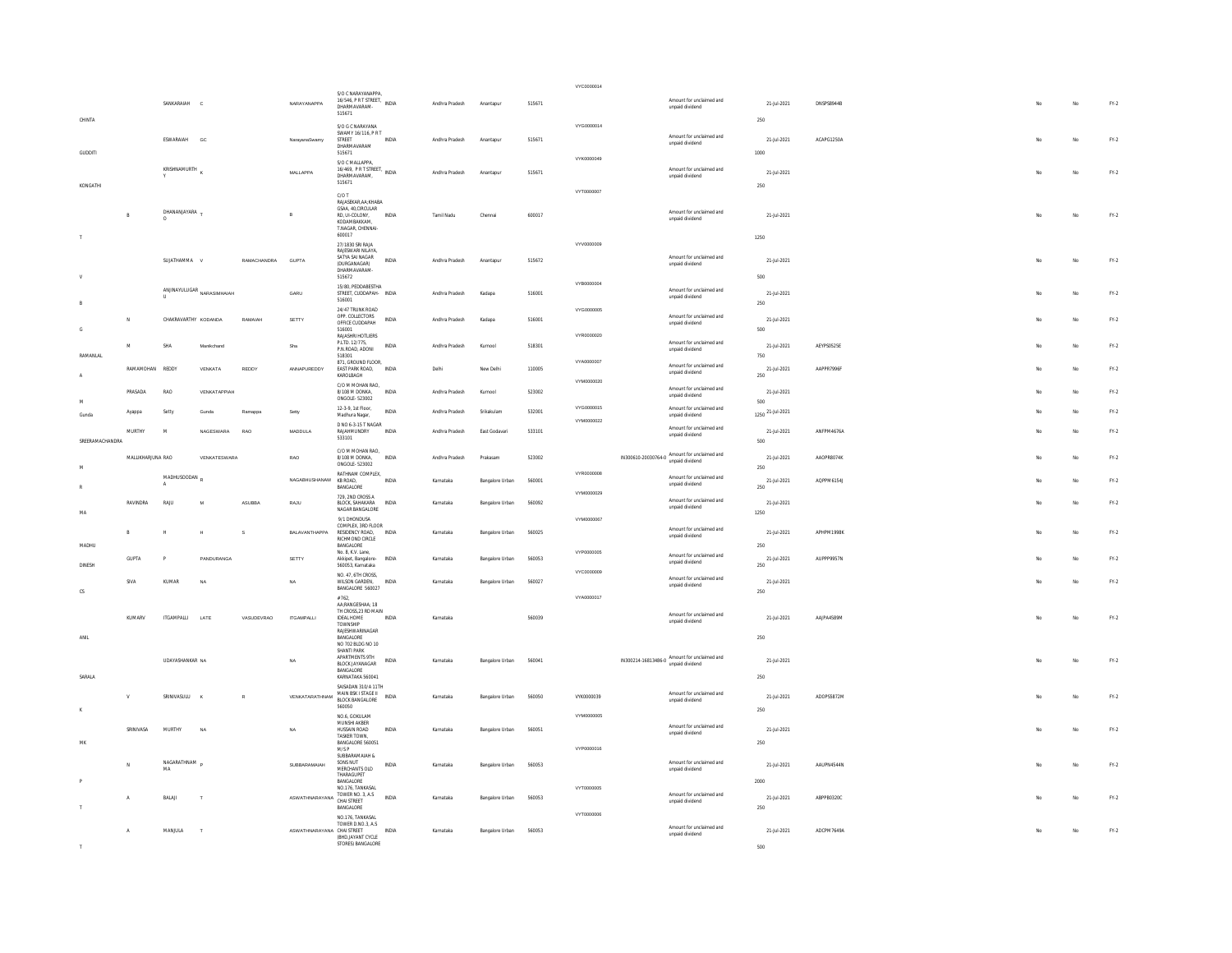|                 |                         |                         |                                       |                |                                                  |                                                                                                   |                       |                                  |                                    |                  | VYC0000014               |                                                                                             |            |                                |                          |  |           |                   |                  |
|-----------------|-------------------------|-------------------------|---------------------------------------|----------------|--------------------------------------------------|---------------------------------------------------------------------------------------------------|-----------------------|----------------------------------|------------------------------------|------------------|--------------------------|---------------------------------------------------------------------------------------------|------------|--------------------------------|--------------------------|--|-----------|-------------------|------------------|
|                 |                         | SANKARAIAH C            |                                       |                | NARAYANAPPA                                      | S/O C NARAYANAPPA,<br>DHARMAVARAM-<br>515671                                                      |                       | Andhra Pradesh                   | Anantapur                          | 515671           |                          | Amount for unclaimed and<br>unpaid dividend                                                 |            | 21-Jul-2021                    | DNSPS8944B               |  |           | No                | $FY.2$           |
| CHINTA          |                         | ESWARAIAH               | GC                                    |                | NarayanaSwamy                                    | S/O G C NARAYANA<br>SWAMY 16/116, P R T<br>STREET<br>DHARMAVARAM                                  | INDIA                 | Andhra Pradesh                   | Anantapur                          | 515671           | VYG0000014               | Amount for unclaimed and<br>unpaid dividend                                                 | 250        | 21-Jul-2021                    | ACAPG1250A               |  |           | No                | FY.2             |
| GUDDITI         |                         | KRISHNAMURTH            |                                       |                | MALLAPPA                                         | 515671<br>S/O C MALLAPPA<br>16/469, PRTSTREET, INDIA<br>DHARMAVARAM,                              |                       | Andhra Pradesh                   | Anantapu                           | 515671           | VYK0000049               | Amount for unclaimed and<br>unpaid dividend                                                 | 1000       | 21-Jul-2021                    |                          |  | No        | No                | FY.2             |
| KONGATHI        |                         |                         |                                       |                |                                                  | 515671<br>C/OT<br>RAJASEKAR, AA: KHABA                                                            |                       |                                  |                                    |                  | VYT0000007               |                                                                                             | 250        |                                |                          |  |           |                   |                  |
|                 | B                       | DHANANJAYARA<br>$\circ$ |                                       |                | B                                                | GSAA, 40, CIRCULAR<br>RD. UI-COLONY.<br>KODAMBAKKAM,<br>T.NAGAR, CHENNAI-<br>600017               | INDIA                 | Tamil Nadu                       | Chennai                            | 600017           |                          | Amount for unclaimed and<br>unpaid dividend                                                 | 1250       | 21-Jul-2021                    |                          |  | No        | No                | $FY-2$           |
|                 |                         | SUJATHAMMA V            |                                       | RAMACHANDRA    | GUPTA                                            | 27/1830 SRI RAJA<br>RAJESWARI NJI AYA<br>SATYA SAI NAGAR<br>(DURGANAGAR)<br>DHARMAVARAM           | INDIA                 | Andhra Pradesh                   | Anantapur                          | 515672           | vyvnonnone               | Amount for unclaimed and<br>unpaid dividend                                                 |            | 21-Jul-2021                    |                          |  | No        | No                | FY.2             |
|                 |                         |                         | ANJINAYULUGAR <sub>NARASIMHAJAH</sub> |                | GARU                                             | 515672<br>15/80. PEDDABESTHA<br>STREET, CUDDAPAH- INDIA<br>516001                                 |                       | Andhra Pradesh                   | Kadapa                             | 516001           | VYB0000004               | Amount for unclaimed and<br>unpaid dividend                                                 | 500        | 21-Jul-2021                    |                          |  |           | No.               | FY.2             |
|                 | N                       | CHAKRAVARTHY KODANDA    |                                       | RAMAIAH        | SETTY                                            | 24/47 TRUNK ROAD<br>OPP. COLLECTORS<br>OFFICE CUDDAPAH                                            | INDIA                 | Andhra Pradesh                   | Kadapa                             | 516001           | VYG0000005               | Amount for unclaimed and<br>unpaid dividend                                                 | 250        | 21-Jul-2021                    |                          |  |           | No.               | $FN-2$           |
| G               | M                       | SHA                     | Manikchand                            |                | Sha                                              | 516001<br>RAJASHRI HOTLIERS<br>P.LTD. 12/775,<br>P.N.ROAD, ADONI                                  | <b>INDIA</b>          | Andhra Pradesh                   | Kurnool                            | 518301           | VYR0000020               | Amount for unclaimed and<br>unpaid dividend                                                 | 500        | 21-Jul-2021                    | AEYPS0525E               |  |           | No.               | $FN-2$           |
| RAMANLAL<br>A   | RAMAMOHAN REDDY         |                         | VENKATA                               | REDDY          | ANNAPUREDDY                                      | 518301<br>871, GROUND FLOOR,<br>EAST PARK ROAD.<br>KAROLBAGH                                      | <b>INDIA</b>          | Delhi                            | New Delhi                          | 110005           | VYA0000007               | Amount for unclaimed and<br>unpaid dividend                                                 | 750<br>250 | 21-Jul-2021                    | AAPPR7996F               |  | No        | No                | $FY-2$           |
| M               | PRASADA                 | RAC                     | VENKATAPPIAH                          |                |                                                  | C/O M MOHAN RAO,<br>8/108 M DONKA.<br>ONGOLE - 523002                                             | <b>INDIA</b>          | Andhra Pradesh                   | Kurnool                            | 523002           | VYM0000020               | Amount for unclaimed and<br>unpaid dividend                                                 | 500        | 21-Jul-2021                    |                          |  | No.       | No                | $FY-2$           |
| Gunda           | Ayappa<br><b>MURTHY</b> | Setty<br>M              | Gunda<br>NAGESWARA                    | Ramappa<br>RAO | MADDLE A                                         | 12-3-9, 1st Floor.<br>Madhura Nagar,<br>D NO 6-3-15 T NAGAR                                       | INDIA<br><b>INDIA</b> | Andhra Pradesh<br>Andhra Pradesh | Srikakulam<br>Fast Godavari        | 532001<br>533101 | VYG0000015<br>VYM0000022 | Amount for unclaimed and<br>unpaid dividend<br>Amount for unclaimed and                     |            | 1250 21-Jul-2021<br>21-14-2021 | ANFPM4676A               |  | No        | No<br>No.         | $FY.2$<br>FY-2   |
| SREERAMACHANDRA |                         |                         |                                       |                |                                                  | RAJAHMUNDRY<br>533101<br>C/O M MOHAN RAO,                                                         |                       |                                  |                                    |                  |                          | unpaid dividend                                                                             | 500        |                                |                          |  |           |                   |                  |
| M               | MALLIKHARJUNA RAO       | MADHUSOODAN             | VENKATESWARA                          |                | RAO<br>NAGARHLISHANAM                            | 8/108 M DONKA,<br>ONGOLE-523002<br>RATHNAM COMPLEX,<br>KB ROAD,                                   | INDIA<br>INDIA        | Andhra Pradesh<br>Karnataka      | Prakasam<br>Bangalore Urban        | 523002<br>560001 | VYR0000008               | IN300610-20030764-0 Amount for unclaimed and<br>unpaid dividend<br>Amount for unclaimed and | 250        | 21-Jul-2021                    | AAOPR8074K<br>AQPPM6154J |  | No        | No<br>No          | $FN-2$<br>FY.2   |
|                 | RAVINDRA                | RAIL                    | $\overline{M}$                        | ASUBBA         | RAJU                                             | BANGALORE<br>729, 2ND CROSS A<br>BLOCK, SAHAKARA                                                  | INDIA                 | Karnataka                        | Bangalore Urban                    | 560092           | VYM0000029               | unpaid dividend<br>Amount for unclaimed and                                                 | 250        | 21-Jul-2021<br>21-Jul-2021     |                          |  | No        | No                | $FY-2$           |
| MA              |                         |                         |                                       |                |                                                  | NAGAR BANGALORE<br>9/1 DHONDUSA<br>COMPLEX, 3RD FLOOR                                             |                       |                                  |                                    |                  | VYM0000067               | unpaid dividend<br>Amount for unclaimed and                                                 | 1250       |                                |                          |  |           |                   |                  |
| MADHU           | B<br><b>GUPTA</b>       | н                       | H<br>PANDURANGA                       | s              | BALAVANTHAPPA<br>SETTY                           | RESIDENCY ROAD,<br>RICHMOND CIRCLE<br>BANGALORE<br>No. 8, K.V. Lane,<br>Akkipet. Bangalore- INDIA | INDIA                 | Karnataka<br>Karnataka           | Bangalore Urban<br>Bangalore Urban | 560025<br>560053 | VYP0000005               | unpaid dividend<br>Amount for unclaimed and                                                 | 250        | 21-Jul-2021<br>21-Jul-2021     | APHPM1998K<br>AUPPP9957N |  | No<br>No. | $_{\rm No}$<br>No | $FY.2$<br>$FY-2$ |
| <b>DINESH</b>   | SIVA                    | KUMAR                   | NA                                    |                | NA                                               | 560053, Karnataka<br>NO. 47 6TH CROSS<br>WILSON GARDEN.                                           | <b>INDIA</b>          | Karnataka                        | Bangalore Urban                    | 560027           | VYC0000009               | unpaid dividend<br>Amount for unclaimed and<br>unnaid dividend                              | 250        | 21-Jul-2021                    |                          |  |           | No                | $FN-2$           |
| $\mathtt{CS}$   |                         |                         |                                       |                |                                                  | BANGALORE 560027<br>#762.<br>AA:RANGESHAA: 18<br>TH CROSS, 23 RD MAIN                             |                       |                                  |                                    |                  | VYA0000017               |                                                                                             | 250        |                                |                          |  |           |                   |                  |
| <b>ANIL</b>     | KUMARV                  | <b>ITGAMPALLI</b>       | LATE                                  | VASUDEVRAO     | <b>ITGAMPALLI</b>                                | <b>IDEAL HOME</b><br>TOWNSHIP<br>RAJESHWARINAGAR<br>BANGALORE                                     | INDIA                 | Karnataka                        |                                    | 560039           |                          | Amount for unclaimed and<br>unpaid dividend                                                 | 250        | 21-Jul-2021                    | AAJPA4589M               |  | No        | No                | FY.2             |
|                 |                         | UDAYASHANKAR NA         |                                       |                | NA                                               | NO 702 BLDG NO 10<br>SHANTI PARK<br>APARTMENTS 9TH<br>BLOCK JAYANAGAR<br>BANGALORE                | INDIA                 | Karnataka                        | Bangalore Urban                    | 560041           |                          | IN300214-16813486-0 Amount for unclaimed and<br>unpaid dividend                             | 250        | 21-Jul-2021                    |                          |  |           | No.               | FY.2             |
| SARALA          |                         | SRINIVASULU             |                                       |                | VENKATARATHNAM                                   | KARNATAKA 560041<br>SAISADAN 310/A 11TH<br>MAIN BSK I STAGE II<br>BLOCK BANGALORE                 |                       | Karnataka                        | Bangalore Urban                    | 560050           | VYK0000039               | Amount for unclaimed and<br>unpaid dividend                                                 |            | 21-Jul-2021                    | ADOPS5872M               |  |           | No                | FY.2             |
|                 | SRINIVASA               | <b>MURTHY</b>           | NA                                    |                | <b>NA</b>                                        | 560050<br>NO.6. GOKULAM<br>MUNSHI AKBER<br>HUSSAIN ROAD                                           | <b>INDIA</b>          | Karnataka                        | Bangalore Urban                    | 560051           | VYM0000005               | Amount for unclaimed and                                                                    | 250        | 21-Jul-2021                    |                          |  |           | No                | FY.2             |
| <b>MK</b>       |                         |                         |                                       |                |                                                  | TASKER TOWN.<br>BANGALORE 560051<br>M/S P<br>SUBBARAMAIAH &                                       |                       |                                  |                                    |                  | VYP0000016               | unpaid dividend                                                                             | 250        |                                |                          |  |           |                   |                  |
|                 | $\mathbf{M}$            | NAGARATHNAM "<br>MA     |                                       |                | SUBBARAMAIAH                                     | SONS NUT<br>MERCHANTS OLD<br><b>THARAGUPFT</b><br>BANGALORE                                       | INDIA                 | Karnataka                        | Bangalore Urban                    | 560053           |                          | Amount for unclaimed and<br>unpaid dividend                                                 | 2000       | 21-Jul-2021                    | AAUPN4544N               |  | No        | No                | FY.2             |
|                 | $\overline{A}$          | BALAJI                  | $\mathbf{I}$                          |                | ASWATHNARAYANA TOWER NO. 3, A.S.                 | NO 176 TANKASAI<br>BANGALORE                                                                      | INDIA                 | Karnataka                        | Bangalore Urban                    | 560053           | VYT0000005               | Amount for unclaimed and<br>unpaid dividend                                                 | 250        | 21-Jul-2021                    | ABPPB0320C               |  |           | No                | FY.2             |
|                 | $\mathsf{A}$            | MANJULA                 | $\mathsf{T}$                          |                | TOWER D.NO.3, A.S.<br>ASWATHNARAYANA CHAI STREET | NO.176, TANKASAL<br>(BHD.JAYANT CYCLE<br>STORES) BANGALORE                                        | INDIA                 | Karnataka                        | Bangalore Urban                    | 560053           | VYT0000006               | Amount for unclaimed and<br>unpaid dividend                                                 | 500        | 21-Jul-2021                    | ADCPM7649A               |  |           | No                | FY.2             |
|                 |                         |                         |                                       |                |                                                  |                                                                                                   |                       |                                  |                                    |                  |                          |                                                                                             |            |                                |                          |  |           |                   |                  |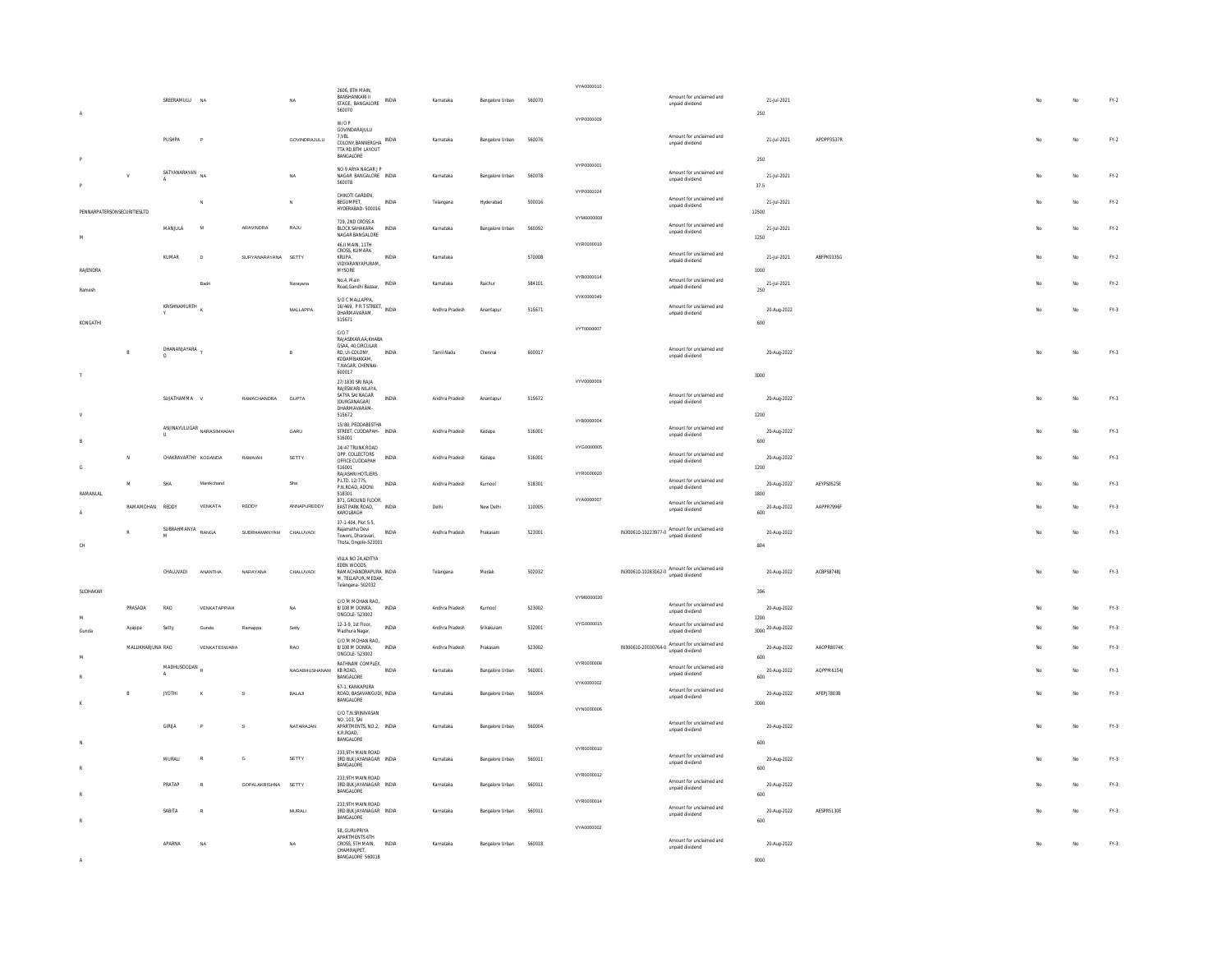|                             |                     |                      |                                                                           |                        |                        | 2606, 8TH MAIN,<br>RANSHANKARI II             |              |                |                 |        | VYA0000010 |                                                                 |                     |            |     |    |        |
|-----------------------------|---------------------|----------------------|---------------------------------------------------------------------------|------------------------|------------------------|-----------------------------------------------|--------------|----------------|-----------------|--------|------------|-----------------------------------------------------------------|---------------------|------------|-----|----|--------|
|                             |                     | SREERAMULU NA        |                                                                           |                        | NA                     | STAGE, BANGALORE                              | INDIA        | Karnataka      | Bangalore Urban | 560070 |            | Amount for unclaimed and<br>unpaid dividend                     | 21-Jul-2021         |            |     |    | $FY.2$ |
| $\overline{A}$              |                     |                      |                                                                           |                        |                        | 560070                                        |              |                |                 |        | VYP0000009 |                                                                 | 250                 |            |     |    |        |
|                             |                     |                      |                                                                           |                        |                        | W/O P<br>GOVINDARAJULU                        |              |                |                 |        |            |                                                                 |                     |            |     |    |        |
|                             |                     | PUSHPA               |                                                                           |                        | GOVINDRAJULU           | 7, VBL<br>COLONY, BANNERGHA INDIA             |              | Karnataka      | Bangalore Urban | 560076 |            | Amount for unclaimed and<br>unpaid dividend                     | 21-Jul-2021         | APDPP3537R | No  | No | $FY.2$ |
|                             |                     |                      |                                                                           |                        |                        | TTA RD, BTM LAYOUT<br>BANGALORE               |              |                |                 |        |            |                                                                 |                     |            |     |    |        |
|                             |                     |                      |                                                                           |                        |                        | NO 9 ARYA NAGAR J P                           |              |                |                 |        | VYP0000001 |                                                                 | 250                 |            |     |    |        |
|                             | $\mathbf{v}$        | SATYANARAYAN         | <b>MA</b>                                                                 |                        | NA                     | NAGAR BANGALORE INDIA<br>560078               |              | Karnataka      | Bangalore Urban | 560078 |            | Amount for unclaimed and<br>unpaid dividend                     | 21-Jul-2021         |            | Mo  | No | $FN-2$ |
|                             |                     |                      |                                                                           |                        |                        | CHIKOTI GARDEN.                               |              |                |                 |        | VYP0000024 |                                                                 | 37.5                |            |     |    |        |
|                             |                     |                      |                                                                           |                        | $_{\rm N}$             | BEGUMPET,                                     | <b>INDIA</b> | Telangana      | Hyderabad       | 500016 |            | Amount for unclaimed and<br>unpaid dividend                     | 21-Jul-2021         |            |     | No | $FN-2$ |
| PENNARPATERSONSECURITIESLTD |                     |                      |                                                                           |                        |                        | HYDERARAD-500016                              |              |                |                 |        | VYM0000008 |                                                                 | 12500               |            |     |    |        |
|                             |                     | MANJULA              | $\overline{M}$                                                            | ARAVINDRA              | RAJU                   | 729 2ND CROSS A<br><b>BLOCK SAHAKARA</b>      | INDIA        | Karnataka      | Bangalore Urban | 560092 |            | Amount for unclaimed and<br>unpaid dividend                     | 21-Jul-2021         |            |     | No | $FN-2$ |
| $_{\mathsf{M}}$             |                     |                      |                                                                           |                        |                        | NAGAR BANGALORE<br>46, II MAIN, 11TH          |              |                |                 |        | VYR0000019 |                                                                 | 1250                |            |     |    |        |
|                             |                     |                      |                                                                           |                        |                        | CROSS, KUMARA                                 | INDIA        |                |                 |        |            | Amount for unclaimed and                                        |                     | ABFPK0335G |     |    |        |
|                             |                     | KUMAR                | $\mathbf{D}$                                                              | SURYANARAYANA SETTY    |                        | <b>KRUPA</b><br>VIDYARANYAPURAM,              |              | Karnataka      |                 | 570008 |            | unpaid dividend                                                 | 21-Jul-2021         |            | No  | No | $FY-2$ |
| RAJENDRA                    |                     |                      |                                                                           |                        |                        | MYSORE<br>No.4, Main                          |              |                |                 |        | VYB0000014 | Amount for unclaimed and                                        | 1000                |            |     |    |        |
| Ramesh                      |                     |                      | <b>Badri</b>                                                              |                        | Narayana               | Road, Gandhi Bazaar,                          | <b>INDIA</b> | Karnataka      | Raichur         | 584101 |            | unpaid dividend                                                 | 21-Jul-2021<br>250  |            |     | No | $FY-2$ |
|                             |                     | KRISHNAMURTH         |                                                                           |                        |                        | S/O C MALLAPPA                                |              |                |                 |        | VYK0000049 | Amount for unclaimed and                                        |                     |            |     |    |        |
|                             |                     |                      |                                                                           |                        | MALLAPPA               | 16/469, PRT STREET, INDIA<br>DHARMAVARAM,     |              | Andhra Pradesh | Anantapur       | 515671 |            | unpaid dividend                                                 | 20-Aug-2022         |            | No  | No | FY.3   |
| KONGATHI                    |                     |                      |                                                                           |                        |                        | 515671                                        |              |                |                 |        | VYT0000007 |                                                                 | 600                 |            |     |    |        |
|                             |                     |                      |                                                                           |                        |                        | C/O T<br>RAJASEKAR, AA: KHABA                 |              |                |                 |        |            |                                                                 |                     |            |     |    |        |
|                             |                     | DHANANJAYARA T       |                                                                           |                        | $\mathsf B$            | GSAA, 40.CIRCULAR<br>RD, UI-COLONY,           | <b>INDIA</b> | Tamil Nadu     | Chennai         | 600017 |            | Amount for unclaimed and<br>unpaid dividend                     | 20-Aug-2022         |            |     | No | $FN-3$ |
|                             |                     |                      |                                                                           |                        |                        | KODAMRAKKAM<br>T.NAGAR, CHENNAI-              |              |                |                 |        |            |                                                                 |                     |            |     |    |        |
|                             |                     |                      |                                                                           |                        |                        | 600017<br>27/1830 SRI RAJA                    |              |                |                 |        | VYV0000009 |                                                                 | 3000                |            |     |    |        |
|                             |                     |                      |                                                                           |                        |                        | RAJESWARI NILAYA                              |              |                |                 |        |            |                                                                 |                     |            |     |    |        |
|                             |                     | SI IIATHAMMA V       |                                                                           | RAMACHANDRA            | GUPTA                  | SATYA SAI NAGAR<br>(DURGANAGAR)               | <b>INDIA</b> | Andhra Pradesh | Anantapur       | 515672 |            | Amount for unclaimed and<br>unpaid dividend                     | 20-Aug-2022         |            | Mo  | No | $FY-3$ |
|                             |                     |                      |                                                                           |                        |                        | DHARMAVARAM-<br>515672                        |              |                |                 |        |            |                                                                 | 1200                |            |     |    |        |
|                             |                     |                      | $\begin{array}{ll} \hbox{ANINAYULUGAR} & \hbox{NARASIMHAIAH} \end{array}$ |                        | GARU                   | 15/80 PEDDARESTHA<br>STREET, CUDDAPAH- INDIA  |              | Andhra Pradesh | Kadapa          | 516001 | VYB0000004 | Amount for unclaimed and                                        | 20-Aug-2022         |            |     | No | $FY-3$ |
|                             |                     |                      |                                                                           |                        |                        | 516001                                        |              |                |                 |        |            | unpaid dividend                                                 | 600                 |            |     |    |        |
|                             |                     |                      |                                                                           |                        |                        | 24/47 TRUNK ROAD<br>OPP. COLLECTORS           |              |                |                 |        | VYG0000005 | Amount for unclaimed and                                        |                     |            |     |    |        |
| $\mathsf{G}$                | A                   | CHAKRAVARTHY KODANDA |                                                                           | RAMAJAH                | SETTY                  | OFFICE CUDDAPAH<br>516001                     | <b>INDIA</b> | Andhra Pradesh | Kadapa          | 516001 |            | unpaid dividend                                                 | 20-Aug-2022<br>1200 |            |     | No | $FY-3$ |
|                             |                     |                      |                                                                           |                        |                        | RAJASHRI HOTLIERS<br>P.LTD, 12/775.           |              |                |                 |        | VYR0000020 | Amount for unclaimed and                                        |                     |            |     |    |        |
|                             | M                   | SHA                  | Manikchand                                                                |                        | Sha                    | P.N.ROAD, ADONI                               | <b>INDIA</b> | Andhra Pradesh | Kurnool         | 518301 |            | unpaid dividend                                                 | 20-Aug-2022         | AEYPS0525E |     | No | $FY-3$ |
| RAMANLAL                    |                     |                      |                                                                           |                        |                        | 518301<br>871, GROUND FLOOR,                  |              |                |                 |        | VYA0000007 | Amount for unclaimed and                                        | 1800                |            |     |    |        |
|                             | RAMAMOHAN REDDY     |                      | VENKATA                                                                   | REDDY                  | ANNAPUREDDY            | EAST PARK ROAD.<br>KAROLBAGH                  | INDIA        | Delhi          | New Delhi       | 110005 |            | unpaid dividend                                                 | 20-Aug-2022<br>600  | AAPPR7996F |     | No | $FN-3$ |
|                             |                     | SUBRAHMANYA          |                                                                           |                        |                        | 37-1-404, Plot S-5.<br>Rajamatha Devi         |              |                |                 |        |            |                                                                 |                     |            |     |    |        |
|                             |                     |                      | RANGA                                                                     | SUBRHAMANYAM CHALUVADI |                        | Towers, Dharavari,<br>Thota, Ongole-523001    | <b>INDIA</b> | Andhra Pradesh | Prakasam        | 523001 |            | IN300610-10223977-0 Amount for unclaimed and<br>unpaid dividend | 20-Aug-2022         |            | No  | No | FY.3   |
| CH                          |                     |                      |                                                                           |                        |                        |                                               |              |                |                 |        |            |                                                                 | 804                 |            |     |    |        |
|                             |                     |                      |                                                                           |                        |                        | VILLA NO 24 ADITYA<br>EDEN WOODS,             |              |                |                 |        |            |                                                                 |                     |            |     |    |        |
|                             |                     | CHALLIVADL           | ANANTHA                                                                   | NARAYANA               | CHALUVADI              | RAMACHANDRAPLIRA INDIA<br>M, TELLAPUR, MEDAK, |              | Telangana      | Medak           | 502032 |            | IN300610-10283162-0 Amount for unclaimed and<br>unpaid dividend | 20-Aug-2022         | ACRPS87481 | No  | No | $FY-3$ |
| SUDHAKAR                    |                     |                      |                                                                           |                        |                        | Telangana-502032                              |              |                |                 |        |            |                                                                 | 396                 |            |     |    |        |
|                             |                     |                      |                                                                           |                        |                        | C/O M MOHAN RAO,                              |              |                |                 |        | VYM0000020 | Amount for unclaimed and                                        |                     |            |     |    |        |
|                             | PRASADA             | RAO                  | VENKATAPPIAH                                                              |                        | NA                     | 8/108 M DONKA.<br>ONGOLE-523002               | <b>INDIA</b> | Andhra Pradesh | Kurnool         | 523002 |            | unpaid dividend                                                 | 20-Aug-2022<br>1200 |            | No  | No | $FY-3$ |
|                             | Ayappa              | Setty                |                                                                           | Ramappa                | Setty                  | 12-3-9, 1st Floor,                            | <b>INDIA</b> | Andhra Pradesh | Srikakular      | 532001 | VYG000015  | Amount for unclaimed and                                        | 3000 20-Aug-2022    |            |     | No | FY.3   |
| Gunda                       |                     |                      |                                                                           |                        |                        | Madhura Nagar,<br>C/O M MOHAN RAO,            |              |                |                 |        |            | unpaid dividend                                                 |                     |            |     |    |        |
|                             | MALLIKHAR ILINA RAO |                      | VENKATESWARA                                                              |                        | RAO                    | 8/108 M DONKA<br>ONGOLE-523002                | <b>INDIA</b> | Andhra Pradesh | Prakasam        | 523002 |            | IN300610-20030764-0 Amount for unclaimed and<br>unpaid dividend | 20-Aug-2022         | AAOPRR074K | No  | No | $FY-3$ |
|                             |                     | MADHUSOODAN,         |                                                                           |                        |                        | RATHNAM COMPLEX,                              |              |                |                 |        | VYR0000008 | Amount for unclaimed and                                        | 600                 |            |     |    |        |
|                             |                     |                      |                                                                           |                        | NAGABHUSHANAM KB ROAD. | BANGALORE                                     | <b>INDIA</b> | Karnataka      | Bangalore Urban | 560001 |            | unpaid dividend                                                 | 20-Aug-2022<br>600  | AQPPM6154J |     | No | $FY-3$ |
|                             |                     |                      |                                                                           | $\mathsf{s}$           | BALAJI                 | 67-1 KANKAPURA                                |              |                |                 |        | VYK0000002 | Amount for unclaimed and                                        |                     | AFEPJ7803B |     |    | $FN-3$ |
|                             | B                   | <b>JYOTHI</b>        |                                                                           |                        |                        | ROAD, BASAVANGUDI, INDIA<br>BANGALORE         |              | Karnataka      | Bangalore Urban | 560004 |            | unpaid dividend                                                 | 20-Aug-2022<br>3000 |            | No. | No |        |
|                             |                     |                      |                                                                           |                        |                        | C/O T.N.SRINIVASAN                            |              |                |                 |        | VYN0000006 |                                                                 |                     |            |     |    |        |
|                             |                     | GIRIJA               |                                                                           | s                      | NATARAJAN              | NO. 103, SAI<br>APARTMENTS, NO.2, INDIA       |              | Karnataka      | Bangalore Urban | 560004 |            | Amount for unclaimed and<br>unpaid dividend                     | 20-Aug-2022         |            |     | No | FY.3   |
|                             |                     |                      |                                                                           |                        |                        | K.R.ROAD.<br>BANGALORE                        |              |                |                 |        |            |                                                                 | 600                 |            |     |    |        |
|                             |                     |                      |                                                                           |                        |                        | 233,9TH MAIN ROAD                             |              |                |                 |        | VYR0000010 | Amount for unclaimed and                                        |                     |            |     |    |        |
|                             |                     | MURALI               | R                                                                         | G                      | SETTY                  | 3RD BLK JAYANAGAR INDIA<br>BANGALORE          |              | Karnataka      | Bangalore Urban | 560011 |            | unpaid dividend                                                 | 20-Aug-2022<br>600  |            |     | No | $FY-3$ |
|                             |                     |                      |                                                                           |                        |                        | 233,9TH MAIN ROAD                             |              |                |                 |        | VYR0000012 |                                                                 |                     |            |     |    |        |
|                             |                     | PRATAP               | ۰                                                                         | GOPALAKRISHNA SETTY    |                        | 3RD BLK JAYANAGAR INDIA<br>BANGALORE          |              | Karnataka      | Bangalore Urban | 560011 |            | Amount for unclaimed and<br>unpaid dividend                     | 20-Aug-2022         |            |     | No | $FY-3$ |
|                             |                     |                      |                                                                           |                        |                        | 233,9TH MAIN ROAD                             |              |                |                 |        | VYR0000014 |                                                                 | 600                 |            |     |    |        |
|                             |                     | SABITA               | R                                                                         |                        | MURALI                 | 3RD BLK JAYANAGAR INDIA<br>BANGALORE          |              | Karnataka      | Bangalore Urban | 560011 |            | Amount for unclaimed and<br>unpaid dividend                     | 20-Aug-2022         | AESPR5130E |     | No | $FY-3$ |
|                             |                     |                      |                                                                           |                        |                        | 58, GURUPRIYA                                 |              |                |                 |        | VYA0000002 |                                                                 | 600                 |            |     |    |        |
|                             |                     |                      |                                                                           |                        |                        | APARTMENTS 6TH                                |              |                |                 |        |            | Amount for unclaimed and                                        |                     |            |     |    |        |
|                             |                     | APARNA               | NA                                                                        |                        | NA                     | CROSS. 5TH MAIN.<br>CHAMRAIPET                | INDIA        | Karnataka      | Bangalore Urban | 560018 |            | unpaid dividend                                                 | 20-Aug-2022         |            |     | No | $FY-3$ |
|                             |                     |                      |                                                                           |                        |                        | BANGALORE 560018                              |              |                |                 |        |            |                                                                 | 9000                |            |     |    |        |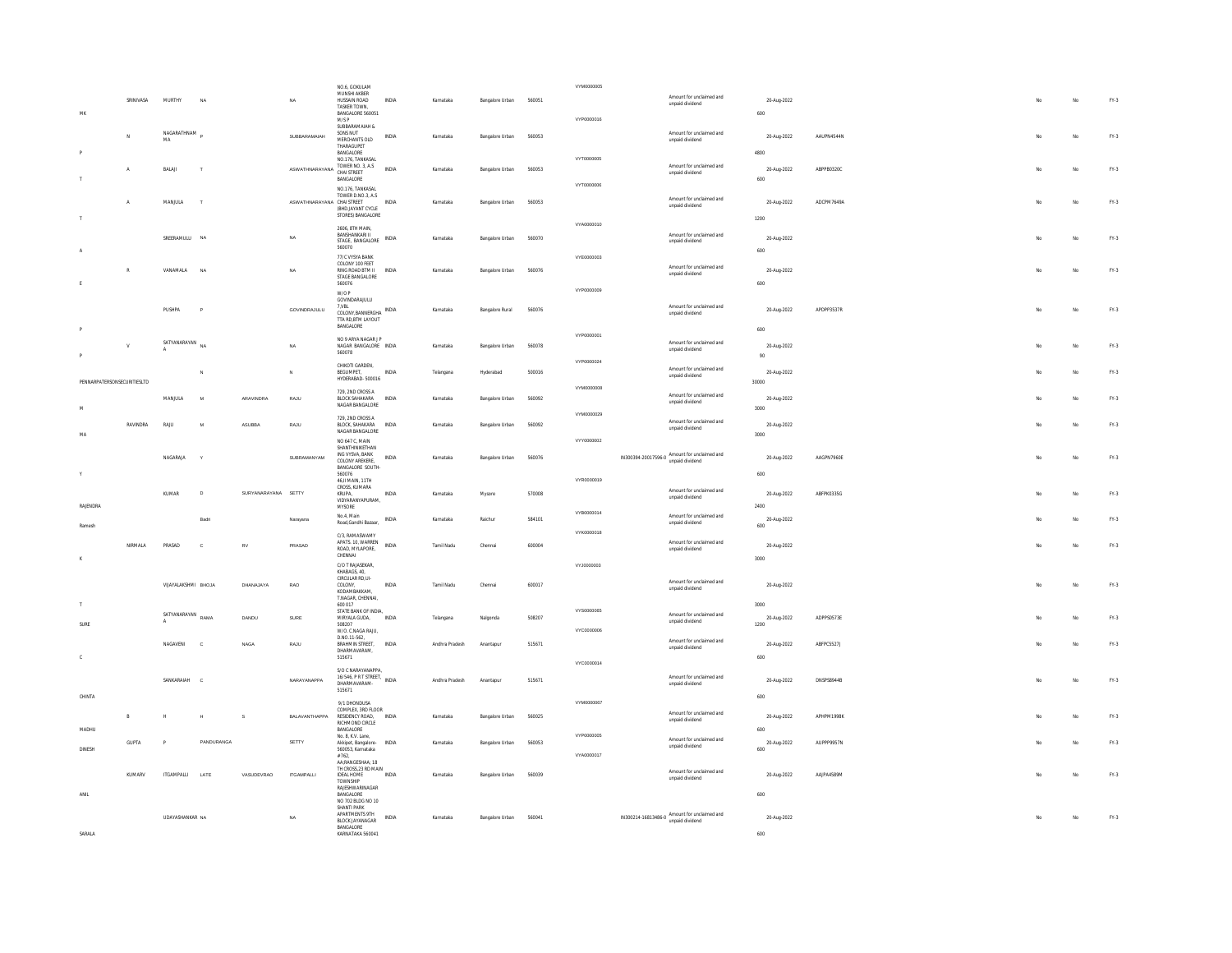|                             |              |                     |                |                     |                                 | NO.6, GOKULAM<br>MUNSHI AKBER                  |              |                |                 |        | VYM0000005        |                                                                 |                     |                   |    |     |        |
|-----------------------------|--------------|---------------------|----------------|---------------------|---------------------------------|------------------------------------------------|--------------|----------------|-----------------|--------|-------------------|-----------------------------------------------------------------|---------------------|-------------------|----|-----|--------|
|                             | SRINIVASA    | MURTHY              |                |                     | NA                              | HUSSAIN ROAD<br>TASKER TOWN                    | INDIA        | Karnataka      | Bangalore Urban | 560051 |                   | Amount for unclaimed and<br>unpaid dividend                     | 20-Aug-2022         |                   |    | No  | FY.3   |
| MK                          |              |                     |                |                     |                                 | BANGALORE 560051<br>M/SP                       |              |                |                 |        | VYP0000016        |                                                                 | 600                 |                   |    |     |        |
|                             |              | NAGARATHNAM         |                |                     |                                 | SUBBARAMAIAH &<br>SONS NUT                     |              |                |                 |        |                   | Amount for unclaimed and                                        |                     |                   |    |     |        |
|                             | N            | MA                  |                |                     | SUBBARAMAIAH                    | MERCHANTS OLD<br>THARAGUPET                    | <b>INDIA</b> | Karnataka      | Bangalore Urban | 560053 |                   | unpaid dividend                                                 | 20-Aug-2022         | AAUPN4544N        | No | No  | FY.3   |
|                             |              |                     |                |                     |                                 | <b>RANGALORE</b><br>NO.176, TANKASAL           |              |                |                 |        | VYT0000005        |                                                                 | 4800                |                   |    |     |        |
|                             | А            | BALAI               | T              |                     | ASWATHNARAYANA TOWER NO. 3, A.S |                                                | INDIA        | Karnataka      | Bangalore Urban | 560053 |                   | Amount for unclaimed and                                        | 20-Aug-2022         | ABPPB0320C        | No | No  | FY.3   |
|                             |              |                     |                |                     |                                 | BANGALORE                                      |              |                |                 |        | <b>VYT0000006</b> | unpaid dividend                                                 | 600                 |                   |    |     |        |
|                             |              |                     |                |                     |                                 | NO.176, TANKASAL<br>TOWER D.NO.3, A.S.         |              |                |                 |        |                   |                                                                 |                     |                   |    |     |        |
|                             | A            | MANJULA             |                |                     | ASWATHNARAYANA CHAI STREET      | (BHD.JAYANT CYCLE                              | INDIA        | Karnataka      | Bangalore Urban | 560053 |                   | Amount for unclaimed and<br>unpaid dividend                     | 20-Aug-2022         | ADCPM7649A        |    | No  | FY.3   |
|                             |              |                     |                |                     |                                 | STORES) BANGALORE                              |              |                |                 |        |                   |                                                                 | 1200                |                   |    |     |        |
|                             |              |                     |                |                     |                                 | 2606, 8TH MAIN<br>BANSHANKARI II               |              |                |                 |        | VYA0000010        |                                                                 |                     |                   |    |     |        |
|                             |              | SREERAMULLI NA      |                |                     | <b>NA</b>                       | STAGE, BANGALORE                               | <b>INDIA</b> | Karnataka      | Bangalore Urban | 560070 |                   | Amount for unclaimed and<br>unpaid dividend                     | 20-Aug-2022         |                   | No | No. | $FN-3$ |
|                             |              |                     |                |                     |                                 | 560070<br>77/C VYSYA BANK                      |              |                |                 |        | VYE0000003        |                                                                 | 600                 |                   |    |     |        |
|                             | $\mathbb{R}$ | VANAMALA            | NA             |                     | <b>NA</b>                       | COLONY 100 FEET<br>RING ROAD RTM II INDIA      |              | Karnataka      | Bangalore Urban | 560076 |                   | Amount for unclaimed and                                        | 20-Aug-2022         |                   | No | No. | $FY-3$ |
|                             |              |                     |                |                     |                                 | STAGE BANGALORE<br>560076                      |              |                |                 |        |                   | unpaid dividend                                                 | 600                 |                   |    |     |        |
|                             |              |                     |                |                     |                                 | W/OP                                           |              |                |                 |        | VYP0000009        |                                                                 |                     |                   |    |     |        |
|                             |              | PUSHPA              | $\overline{P}$ |                     | GOVINDRAJULU                    | GOVINDARAJULU<br>$7,\!V\!B\!L$                 |              | Karnataka      | Bangalore Rural | 560076 |                   | Amount for unclaimed and                                        | 20-Aug-2022         | APDPP3537R        | No | No  | $FN-3$ |
|                             |              |                     |                |                     |                                 | COLONY, BANNERGHA INDIA<br>TTA RD, BTM LAYOUT  |              |                |                 |        |                   | unpaid dividend                                                 |                     |                   |    |     |        |
|                             |              |                     |                |                     |                                 | <b>BANGALORE</b>                               |              |                |                 |        | VYP0000001        |                                                                 | 600                 |                   |    |     |        |
|                             | $\mathsf{v}$ | SATYANARAYAN        | NA.            |                     | NA                              | NO 9 ARYA NAGAR J P<br>NAGAR RANGALORE INDIA   |              | Karnataka      | Rangalore Urban | 560078 |                   | Amount for unclaimed and                                        | 20-Aug-2022         |                   | No | No. | FY-3   |
|                             |              |                     |                |                     |                                 | 560078                                         |              |                |                 |        |                   | unpaid dividend                                                 | 90                  |                   |    |     |        |
|                             |              |                     |                |                     | $\mathbf N$                     | CHIKOTI GARDEN.<br>BEGUMPET,                   | INDIA        | Telangana      | Hyderabad       | 500016 | VYP0000024        | Amount for unclaimed and                                        | 20-Aug-2022         |                   |    | No  | $FN-3$ |
| PENNARPATERSONSECURITIESLTD |              |                     |                |                     |                                 | HYDERABAD-500016                               |              |                |                 |        |                   | unpaid dividend                                                 | 30000               |                   |    |     |        |
|                             |              | MANJULA             |                | ARAVINDRA           | RAJU                            | 729. 2ND CROSS A<br>BLOCK SAHAKARA             | <b>INDIA</b> |                |                 | 560092 | VYM0000008        | Amount for unclaimed and                                        |                     |                   |    |     | $FN-3$ |
|                             |              |                     | M              |                     |                                 | NAGAR BANGALORE                                |              | Karnataka      | Bangalore Urban |        |                   | unpaid dividend                                                 | 20-Aug-2022<br>3000 |                   |    | No  |        |
|                             |              |                     |                |                     |                                 | 729, 2ND CROSS A                               |              |                |                 |        | VYM0000029        | Amount for unclaimed and                                        |                     |                   |    |     |        |
| <b>MA</b>                   | RAVINDRA     | <b>RAJU</b>         | $\overline{M}$ | ASUBBA              | RAJU                            | BLOCK, SAHAKARA INDIA<br>NAGAR BANGALORE       |              | Karnataka      | Bangalore Urban | 560092 |                   | unpaid dividend                                                 | 20-Aug-2022<br>3000 |                   |    | No  | $FN-3$ |
|                             |              |                     |                |                     |                                 | NO 647 C, MAIN<br>SHANTHINIKETHAN              |              |                |                 |        | VYY0000002        |                                                                 |                     |                   |    |     |        |
|                             |              | NAGARAJA            |                |                     | SUBRAMANYAM                     | ING VYSVA, BANK<br>COLONY AREKERE,             | <b>INDIA</b> | Karnataka      | Bangalore Urban | 560076 |                   | IN300394-20017596-0 Amount for unclaimed and<br>unpaid dividend | 20-Aug-2022         | AAGPN7960F        | No | No  | $FN-3$ |
|                             |              |                     |                |                     |                                 | BANGALORE SOUTH-                               |              |                |                 |        |                   |                                                                 | 600                 |                   |    |     |        |
|                             |              |                     |                |                     |                                 | 560076<br>46, II MAIN, 11TH                    |              |                |                 |        | VYR0000019        |                                                                 |                     |                   |    |     |        |
|                             |              | KUMAR               | $\overline{D}$ | SURYANARAYANA SETTY |                                 | CROSS, KUMARA<br>KRUPA,                        | INDIA        | Karnataka      | Mysore          | 570008 |                   | Amount for unclaimed and<br>unpaid dividend                     | 20-Aug-2022         | ABFPK0335G        |    | No  | FY.3   |
| RAJENDRA                    |              |                     |                |                     |                                 | VIDYARANYAPURAM.<br>MYSORE                     |              |                |                 |        |                   |                                                                 | 2400                |                   |    |     |        |
|                             |              |                     | <b>Radri</b>   |                     | Narayana                        | No.4, Main<br>Road, Gandhi Bazaar,             | <b>INDIA</b> | Karnataka      | Raichur         | 584101 | VYB0000014        | Amount for unclaimed and<br>unpaid dividend                     | 20-Aug-2022         |                   |    | No  | $FY-3$ |
| Ramesh                      |              |                     |                |                     |                                 | C/3, RAMASWAMY                                 |              |                |                 |        | VYK0000018        |                                                                 | 600                 |                   |    |     |        |
|                             | NIRMALA      | PRASAD              | $\mathbf{c}$   | RV                  | PRASAD                          | APATS. 10. WARREN                              | INDIA        | Tamil Nadu     | Chennai         | 600004 |                   | Amount for unclaimed and                                        | 20-Aug-2022         |                   |    | No  | $FN-3$ |
|                             |              |                     |                |                     |                                 | ROAD, MYLAPORE.<br>CHENNAL                     |              |                |                 |        |                   | unpaid dividend                                                 | 3000                |                   |    |     |        |
|                             |              |                     |                |                     |                                 | C/O T RAJASEKAR,<br>KHABAGS, 40.               |              |                |                 |        | VYJ0000003        |                                                                 |                     |                   |    |     |        |
|                             |              | VITAYALAKSHML BHOTA |                | DHANA JAYA          | <b>RAO</b>                      | CIRCULAR RD,UI-<br>COLONY                      | <b>INDIA</b> | Tamil Nadu     | Chennai         | 600017 |                   | Amount for unclaimed and                                        | 20-Aug-2022         |                   | No | No. | $FY-3$ |
|                             |              |                     |                |                     |                                 | KODAMBAKKAM,<br>T.NAGAR, CHENNAI,              |              |                |                 |        |                   | unpaid dividend                                                 |                     |                   |    |     |        |
|                             |              |                     |                |                     |                                 | 600 017<br>STATE BANK OF INDIA,                |              |                |                 |        | VYS0000065        |                                                                 | 3000                |                   |    |     |        |
| SURE                        |              | SATYANARAYAN        | RAMA           | DANDU               | SURF                            | MIRYALA GUDA.<br>508207                        | <b>INDIA</b> | Telangana      | Nalgonda        | 508207 |                   | Amount for unclaimed and<br>unpaid dividend                     | 20-Aug-2022<br>1200 | ADPPS0573F        | No | No. | $FY-3$ |
|                             |              |                     |                |                     |                                 | W/O. C.NAGA RAJU,<br>D.NO.11-562.              |              |                |                 |        | VYC0000006        |                                                                 |                     |                   |    |     |        |
|                             |              | NAGAVENI            | $\mathbf c$    | NAGA                | RAJU                            | <b>BRAHMIN STREET,</b>                         | INDIA        | Andhra Pradesh | Anantapur       | 515671 |                   | Amount for unclaimed and<br>unpaid dividend                     | 20-Aug-2022         | ABFPC5527J        |    | No  | FY.3   |
|                             |              |                     |                |                     |                                 | DHARMAVARAM,<br>515671                         |              |                |                 |        | VYC0000014        |                                                                 | 600                 |                   |    |     |        |
|                             |              |                     |                |                     |                                 | S/O C NARAYANAPPA                              |              |                |                 |        |                   |                                                                 |                     |                   |    |     |        |
|                             |              | SANKARAIAH          | $\mathcal{C}$  |                     | NARAYANAPPA                     | 16/546, PR T STREET, INDIA<br>DHARMAVARAM-     |              | Andhra Pradesh | Anantapur       | 515671 |                   | Amount for unclaimed and<br>unpaid dividend                     | 20-Aug-2022         | <b>DNSPS8944B</b> | No | No  | $FN-3$ |
| CHINTA                      |              |                     |                |                     |                                 | 515671                                         |              |                |                 |        |                   |                                                                 | 600                 |                   |    |     |        |
|                             |              |                     |                |                     |                                 | 9/1 DHONDUSA<br>COMPLEX, 3RD FLOOR             |              |                |                 |        | VYM0000067        | Amount for unclaimed and                                        |                     |                   |    |     |        |
|                             | $\,$ B       | $\mathbb{H}$        | H              | s                   | BALAVANTHAPPA                   | RESIDENCY ROAD, INDIA<br>RICHMOND CIRCLE       |              | Karnataka      | Bangalore Urban | 560025 |                   | unpaid dividend                                                 | 20-Aug-2022         | APHPM1998K        |    | No  | $FN-3$ |
| MADHU                       |              |                     |                |                     |                                 | BANGALORE<br>No. 8 K.V. Lane                   |              |                |                 |        | <b>VYP0000005</b> |                                                                 | 600                 |                   |    |     |        |
| DINESH                      | <b>GUPTA</b> | $\overline{P}$      | PANDURANGA     |                     | SETTY                           | Akkipet, Bangalore- INDIA<br>560053, Karnataka |              | Karnataka      | Bangalore Urban | 560053 |                   | Amount for unclaimed and<br>unpaid dividend                     | 20-Aug-2022<br>600  | AUPPP9957N        |    | No  | FY.3   |
|                             |              |                     |                |                     |                                 | #762,<br>AA:RANGESHAA: 18                      |              |                |                 |        | VYA0000017        |                                                                 |                     |                   |    |     |        |
|                             | KUMARV       | <b>ITGAMPALLI</b>   | LATE           | VASUDEVRAO          | <b>ITGAMPALLI</b>               | TH CROSS 23 RD MAIN<br><b>IDEAL HOME</b>       | <b>INDM</b>  | Karnataka      | Bangalore Urban | 560039 |                   | Amount for unclaimed and                                        | 20-Aug-2022         | AAJPA4589M        |    | No  | FY.3   |
|                             |              |                     |                |                     |                                 | <b>TOWNSHIP</b><br>RAJESHWARINAGAR             |              |                |                 |        |                   | unpaid dividend                                                 |                     |                   |    |     |        |
| ANIL                        |              |                     |                |                     |                                 | BANGALORE<br>NO 702 BLDG NO 10                 |              |                |                 |        |                   |                                                                 | 600                 |                   |    |     |        |
|                             |              |                     |                |                     |                                 | SHANTI PARK<br>APARTMENTS 9TH                  |              |                |                 |        |                   |                                                                 |                     |                   |    |     |        |
|                             |              | UDAYASHANKAR NA     |                |                     | NA                              | BLOCK JAYANAGAR                                | <b>INDIA</b> | Karnataka      | Bangalore Urban | 560041 |                   | IN300214-16813486-0 Amount for unclaimed and<br>unpaid dividend | 20-Aug-2022         |                   |    | No  | FY.3   |
| SARALA                      |              |                     |                |                     |                                 | BANGALORE<br>KARNATAKA 560041                  |              |                |                 |        |                   |                                                                 | 600                 |                   |    |     |        |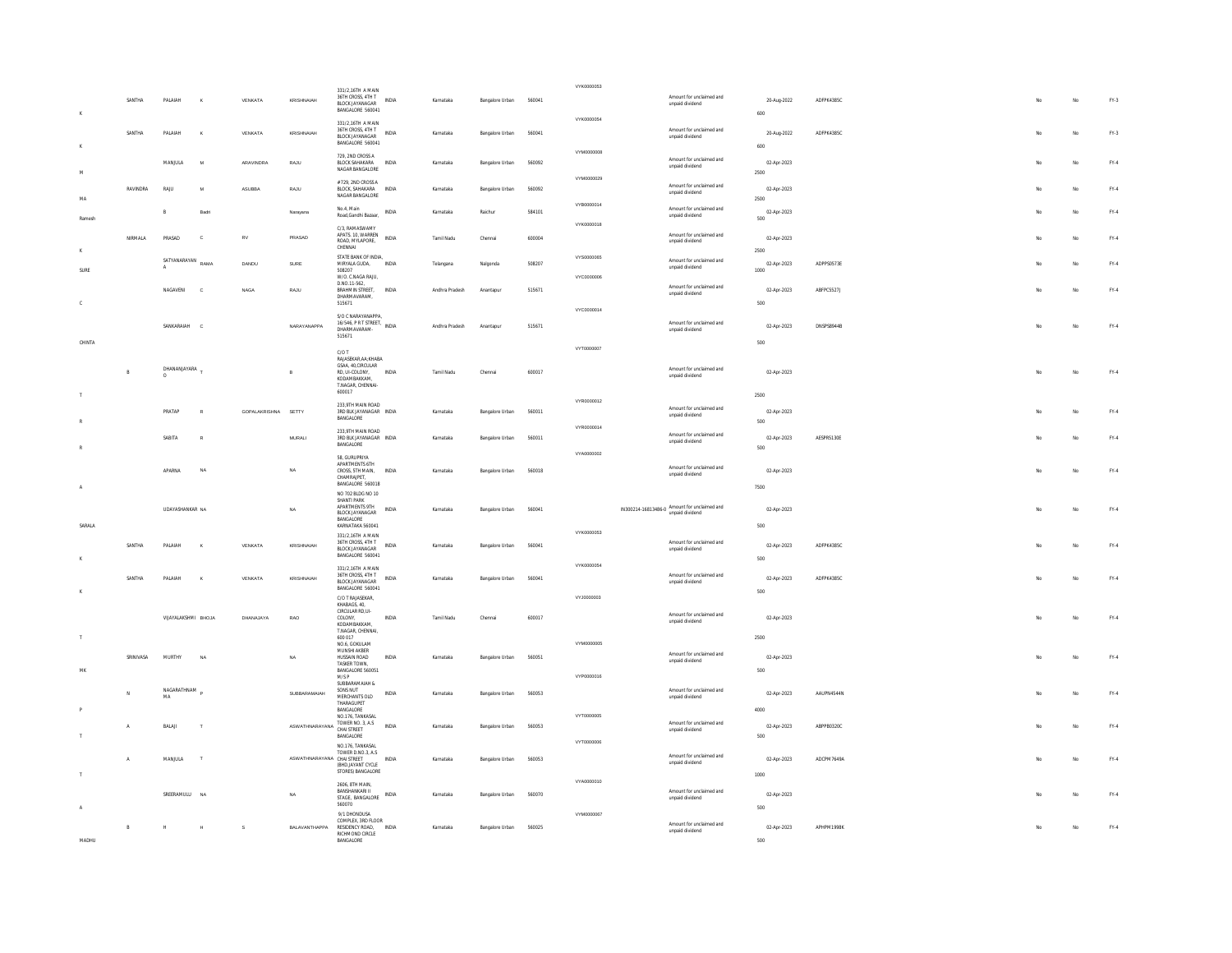|            |              |                              |              |                     |                                 | 331/2.16TH A MAIN                                                           |              |                |                        |        | VYK0000053               |                                                                 |                     |                   |     |    |               |
|------------|--------------|------------------------------|--------------|---------------------|---------------------------------|-----------------------------------------------------------------------------|--------------|----------------|------------------------|--------|--------------------------|-----------------------------------------------------------------|---------------------|-------------------|-----|----|---------------|
| $_{\rm K}$ | SANTHA       | PALAIAH                      |              | VENKATA             | KRISHNAIAH                      | 36TH CROSS, 4TH T<br><b>BLOCK IAYANAGAR</b><br>BANGALORE 560041             | INDIA        | Karnataka      | Bangalore Urban 560041 |        |                          | Amount for unclaimed and<br>unpaid dividend                     | 20-Aug-2022<br>600  | ADFPK4385C        |     | No | FY.3          |
|            | SANTHA       | PALAIAH                      | ×            | VENKATA             | KRISHNAIAH                      | 331/2.16TH A MAIN<br>36TH CROSS, 4TH T<br>BLOCK JAYANAGAR                   | <b>INDIA</b> | Karnataka      | Bangalore Urban        | 560041 | VYK0000054               | Amount for unclaimed and<br>unpaid dividend                     | 20-Aug-2022         | ADFPK4385C        |     | No | FY.3          |
|            |              | MANJULA                      | $\mathbf{M}$ | ARAVINDRA           | RAJU                            | BANGALORE 560041<br>729. 2ND CROSS A<br>BLOCK SAHAKARA                      | INDIA        | Karnataka      | Bangalore Urban        | 560092 | VYM0000008               | Amount for unclaimed and                                        | 600<br>02-Apr-2023  |                   |     | No | FY.4          |
| M.         |              |                              |              |                     |                                 | NAGAR BANGALORE<br># 729 2ND CROSS A                                        |              |                |                        |        | VYM0000029               | unpaid dividend                                                 | 2500                |                   |     |    |               |
| MA         | RAVINDRA     | RAJU                         | M            | ASUBBA              | RAJU                            | BLOCK, SAHAKARA<br>NAGAR BANGALORE                                          | INDIA        | Karnataka      | Bangalore Urban        | 560092 | VYB0000014               | Amount for unclaimed and<br>unpaid dividend                     | 02-Apr-2023<br>2500 |                   |     | No | FY.4          |
| Rames      |              | B                            | Badri        |                     | Narayana                        | No.4, Main<br>Road, Gandhi Bazaar,                                          | INDIA        | Karnataka      | Raichur                | 584101 | VYK0000018               | Amount for unclaimed and<br>unpaid dividend                     | 02-Apr-2023<br>500  |                   |     | No | FY.4          |
|            | NIRMALA      | PRASAD                       | $\mathbf{c}$ | <b>RV</b>           | PRASAD                          | C/3 RAMASWAMY<br>APATS. 10. WARREN<br>ROAD, MYLAPORE,<br>CHENNAL            | <b>INDIA</b> | Tamil Nadu     | Chennai                | 600004 |                          | Amount for unclaimed and<br>unpaid dividend                     | 02-Apr-2023<br>2500 |                   | No  | No | $FY-4$        |
| SLIRE      |              | SATYANARAYAN<br>$\mathbf{A}$ | RAMA         | DANDU               | SURE                            | STATE BANK OF INDIA.<br>MIRYALA GUDA,<br>508207<br>W/O. C.NAGA RAJU,        | INDIA        | Telangana      | Nalgonda               | 508207 | VYS0000065<br>VYC0000006 | Amount for unclaimed and<br>unpaid dividend                     | 02-Apr-2023<br>1000 | ADPPS0573E        |     | No | FY.4          |
| c          |              | NAGAVENI                     | $\mathbf{c}$ | <b>NAGA</b>         | RAJU                            | D.NO.11-562,<br>BRAHMIN STREET.<br>DHARMAVARAM,<br>515671                   | <b>INDIA</b> | Andhra Pradesh | Anantapur              | 515671 |                          | Amount for unclaimed and<br>unpaid dividend                     | 02-Apr-2023<br>500  | ABFPC5527J        |     | No | FY.4          |
|            |              |                              |              |                     |                                 | S/O C NARAYANAPPA.<br>16/546, PR T STREET, INDIA                            |              |                |                        |        | VYC0000014               | Amount for unclaimed and                                        |                     |                   |     |    |               |
| CHINTA     |              | SANKARAIAH C                 |              |                     | NARAYANAPPA                     | DHARMAVARAM-<br>515671                                                      |              | Andhra Pradesh | Anantapur              | 515671 |                          | unpaid dividend                                                 | 02-Apr-2023<br>500  | <b>DNSPSR944R</b> | No  | No | FY.4          |
|            |              |                              |              |                     |                                 | $C/OT$<br>RAJASEKAR AA-KHARA                                                |              |                |                        |        | VYT0000007               |                                                                 |                     |                   |     |    |               |
|            | $\mathbb{R}$ | DHANANJAYARA                 |              |                     | B                               | GSAA, 40, CIRCULAR<br>RD. UI-COLONY.<br>KODAMBAKKAM.<br>T.NAGAR, CHENNAI    | INDIA        | Tamil Nadu     | Chenna                 | 600017 |                          | Amount for unclaimed and<br>unpaid dividend                     | 02-Apr-2023         |                   |     | No | FY.4          |
|            |              |                              |              |                     |                                 | 600017<br>233 9TH MAIN ROAD                                                 |              |                |                        |        | VYR0000012               |                                                                 | 2500                |                   |     |    |               |
|            |              | PRATAF                       |              | GOPALAKRISHNA SETTY |                                 | 3RD BLK JAYANAGAR INDIA<br>BANGALORE                                        |              | Karnataka      | Bangalore Urban        | 560011 | VYR0000014               | Amount for unclaimed and<br>unpaid dividend                     | 02-Apr-2023<br>500  |                   |     | No | FY.4          |
|            |              | SABITA                       | $\mathbb{R}$ |                     | <b>MURALI</b>                   | 233,9TH MAIN ROAD<br>3RD BLK JAYANAGAR INDIA<br>BANGALORE                   |              | Karnataka      | Bangalore Urban        | 560011 | VYA0000002               | Amount for unclaimed and<br>unpaid dividend                     | 02-Apr-2023<br>500  | AESPR5130E        |     | No | FY.4          |
|            |              | <b>APARNA</b>                | NA           |                     | <b>NA</b>                       | 58. GURUPRIYA<br>APARTMENTS 6TH<br>CROSS, 5TH MAIN,<br>CHAMRAJPET,          | <b>INDIA</b> | Karnataka      | Bangalore Urban        | 560018 |                          | Amount for unclaimed and<br>unpaid dividend                     | 02-Apr-2023         |                   | Mo  | No | FY.4          |
|            |              |                              |              |                     |                                 | BANGALORE 560018<br>NO 702 BLDG NO 10<br>SHANTI PARK                        |              |                |                        |        |                          |                                                                 | 7500                |                   |     |    |               |
| SARALA     |              | UDAYASHANKAR NA              |              |                     | <b>NA</b>                       | APARTMENTS 9TH<br>BLOCK JAYANAGAR<br>BANGALORE<br>KARNATAKA 560041          | INDIA        | Karnataka      | Bangalore Urban        | 56004  |                          | IN300214-16813486-0 Amount for unclaimed and<br>unpaid dividend | 02-Apr-2023<br>500  |                   |     | No | $\text{FY-4}$ |
|            | SANTHA       | PALAIAH                      | ×            | VENKATA             | <b>KRISHNAIAH</b>               | 331/2.16TH A MAIN<br>36TH CROSS, 4TH T<br>BLOCK JAYANAGAR                   | <b>INDIA</b> | Karnataka      | Bangalore Urban        | 560041 | VYK0000053               | Amount for unclaimed and<br>unpaid dividend                     | 02-Apr-2023         | ADFPK4385C        | No  | No | FY.4          |
| ĸ          |              |                              |              |                     |                                 | BANGALORE 560041<br>331/2.16TH A MAIN                                       |              |                |                        |        | VYK0000054               |                                                                 | 500                 |                   |     |    |               |
| K          | SANTHA       | PALAIAH                      | K            | VENKATA             | KRISHNAIAH                      | 36TH CROSS, 4TH T<br><b>BLOCK JAYANAGAR</b><br>BANGALORE 560041             | INDIA        | Karnataka      | Bangalore Urban        | 560041 |                          | Amount for unclaimed and<br>unpaid dividend                     | 02-Apr-2023<br>500  | ADFPK4385C        | No. | No | FY.4          |
|            |              |                              |              |                     |                                 | C/O T RAJASEKAR,<br>KHARAGS 40<br>CIRCULAR RD,UI-                           |              |                |                        |        | VYJ0000003               |                                                                 |                     |                   |     |    |               |
| $\top$     |              | VIJAYALAKSHMI BHOJA          |              | DHANAJAYA           | <b>RAO</b>                      | COLONY,<br>KODAMBAKKAM.<br>T.NAGAR, CHENNAI,<br>600.017                     | <b>INDIA</b> | Tamil Nadu     | Chenna                 | 600017 |                          | Amount for unclaimed and<br>unpaid dividend                     | 02-Apr-2023<br>2500 |                   | No  | No | FY.4          |
|            | SRINIVASA    | MURTHY                       | NA           |                     | <b>NA</b>                       | NO.6, GOKULAM<br>MUNSHI AKBER<br>HUSSAIN ROAD                               | <b>INDIA</b> | Karnataka      | Bangalore Urban        | 560051 | VYM0000005               | Amount for unclaimed and                                        | 02-Apr-2023         |                   | No  | No | FY.4          |
| MK         |              |                              |              |                     |                                 | TASKER TOWN,<br>BANGALORE 560051<br>$M/SP$                                  |              |                |                        |        | VYP0000016               | unpaid dividend                                                 | 500                 |                   |     |    |               |
|            |              | NAGARATHNAM<br>MA            |              |                     | SUBBARAMAIAH                    | SUBBARAMAIAH &<br>SONS NUT<br>MERCHANTS OLD<br>THARAGUPET                   | INDIA        | Karnataka      | Bangalore Urban        | 560053 |                          | Amount for unclaimed and<br>unpaid dividend                     | 02-Apr-2023         | AAUPN4544N        |     | No | $FY-4$        |
|            | $\mathbf{A}$ | BALAJI                       | $\mathbf{r}$ |                     | ASWATHNARAYANA TOWER NO. 3, A.S | BANGALORE<br>NO.176, TANKASAL                                               | <b>INDIA</b> | Karnataka      | Rannalore Lirban       | 560053 | VYT0000005               | Amount for unclaimed and<br>unpaid dividend                     | 4000<br>02-Apr-2023 | ARPPR0320C        |     | No | $FY-4$        |
|            |              |                              |              |                     |                                 | <b>RANGALORE</b><br>NO.176, TANKASAL                                        |              |                |                        |        | VYT0000006               |                                                                 | 500                 |                   |     |    |               |
|            | $\Lambda$    | MANILIA                      | T            |                     | ASWATHNARAYANA CHAI STREET      | TOWER D.NO.3, A.S<br>(BHD.JAYANT CYCLE<br>STORES) BANGALORE                 | <b>INDIA</b> | Karnataka      | Bangalore Urban        | 560053 |                          | Amount for unclaimed and<br>unpaid dividend                     | 02-Anr-2023<br>1000 | ADCPM7649A        | No. | No | FY.4          |
|            |              | SREERAMULU                   | NA           |                     | <b>NA</b>                       | 2606, 8TH MAIN,<br>BANSHANKARI II<br>STAGE, BANGALORE                       | INDIA        | Karnataka      | Bangalore Urban        | 560070 | VYA0000010               | Amount for unclaimed and<br>unpaid dividend                     | 02-Apr-2023         |                   |     | No | $\text{FY-4}$ |
|            |              |                              |              |                     |                                 | 560070<br>9/1 DHONDUSA                                                      |              |                |                        |        | VYM0000067               |                                                                 | 500                 |                   |     |    |               |
| MADHU      | R            |                              |              | s                   | BALAVANTHAPPA                   | COMPLEX, 3RD FLOOR<br>RESIDENCY ROAD. INDIA<br>RICHMOND CIRCLE<br>BANGALORE |              | Karnataka      | Bangalore Urban        | 560025 |                          | Amount for unclaimed and<br>unpaid dividend                     | 02-Apr-2023<br>500  | APHPM1998K        |     | No | FY.4          |
|            |              |                              |              |                     |                                 |                                                                             |              |                |                        |        |                          |                                                                 |                     |                   |     |    |               |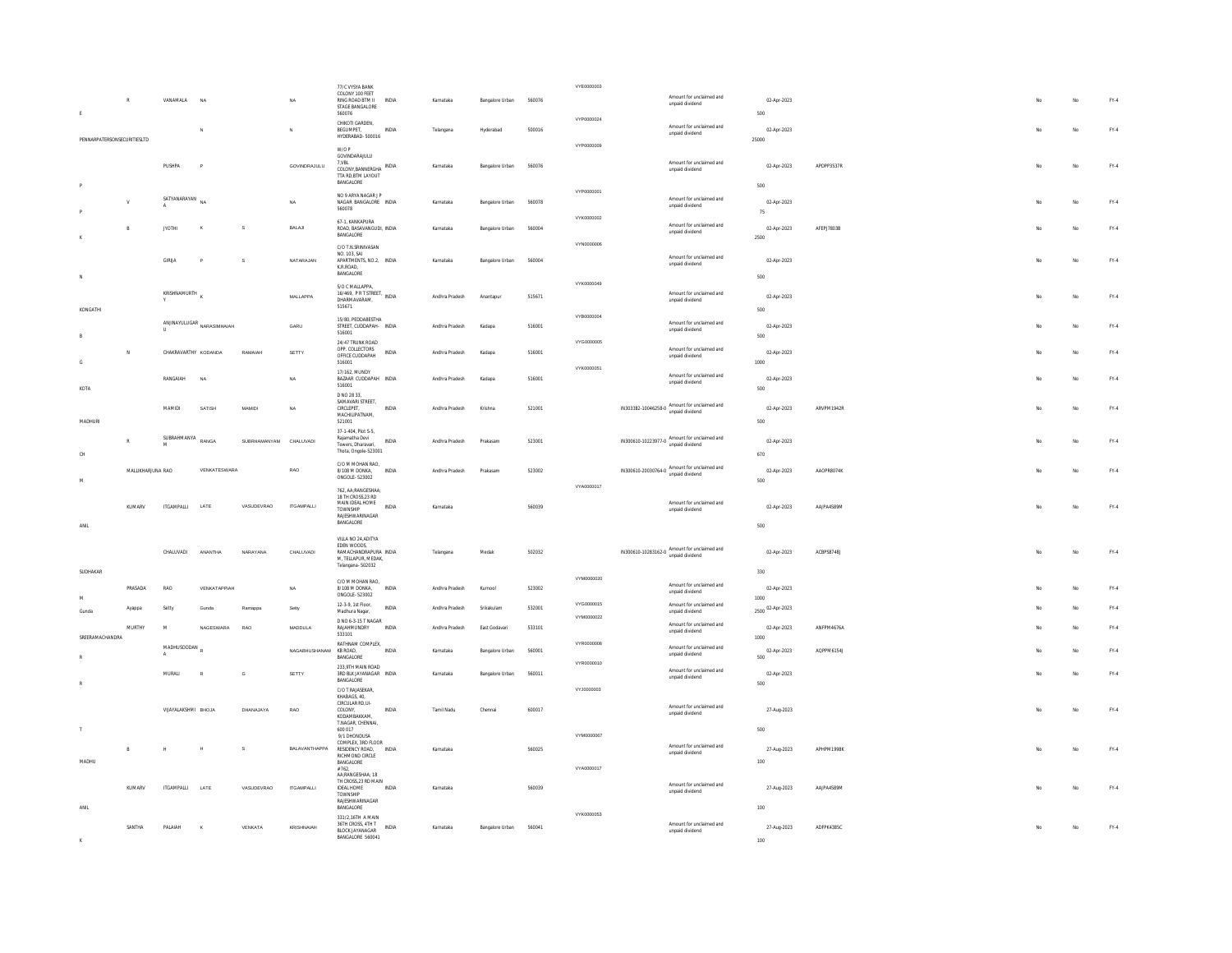|                 | $\mathbb{R}$                | VANAMALA             | NA                            |                        | NA                | 77/C VYSYA BANK<br>COLONY 100 FEET<br>RING ROAD BTM II<br>STAGE BANGALORE                                   | INDIA        | Karnataka      | Bangalore Urban | 560076 | VYE0000003               | Amount for unclaimed and<br>unpaid dividend                            | 02-Apr-2023               |            |  |     | No  | FY.4          |  |
|-----------------|-----------------------------|----------------------|-------------------------------|------------------------|-------------------|-------------------------------------------------------------------------------------------------------------|--------------|----------------|-----------------|--------|--------------------------|------------------------------------------------------------------------|---------------------------|------------|--|-----|-----|---------------|--|
| $\mathsf E$     |                             |                      | N                             |                        | $\mathbb{N}$      | 560076<br>CHIKOTI GARDEN,<br><b>REGUMPET</b>                                                                | INDIA        | Telangana      | Hyderahad       | 500016 | VYP0000024               | Amount for unclaimed and<br>unpaid dividend                            | 500<br>02-Apr-2023        |            |  | No. | No  | FY.4          |  |
|                 | PENNARPATERSONSECURITIESLTD |                      |                               |                        |                   | HYDERABAD-500016<br>W/O P<br>GOVINDARAJULU                                                                  |              |                |                 |        | VYP0000009               |                                                                        | 25000                     |            |  |     |     |               |  |
|                 |                             | PUSHPA               | P                             |                        | GOVINDRAJULU      | 7.VBL<br>COLONY, BANNERGHA INDIA<br>TTA RD RTM LAYOUT<br>BANGALORE                                          |              | Karnataka      | Bangalore Urban | 560076 |                          | Amount for unclaimed and<br>unpaid dividend                            | 02-Apr-2023<br>500        | APDPP3537R |  |     | No. | FY.4          |  |
|                 |                             | SATYANARAYAN NA      |                               |                        | NA                | NO 9 ARYA NAGAR J P<br>NAGAR BANGALORE INDIA<br>560078                                                      |              | Karnataka      | Bangalore Urban | 560078 | VYP0000001               | Amount for unclaimed and<br>unpaid dividend                            | 02-Apr-2023<br>75         |            |  |     | No  | FY.4          |  |
|                 |                             | <b>JYOTHI</b>        |                               | s                      | BALAJI            | 67-1 KANKAPURA<br>ROAD, BASAVANGUDI, INDIA<br>BANGALORE                                                     |              | Karnataka      | Bangalore Urban | 560004 | VYK0000002               | Amount for unclaimed and<br>unpaid dividend                            | 02-Apr-2023<br>2500       | AFEPJ7803B |  |     | No  | FY.4          |  |
|                 |                             | <b>GIRLIA</b>        |                               | s                      | NATARAJAN         | C/O T.N.SRINIVASAN<br>NO 103 SAL<br>APARTMENTS, NO.2, INDIA<br>K.R.ROAD,<br>BANGALORE                       |              | Karnataka      | Bangalore Urban | 560004 | VYN0000006               | Amount for unclaimed and<br>unpaid dividend                            | 02-Apr-2023<br>500        |            |  |     | No  | FY.4          |  |
| KONGATHI        |                             | KRISHNAMURTH         |                               |                        | MALLAPPA          | S/O C MALLAPPA<br>16/469, PR T STREET, INDIA<br>DHARMAVARAM,<br>515671                                      |              | Andhra Pradesh | Anantapur       | 515671 | VYK0000049               | Amount for unclaimed and<br>unpaid dividend                            | 02-Apr-2023<br>500        |            |  | No. | No  | FY.4          |  |
| B               |                             |                      | ANJINAYULUGAR<br>NARASIMHAJAH |                        | GARU              | 15/80 PEDDARESTHA<br>STREET, CUDDAPAH- INDIA<br>516001                                                      |              | Andhra Pradesh | Kadapa          | 516001 | VYB0000004               | Amount for unclaimed and<br>unpaid dividend                            | 02-Apr-2023<br>500        |            |  |     | No  | FY.4          |  |
| G               | N                           | CHAKRAVARTHY KODANDA |                               | RAMAIAH                | SETTY             | 24/47 TRUNK ROAD<br>OPP. COLLECTORS<br>OFFICE CUDDAPAH<br>516001                                            | <b>INDIA</b> | Andhra Pradesh | Kadapa          | 516001 | VYG0000005               | Amount for unclaimed and<br>unpaid dividend                            | 02-Apr-2023<br>1000       |            |  | No. | No  | FY.4          |  |
| KOTA            |                             | RANGAIAH             | NA                            |                        | <b>NA</b>         | 17/162, MUNDY<br>BAZAAR CUDDAPAH INDIA<br>516001                                                            |              | Andhra Pradesh | Kadapa          | 516001 | VYK0000051               | Amount for unclaimed and<br>unpaid dividend                            | 02-Apr-2023<br>500        |            |  |     | No  | FY.4          |  |
| MADHLIRL        |                             | MAMIDI               | SATISH                        | <b>MAMIDI</b>          | NA                | D NO 28 33,<br>SAMAVARI STREET,<br>CIRCLEPET,<br>MACHILIPATNAM,<br>521001                                   | <b>INDIA</b> | Andhra Pradesh | Krishna         | 521001 |                          | $IN303382-10046258-0$ Amount for unclaimed and<br>unpaid dividend      | 02-Apr-2023<br>500        | ARVPM1942R |  | No  | No  | $FY-4$        |  |
| CH              |                             | SUBRAHMANYA<br>M     | RANGA                         | SUBRHAMANYAM CHALUVADI |                   | 37-1-404, Plot S-5,<br>Rajamatha Devi<br>Towers Dharavari<br>Thota, Ongole-523001                           | INDIA        | Andhra Pradesh | Prakasam        | 523001 |                          | $IN300610-10223977-0 \text{ Amount for unclaimed and unpaid dividend}$ | 02-Apr-2023<br>670        |            |  |     | No  | FY.4          |  |
| M               | MALLIKHARJUNA RAO           |                      | VENKATESWARA                  |                        | RAO               | C/O M MOHAN RAO.<br>8/108 M DONKA,<br>ONGOLE-523002                                                         | INDIA        | Andhra Pradesh | Prakasan        | 523002 |                          | IN300610-20030764-0 Amount for unclaimed and                           | 02-Apr-2023<br>500        | AAOPR8074K |  |     | No  | FY.4          |  |
| $\mathsf{ANIL}$ | KUMARV                      | <b>ITGAMPALLI</b>    | LATE                          | VASUDEVRAO             | <b>ITGAMPALLI</b> | 762 AA-RANGESHAA<br>18 TH CROSS 23 RD<br>MAIN IDEAL HOME<br>TOWNSHIP<br>RAJESHWARINAGAR<br><b>BANGALORE</b> | INDIA        | Karnataka      |                 | 560039 | VYA0000017               | Amount for unclaimed and<br>unpaid dividend                            | 02-Apr-2023<br>500        | AAJPA4589M |  |     | No  | FY.4          |  |
| SUDHAKAR        |                             | CHALUVADI            | ANANTHA                       | NARAYANA               | CHALUVADI         | VILLA NO 24, ADITYA<br>FDFN WOODS<br>RAMACHANDRAPURA INDIA<br>M, TELLAPUR, MEDAK,<br>Telangana-502032       |              | Telangana      | Medal           | 502032 |                          | IN300610-10283162-0 Amount for unclaimed and                           | 02-Apr-2023<br>330        | ACBPS8748J |  |     | No  | FY.4          |  |
| M               | PRASADA                     | RAO                  | VENKATAPPIAH                  |                        | NA                | C/O M MOHAN RAO,<br>8/108 M DONKA.<br>ONGOLE-523002                                                         | INDIA        | Andhra Pradesh | Kurnool         | 523002 | VYM0000020               | Amount for unclaimed and<br>unpaid dividend                            | 02-Apr-2023<br>1000       |            |  |     | No  | FY.4          |  |
| Gunda           | Ayappa                      | Setty                | Gunda                         | Ramappa                | Setty             | 12-3-9, 1st Floor,<br>Madhura Nagar,<br>D NO 6-3-15 T NAGAR                                                 | INDIA        | Andhra Pradesh | Srikakulam      | 532001 | VYG0000015<br>VYM0000022 | Amount for unclaimed and<br>unpaid dividend                            | 2500 02-Apr-2023          |            |  |     | No  | FY.4          |  |
| SREERAMACHANDRA | MURTHY                      | M                    | NAGESWARA                     | RAO                    | MADDULA           | RAJAHMUNDRY<br>533101<br>RATHNAM COMPLEX,                                                                   | <b>INDIA</b> | Andhra Pradesh | East Godavari   | 533101 | VYR0000008               | Amount for unclaimed and<br>unpaid dividend                            | 02-Apr-2023<br>1000       | ANFPM4676A |  |     | No  | FY.4          |  |
|                 |                             | MADHUSOODAN          |                               |                        | NAGABHUSHANAM     | KB ROAD,<br><b>BANGALORE</b><br>233.9TH MAIN ROAD                                                           | INDIA        | Karnataka      | Bangalore Urban | 560001 | VYR0000010               | Amount for unclaimed and<br>unpaid dividend                            | 02-Apr-2023<br>500        | AQPPM6154J |  |     | No  | $\text{FY-4}$ |  |
|                 |                             | MURALI               |                               | G                      | SETTY             | 3RD BLK JAYANAGAR INDIA<br><b>BANGALORE</b><br>C/O T RAJASEKAR<br>KHABAGS, 40,                              |              | Karnataka      | Bangalore Urban | 560011 | VYJ0000003               | Amount for unclaimed and<br>unpaid dividend                            | 02-Apr-2023<br>500        |            |  |     | No  | $\text{FY-4}$ |  |
|                 |                             | VIJAYALAKSHMI BHOJA  |                               | DHANAJAYA              | RAO               | CIRCULAR RD.UI-<br>COLONY,<br>KODAMRAKKAM<br>T.NAGAR, CHENNAI,                                              | INDIA        | Tamil Nadu     | Chennai         | 600017 |                          | Amount for unclaimed and<br>unpaid dividend                            | 27-Aug-2023               |            |  |     | No  | FY.4          |  |
| MADHU           | B                           | $\mathbb{H}$         | <b>M</b>                      | $\mathbf{s}$           | BALAVANTHAPPA     | 600 017<br>9/1 DHONDUSA<br>COMPLEX, 3RD FLOOR<br>RESIDENCY ROAD<br>RICHMOND CIRCLE<br><b>BANGALORE</b>      | INDIA        | Karnataka      |                 | 560025 | VYM0000067               | Amount for unclaimed and<br>unpaid dividend                            | 500<br>27-Aug-2023<br>100 | APHPM1998K |  |     | No  | FY.4          |  |
|                 | KUMARV                      | <b>ITGAMPALLI</b>    | LATE                          | VASUDEVRAO             | <b>ITGAMPALLI</b> | #762.<br>AA:RANGESHAA: 18<br>TH CROSS 23 RD MAIN<br><b>IDEAL HOME</b><br>TOWNSHIP                           | <b>INDIA</b> | Karnataka      |                 | 560039 | VYA0000017               | Amount for unclaimed and<br>unpaid dividend                            | 27-Aug-2023               | AAJPA4589M |  |     | No. | FY.4          |  |
|                 | SANTHA                      | PAI AIAH             |                               | VENKATA                | KRISHNAIAH        | RAJESHWARINAGAR<br>BANGALORE<br>331/2,16TH A MAIN<br>36TH CROSS, 4TH T                                      | <b>INDIA</b> | Karnataka      | Bangalore Urban | 560041 | VYK0000053               | Amount for unclaimed and                                               | 100<br>27-Aug-2023        | ADFPK4385C |  |     | No  | FY.4          |  |
|                 |                             |                      |                               |                        |                   | <b>BLOCK JAYANAGAR</b><br>BANGALORE 560041                                                                  |              |                |                 |        |                          | unpaid dividend                                                        | 100                       |            |  |     |     |               |  |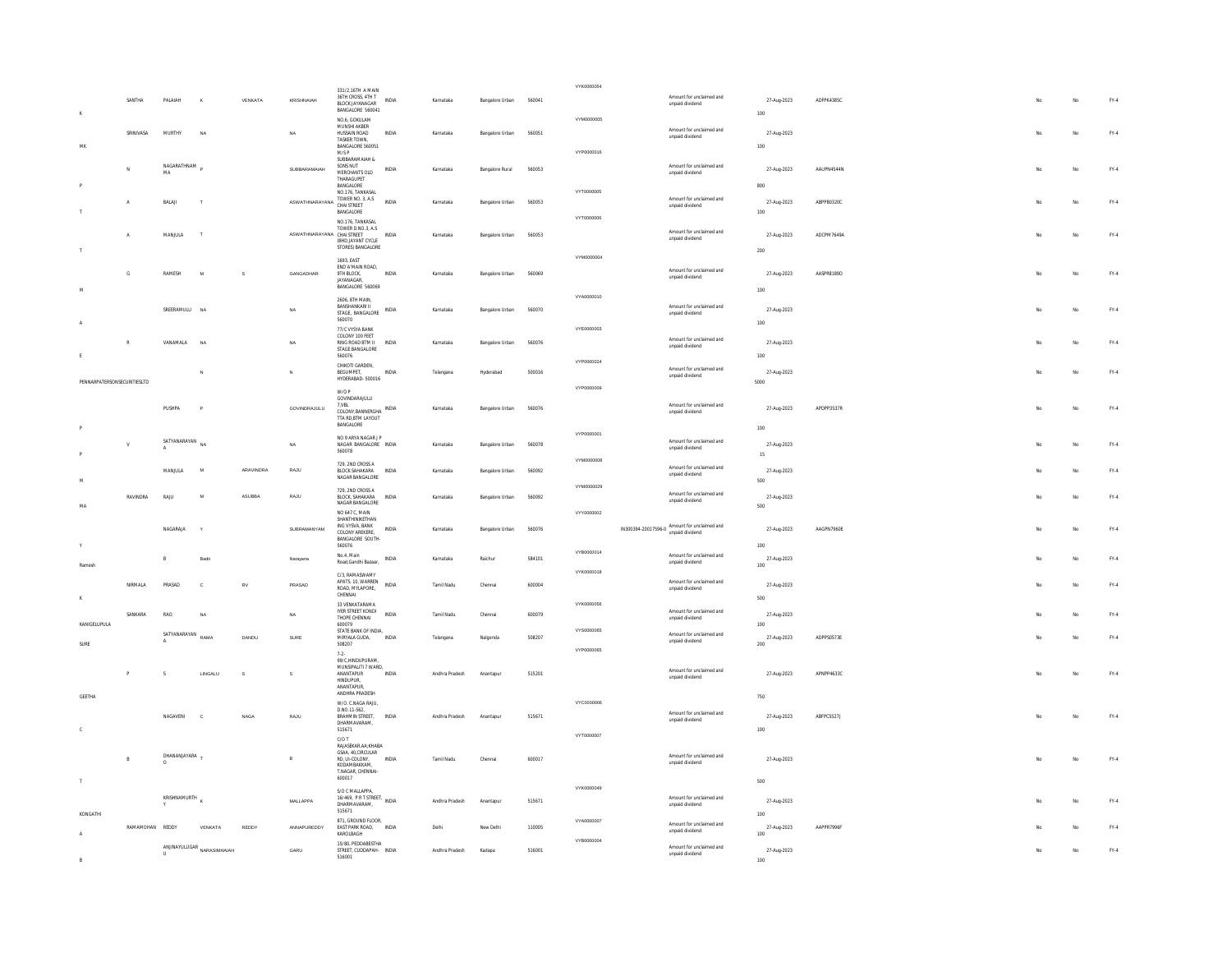|                             |                 |               |                                                                           |              |                                  | 331/2,16TH A MAIN                                               |              |                |                         |        | VYK0000054 |                                              |                    |            |     |             |                                 |
|-----------------------------|-----------------|---------------|---------------------------------------------------------------------------|--------------|----------------------------------|-----------------------------------------------------------------|--------------|----------------|-------------------------|--------|------------|----------------------------------------------|--------------------|------------|-----|-------------|---------------------------------|
|                             | SANTHA          | PALAIAH       |                                                                           | VENKATA      | KRISHNAIAH                       | 36TH CROSS, 4TH T<br><b>BLOCK JAYANAGAR</b><br>BANGALORE 560041 | INDIA        | Karnataka      | Bangalore Urban         | 560041 |            | Amount for unclaimed and<br>unpaid dividend  | 27-Aug-2023        | ADFPK4385C |     | No          | FY.4                            |
|                             |                 |               |                                                                           |              |                                  | NO.6. GOKULAM<br>MUNSHI AKBER                                   |              |                |                         |        | VYM0000005 |                                              | 100                |            |     |             |                                 |
|                             | SRINIVASA       | <b>MURTHY</b> | <b>NA</b>                                                                 |              | NA                               | HUSSAIN ROAD<br>TASKER TOWN,                                    | <b>INDIA</b> | Karnataka      | Bangalore Urban         | 560051 |            | Amount for unclaimed and<br>unpaid dividend  | 27-Aug-2023        |            | No  | No          | $FY-4$                          |
| MK                          |                 |               |                                                                           |              |                                  | BANGALORE 560051<br>$\mathsf{M}/\mathsf{S}$ P                   |              |                |                         |        | VYP0000016 |                                              | 100                |            |     |             |                                 |
|                             | N               | NAGARATHNAM   |                                                                           |              | SUBBARAMAIAH                     | SUBBARAMAIAH &<br>SONS NUT                                      | <b>INDIA</b> | Karnataka      | Bangalore Rural         | 560053 |            | Amount for unclaimed and                     | 27-Aug-2023        | AAUPN4544N |     | No          | FY.4                            |
|                             |                 | MA            |                                                                           |              |                                  | MERCHANTS OLD<br>THARAGUPET<br><b>RANGALORE</b>                 |              |                |                         |        |            | unpaid dividend                              | 800                |            |     |             |                                 |
|                             |                 |               |                                                                           |              |                                  | NO.176, TANKASAL                                                |              |                |                         |        | VYT0000005 | Amount for unclaimed and                     |                    |            |     |             |                                 |
|                             | A               | BALAJI        |                                                                           |              | ASWATHNARAYANA TOWER NO. 3, A.S. | BANGALORE                                                       | INDIA        | Karnataka      | Bangalore Urban         | 560053 |            | unpaid dividend                              | 27-Aug-2023<br>100 | ABPPB0320C |     | No          | FY.4                            |
|                             |                 |               |                                                                           |              |                                  | NO 176 TANKASAI<br>TOWER D.NO.3, A.S.                           |              |                |                         |        | VYT0000006 |                                              |                    |            |     |             |                                 |
|                             | A               | MANJULA       | T                                                                         |              | ASWATHNARAYANA CHAI STREET       | (BHD.JAYANT CYCLE                                               | <b>INDIA</b> | Karnataka      | Bangalore Urban         | 560053 |            | Amount for unclaimed and<br>unpaid dividend  | 27-Aug-2023        | ADCPM7649A |     | No          | FY.4                            |
|                             |                 |               |                                                                           |              |                                  | STORES) BANGALORE                                               |              |                |                         |        | VYM0000004 |                                              | 200                |            |     |             |                                 |
|                             | $\mathfrak{c}$  | RAMESH        | M                                                                         |              | GANGADHAR                        | 1693 FAST<br>END' A'MAIN ROAD.<br>9TH RLOCK                     | <b>INDIA</b> | Karnataka      | Bangalore Urban         | 560069 |            | Amount for unclaimed and                     |                    | AASPR8189D |     | No.         | FY.4                            |
|                             |                 |               |                                                                           |              |                                  | JAYANAGAR,<br>BANGALORE 560069                                  |              |                |                         |        |            | unpaid dividend                              | 27-Aug-2023        |            |     |             |                                 |
|                             |                 |               |                                                                           |              |                                  | 2606, 8TH MAIN,                                                 |              |                |                         |        | VYA0000010 |                                              | 100                |            |     |             |                                 |
|                             |                 | SREERAMULU    | <b>NA</b>                                                                 |              | NA                               | BANSHANKARI II<br>STAGE, BANGALORE                              | INDIA        | Karnataka      | Bangalore Urban         | 560070 |            | Amount for unclaimed and<br>unpaid dividend  | 27-Aug-2023        |            |     | No          | FY.4                            |
|                             |                 |               |                                                                           |              |                                  | 560070<br>77/C VYSYA BANK                                       |              |                |                         |        | VYE0000003 |                                              | 100                |            |     |             |                                 |
|                             | R               | VANAMALA      | NA                                                                        |              | NA                               | COLONY 100 FEET<br>RING ROAD BTM II                             | <b>INDIA</b> | Karnataka      | Bangalore Urban         | 560076 |            | Amount for unclaimed and<br>unpaid dividend  | 27-Aug-2023        |            |     | No          | FY.4                            |
| F.                          |                 |               |                                                                           |              |                                  | STAGE BANGALORE<br>560076                                       |              |                |                         |        | VYP0000024 |                                              | 100                |            |     |             |                                 |
|                             |                 |               | N                                                                         |              | N                                | CHIKOTI GARDEN,<br><b>REGUMPET</b>                              | <b>INDIA</b> | Telangana      | Hyderabad               | 500016 |            | Amount for unclaimed and<br>unpaid dividend  | 27-Aug-2023        |            |     | No          | $FY-4$                          |
| PENNARPATERSONSECURITIESLTD |                 |               |                                                                           |              |                                  | HYDERABAD-500016<br>W/O P                                       |              |                |                         |        | VYP0000009 |                                              | 5000               |            |     |             |                                 |
|                             |                 |               |                                                                           |              |                                  | GOVINDARAJULU<br>7,VBL                                          |              |                |                         |        |            | Amount for unclaimed and                     |                    |            |     |             |                                 |
|                             |                 | PHSHPA        | $\circ$                                                                   |              | GOVINDRAJULU                     | COLONY,BANNERGHA INDIA<br>TTA RD.BTM LAYOUT                     |              | Karnataka      | <b>Bannalore Urban</b>  | 560076 |            | unpaid dividend                              | 27-Aug-2023        | APDPP3537R | No. | No          | $FY-4$                          |
|                             |                 |               |                                                                           |              |                                  | <b>BANGALORE</b>                                                |              |                |                         |        | VYP0000001 |                                              | 100                |            |     |             |                                 |
|                             | v               | SATYANARAYAN  | <b>NA</b>                                                                 |              | NA                               | NO 9 ARYA NAGAR J P<br>NAGAR BANGALORE INDIA<br>560078          |              | Karnataka      | Bangalore Urban         | 560078 |            | Amount for unclaimed and<br>unpaid dividend  | 27-Aug-2023        |            | No. | No          | $FY-4$                          |
|                             |                 |               |                                                                           |              |                                  | 729, 2ND CROSS A                                                |              |                |                         |        | VYM0000008 |                                              | 15                 |            |     |             |                                 |
|                             |                 | MANILLA       | M                                                                         | ARAVINDRA    | RA.ILL                           | <b>BLOCK SAHAKARA</b><br>NAGAR BANGALORE                        | <b>INDIA</b> | Karnataka      | <b>Bangalore Lirban</b> | 560092 |            | Amount for unclaimed and<br>unpaid dividend  | 27-Aug-2023<br>500 |            |     | No          | $FY-4$                          |
|                             |                 |               |                                                                           |              |                                  | 729, 2ND CROSS A                                                |              |                |                         |        | VYM0000029 | Amount for unclaimed and                     |                    |            |     |             |                                 |
| MA                          | RAVINDRA        | RAJU          | M                                                                         | ASUBBA       | RAJU                             | BLOCK, SAHAKARA<br>NAGAR BANGALORE                              | <b>INDIA</b> | Karnataka      | Bangalore Urban         | 560092 |            | unpaid dividend                              | 27-Aug-2023<br>500 |            |     | No          | FY.4                            |
|                             |                 |               |                                                                           |              |                                  | NO 647 C, MAIN<br>SHANTHINIKETHAN                               |              |                |                         |        | VYY0000002 |                                              |                    |            |     |             |                                 |
|                             |                 | NAGARAJA      |                                                                           |              | SUBRAMANYAM                      | ING VYSVA, BANK<br>COLONY AREKERE.<br>BANGALORE SOUTH-          | <b>INDIA</b> | Karnataka      | Bangalore Urban         | 560076 |            | IN300394-20017596-0 Amount for unclaimed and | 27-Aug-2023        | AAGPN7960E |     | No          | FY.4                            |
|                             |                 |               |                                                                           |              |                                  | 560076                                                          |              |                |                         |        | VYB0000014 |                                              | 100                |            |     |             |                                 |
| Ramesh                      |                 | $\mathbb{R}$  | <b>Radri</b>                                                              |              | Narayana                         | No.4, Main<br>Road, Gandhi Bazaar,                              | <b>INDIA</b> | Karnataka      | Raichur                 | 584101 |            | Amount for unclaimed and<br>unpaid dividend  | 27-Aug-2023<br>100 |            |     | No          | $FY-4$                          |
|                             |                 |               |                                                                           |              |                                  | C/3, RAMASWAMY<br>APATS. 10. WARREN                             |              |                |                         |        | VYK0000018 | Amount for unclaimed and                     |                    |            |     |             |                                 |
|                             | NIRMALA         | PRASAD        | $\mathbf{c}$                                                              | <b>RV</b>    | PRASAD                           | ROAD, MYLAPORE,<br>CHENNAL                                      | <b>INDIA</b> | Tamil Nadu     | Chennai                 | 600004 |            | unpaid dividend                              | 27-Aug-2023<br>500 |            |     | No          | $FY-4$                          |
|                             |                 |               |                                                                           |              |                                  | 33 VENKATARAMA                                                  |              |                |                         |        | VYK0000056 | Amount for unclaimed and                     |                    |            |     |             |                                 |
| KANIGELUPULA                | SANKARA         | RAO           | <b>NA</b>                                                                 |              | NA                               | THE STREET KONDI<br>600079                                      | INDIA        | Tamil Nadu     | Chennai                 | 600079 |            | unpaid dividend                              | 27-Aug-2023<br>100 |            |     | $_{\rm No}$ | FY.4                            |
| SURE                        |                 | SATYANARAYAN  | RAM                                                                       | DANDU        | SURE                             | STATE BANK OF INDIA.<br>MIRYALA GUDA,                           | <b>INDIA</b> | Telangana      | Nalgond:                | 508207 | VYS0000065 | Amount for unclaimed and<br>unpaid dividend  | 27-Aug-2023<br>200 | ADPPS0573E |     | No          | FY.4                            |
|                             |                 |               |                                                                           |              |                                  | 508207<br>$7-2-$                                                |              |                |                         |        | VYP0000065 |                                              |                    |            |     |             |                                 |
|                             |                 | $\mathsf{s}$  |                                                                           | $\mathbf{s}$ |                                  | 99/C.HINDUPURAM.<br>MUNSIPALITI 7 WARD.                         | <b>INDIA</b> |                |                         |        |            | Amount for unclaimed and                     |                    | APNPP4633C | No  |             |                                 |
|                             |                 |               | LINGALU                                                                   |              | s                                | ANANTAPUR<br>HINDUPUR.<br>ANANTAPUR                             |              | Andhra Pradesh | Anantapu                | 515201 |            | unpaid dividend                              | 27-Aug-2023        |            |     | No          | FY.4                            |
| GEETHA                      |                 |               |                                                                           |              |                                  | ANDHRA PRADESH<br>W/O. C.NAGA RAJU,                             |              |                |                         |        | VYC0000006 |                                              | 750                |            |     |             |                                 |
|                             |                 | NAGAVENI      | $\mathbf{C}$                                                              | NAGA         | RAJU                             | D.NO.11-562.<br>BRAHMIN STREET,                                 | INDIA        | Andhra Pradesh | Anantapur               | 515671 |            | Amount for unclaimed and                     | 27-Aug-2023        | ABFPC5527J | No. | No          | $\mathsf{FY}\text{-}\mathsf{4}$ |
|                             |                 |               |                                                                           |              |                                  | DHARMAVARAM,<br>515671                                          |              |                |                         |        |            | unpaid dividend                              | 100                |            |     |             |                                 |
|                             |                 |               |                                                                           |              |                                  | C/OT<br>RAJASEKAR AA:KHABA                                      |              |                |                         |        | VYT0000007 |                                              |                    |            |     |             |                                 |
|                             | B               | DHANANJAYARA  |                                                                           |              | $\overline{B}$                   | GSAA, 40, CIRCULAR<br>RD. UI-COLONY.                            | <b>INDIA</b> | Tamil Nadu     | Chennai                 | 600017 |            | Amount for unclaimed and                     | 27-Aug-2023        |            | No  | No          | FY.4                            |
|                             |                 |               |                                                                           |              |                                  | KODAMBAKKAM,<br>T.NAGAR, CHENNAI-                               |              |                |                         |        |            | unpaid dividend                              |                    |            |     |             |                                 |
| $\top$                      |                 |               |                                                                           |              |                                  | 600017<br>S/O C MALLAPPA,                                       |              |                |                         |        | VYK0000049 |                                              | 500                |            |     |             |                                 |
|                             |                 | KRISHNAMURTH  |                                                                           |              | MALLAPPA                         | 16/469, PR T STREET, INDIA<br>DHARMAVARAM,                      |              | Andhra Pradesh | Anantapur               | 515671 |            | Amount for unclaimed and<br>unpaid dividend  | 27-Aug-2023        |            |     | $_{\rm No}$ | FY.4                            |
| KONGATHI                    |                 |               |                                                                           |              |                                  | 515671                                                          |              |                |                         |        | VYA0000007 |                                              | 100                |            |     |             |                                 |
| $\Lambda$                   | RAMAMOHAN REDDY |               | VENKATA                                                                   | REDDY        | ANNAPUREDDY                      | 871, GROUND FLOOR,<br>EAST PARK ROAD,<br>KAROLBAGH              | INDIA        | Delhi          | New Delhi               | 110005 |            | Amount for unclaimed and<br>unpaid dividend  | 27-Aug-2023<br>100 | AAPPR7996F |     | No          | FY.4                            |
|                             |                 |               | $\begin{array}{c} \text{ANINAYULUGAR} \\ \text{NARASIMHAIAH} \end{array}$ |              | $_{\mbox{\scriptsize{GARU}}}$    | 15/80 PEDDARESTHA<br>STREET, CUDDAPAH- INDIA                    |              | Andhra Pradesh | Kadapa                  | 516001 | VYB0000004 | Amount for unclaimed and                     | 27-Aug-2023        |            |     | No          | $\text{FY-4}$                   |
|                             |                 |               |                                                                           |              |                                  | 516001                                                          |              |                |                         |        |            | unpaid dividend                              | 100                |            |     |             |                                 |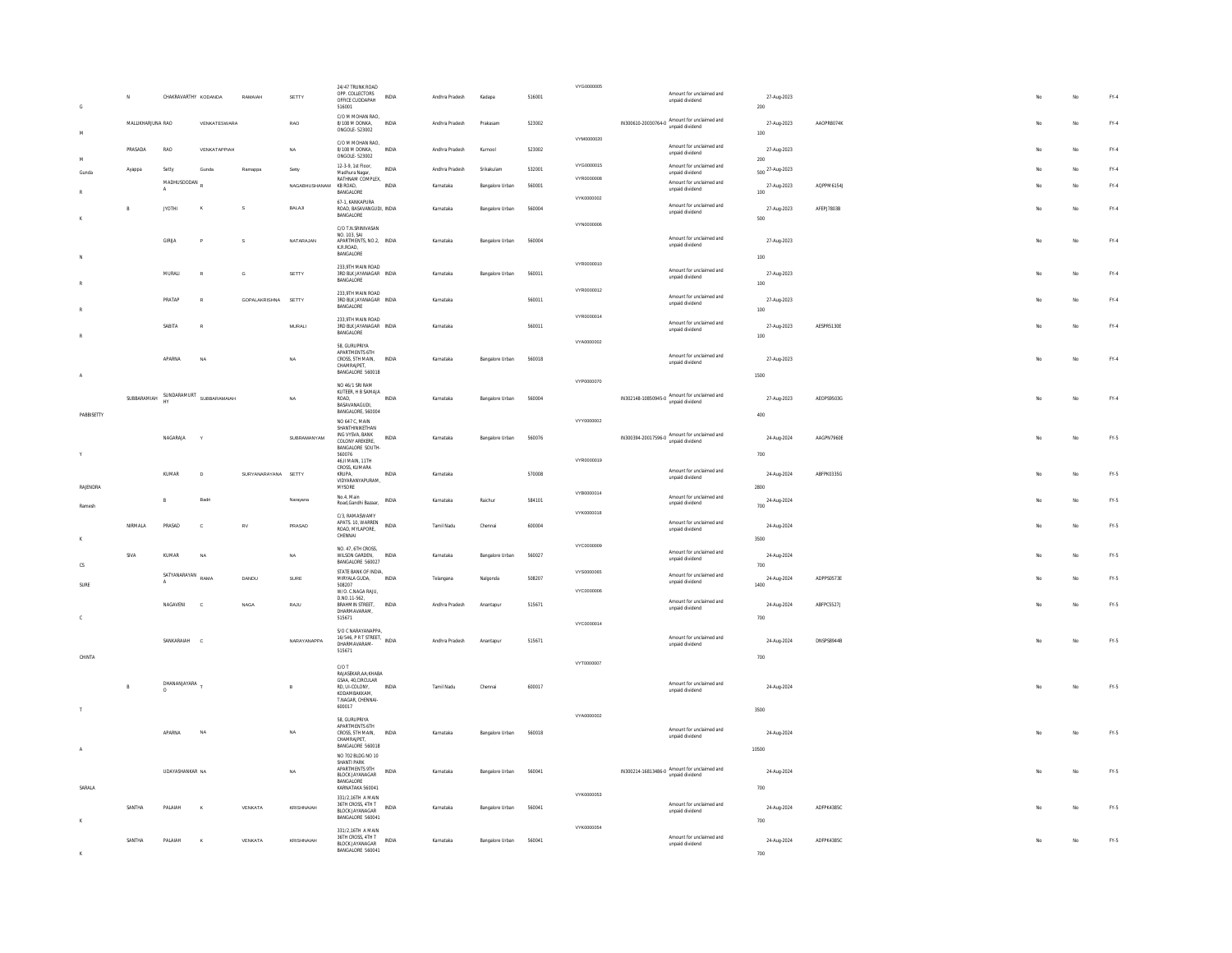|                |                     |                            |                                      |                     |                        | 24/47 TRUNK ROAD                                                                          |              |                |                        |        | VYG0000005 |                                                                 |                          |                                   |                   |  |     |             |               |
|----------------|---------------------|----------------------------|--------------------------------------|---------------------|------------------------|-------------------------------------------------------------------------------------------|--------------|----------------|------------------------|--------|------------|-----------------------------------------------------------------|--------------------------|-----------------------------------|-------------------|--|-----|-------------|---------------|
| $\mathsf{G}$   | N                   | CHAKRAVARTHY KODANDA       |                                      | RAMAJAH             | SETTY                  | OPP. COLLECTORS<br>OFFICE CUDDAPAH<br>516001                                              | <b>INDIA</b> | Andhra Pradesh | Kadapa                 | 516001 |            | unpaid dividend                                                 | Amount for unclaimed and | 27-Aug-2023<br>200                |                   |  |     | No          | FY.4          |
| M              | MALLIKHAR ILINA RAO |                            | VENKATESWARA                         |                     | RAO                    | C/O M MOHAN RAO,<br>8/108 M DONKA<br>ONGOLE - 523002                                      | INDIA        | Andhra Pradesh | Prakasam               | 523002 |            | IN300610-20030764-0 Amount for unclaimed and<br>unpaid dividend |                          | 27-Aug-2023<br>100                | AAOPRR074K        |  |     | No          | $FY-4$        |
|                | PRASADA             | RAO                        | VENKATAPPIAH                         |                     | NA                     | C/O M MOHAN RAO,<br>8/108 M DONKA,<br>ONGOLE-523002                                       | INDIA        | Andhra Pradesh | Kurnool                | 523002 | VYM0000020 | unpaid dividend                                                 | Amount for unclaimed and | 27-Aug-2023                       |                   |  |     | $_{\rm No}$ | $\text{FY-4}$ |
| M<br>Gunda     | Ayappa              | Setty                      | Gunda                                | Ramappa             | Setty                  | 12-3-9, 1st Floor,<br>Madhura Nanar                                                       | INDIA        | Andhra Pradesh | Srikakulam             | 532001 | VYG0000015 | unpaid dividend                                                 | Amount for unclaimed and | 200<br>500 <sup>27-Aug-2023</sup> |                   |  |     | No          | FY.4          |
|                |                     | MADHUSOODAN                |                                      |                     | NAGABHUSHANAM KB ROAD. | RATHNAM COMPLEX,<br>BANGALORE                                                             | <b>INDIA</b> | Karnataka      | Bangalore Urban        | 560001 | VYR0000008 | unpaid dividend                                                 | Amount for unclaimed and | 27-Aug-2023<br>100                | AQPPM6154J        |  |     | No          | $FY-4$        |
|                | R                   | <b>IYOTHI</b>              | ×                                    | s                   | BALAJI                 | 67-1. KANKAPURA<br>ROAD, BASAVANGUDI, INDIA                                               |              | Karnataka      | <b>Bangalore Urban</b> | 560004 | VYK0000002 |                                                                 | Amount for unclaimed and | 27-Aug-2023                       | <b>AFFPI7803R</b> |  | Mo  | No          | FY.4          |
|                |                     |                            |                                      |                     |                        | BANGALORE<br>C/O T.N.SRINIVASAN                                                           |              |                |                        |        | VYN0000006 | unpaid dividend                                                 |                          | 500                               |                   |  |     |             |               |
|                |                     | GIRLIA                     |                                      | s                   | NATARAJAN              | NO 103 SAL<br>APARTMENTS, NO.2, INDIA<br>K R ROAD<br>BANGALORE                            |              | Karnataka      | Bangalore Urban        | 560004 |            | unpaid dividend                                                 | Amount for unclaimed and | 27-Aug-2023<br>100                |                   |  | No  | No          | FY.4          |
|                |                     | MURALI                     | $\circ$                              | G                   | SETTY                  | 233.9TH MAIN ROAD<br>3RD BLK JAYANAGAR INDIA                                              |              | Karnataka      | Bangalore Urban        | 560011 | VYR0000010 | unpaid dividend                                                 | Amount for unclaimed and | 27-Aug-2023                       |                   |  |     | No          | FY.4          |
|                |                     |                            |                                      |                     |                        | BANGALORE<br>233.9TH MAIN ROAD                                                            |              |                |                        |        | VYR0000012 |                                                                 | Amount for unclaimed and | 100                               |                   |  |     |             |               |
|                |                     | PRATAP                     |                                      | GOPALAKRISHNA       | SETTY                  | 3RD BLK JAYANAGAR INDIA<br>BANGALORE                                                      |              | Karnataka      |                        | 560011 |            | unpaid dividend                                                 |                          | 27-Aug-2023<br>100                |                   |  |     | No          | FY.4          |
|                |                     | SABITA                     |                                      |                     | $\texttt{MURALI}$      | 233 9TH MAIN ROAD<br>3RD BLK JAYANAGAR INDIA<br><b>BANGALORE</b>                          |              | Karnataka      |                        | 560011 | VYR0000014 | unpaid dividend                                                 | Amount for unclaimed and | 27-Aug-2023                       | AESPR5130E        |  |     | No          | $\text{FY-4}$ |
|                |                     |                            |                                      |                     |                        | 58. GURUPRIYA<br>APARTMENTS 6TH                                                           |              |                |                        |        | VYA0000002 |                                                                 |                          | 100                               |                   |  |     |             |               |
|                |                     | APARNA                     | NA                                   |                     | NA                     | CROSS, 5TH MAIN,<br>CHAMRAJPET,<br>BANGALORE 560018                                       | INDIA        | Karnataka      | Bangalore Urban        | 560018 |            | unpaid dividend                                                 | Amount for unclaimed and | 27-Aug-2023                       |                   |  | No. | No          | FY.4          |
| $\overline{A}$ |                     |                            |                                      |                     |                        | NO 46/1 SRI RAM                                                                           |              |                |                        |        | VYP0000070 |                                                                 |                          | 1500                              |                   |  |     |             |               |
| PABBISETTY     |                     |                            | SUBBARAMIAH SUNDARAMURT SUBBARAMAIAH |                     | NA                     | KUTEER. H B SAMAJA<br>ROAD<br>BASAVANAGUDI,<br>BANGALORE, 560004                          | INDIA        | Karnataka      | Bangalore Urban        | 560004 |            | IN302148-10850945-0 Amount for unclaimed and<br>unpaid dividend |                          | 27-Aug-2023<br>400                | AEOPS9503G        |  | No  | No          | FY.4          |
|                |                     |                            |                                      |                     | SUBRAMANYAM            | NO 647 C. MAIN<br>SHANTHINIKETHAN                                                         |              |                |                        |        | vyyooonnoz |                                                                 |                          |                                   |                   |  |     |             |               |
| Y              |                     | NAGARAJA                   |                                      |                     |                        | ING VYSVA, BANK<br>COLONY AREKERE,<br>BANGALORE SOUTH-<br>560076                          | INDIA        | Karnataka      | Bangalore Urban        | 560076 |            | IN300394-20017596-0 Amount for unclaimed and                    |                          | 24-Aug-2024<br>700                | AAGPN7960E        |  | No  | No          | FY.5          |
|                |                     | KUMAR                      | $\mathbf{D}$                         | SURYANARAYANA SETTY |                        | 46, II MAIN, 11TH<br>CROSS, KUMARA<br>KRUPA,                                              | INDIA        | Karnataka      |                        | 570008 | VYR0000019 |                                                                 | Amount for unclaimed and | 24-Aug-2024                       | ABFPK0335G        |  |     | No          | FY.5          |
| RAJENDRA       |                     |                            |                                      |                     |                        | VIDYARANYAPURAM<br>MYSORE                                                                 |              |                |                        |        |            | unpaid dividend                                                 |                          | 2800                              |                   |  |     |             |               |
| Ramesh         |                     | B                          | Badr                                 |                     | Narayana               | No.4, Main<br>Road.Gandhi Bazaar.                                                         | INDIA        | Karnataka      | Raichu                 | 584101 | VYB0000014 | unpaid dividend                                                 | Amount for unclaimed and | 24-Aug-2024<br>700                |                   |  |     | No          | $FY.5$        |
|                | NIRMALA             | PRASAD                     | $\mathsf{c}$                         | RV                  | PRASAD                 | C/3. RAMASWAMY<br>APATS. 10, WARREN<br>ROAD, MYLAPORE.                                    | INDIA        | Tamil Nadu     | Chennai                | 600004 | VYK0000018 | unpaid dividend                                                 | Amount for unclaimed and | 24-Aug-2024                       |                   |  |     | No          | FY.5          |
|                |                     |                            |                                      |                     |                        | CHENNAI                                                                                   |              |                |                        |        | vyconnong  |                                                                 |                          | 3500                              |                   |  |     |             |               |
| <b>CS</b>      | <b>SIVA</b>         | KUMAR                      | NA                                   |                     | <b>NA</b>              | NO. 47, 6TH CROSS,<br>WILSON GARDEN.<br>BANGALORE 560027                                  | INDIA        | Karnataka      | Bangalore Urban        | 560027 |            | unpaid dividend                                                 | Amount for unclaimed and | 24-Aug-2024<br>700                |                   |  |     | No          | $FY-5$        |
| SURE           |                     | SATYANARAYAN RAMA          |                                      | DANDU               | SURE                   | STATE BANK OF INDIA,<br>MIRYALA GUDA.<br>508207                                           | <b>INDIA</b> | Telangana      | Nalgonda               | 508207 | VYS0000065 | unpaid dividend                                                 | Amount for unclaimed and | 24-Aug-2024<br>1400               | ADPPS0573E        |  |     | No          | FY-5          |
|                |                     | <b>NAGAVENI</b>            | $\alpha$                             | <b>NAGA</b>         | RAJU                   | W/O. C.NAGA RAJU,<br>D.NO.11-562,<br><b>RRAHMIN STREET</b>                                | <b>INDIA</b> | Andhra Pradesh | Anantapur              | 515671 | VYC0000006 |                                                                 | Amount for unclaimed and | 24-Aug-2024                       | ARFPC55271        |  | No  | No          | FY.5          |
| C.             |                     |                            |                                      |                     |                        | DHARMAVARAM,<br>515671                                                                    |              |                |                        |        |            | unpaid dividend                                                 |                          | 700                               |                   |  |     |             |               |
|                |                     |                            |                                      |                     |                        | S/O C NARAYANAPPA<br>16/546, PR T STREET. INDIA                                           |              |                |                        |        | VYC0000014 |                                                                 | Amount for unclaimed and |                                   |                   |  |     |             | FY.5          |
| CHINTA         |                     | SANKARAIAH                 | $\mathbf{c}$                         |                     | NARAYANAPPA            | DHARMAVARAM-<br>515671                                                                    |              | Andhra Pradesh | Anantapur              | 515671 |            | unpaid dividend                                                 |                          | 24-Aug-2024<br>700                | <b>DNSPSR944R</b> |  | Mo  | No          |               |
|                |                     |                            |                                      |                     |                        | C/OT<br>RAJASEKAR, AA: KHABA                                                              |              |                |                        |        | VYT0000007 |                                                                 |                          |                                   |                   |  |     |             |               |
|                |                     | DHANANJAYARA T<br>$\Omega$ |                                      |                     | $\overline{B}$         | GSAA, 40, CIRCULAR<br>RD, UI-COLONY,<br>KODAMBAKKAM,<br>T.NAGAR, CHENNAI-                 | INDIA        | Tamil Nadu     | Chennai                | 600017 |            | unpaid dividend                                                 | Amount for unclaimed and | 24-Aug-2024                       |                   |  | No  | No          | FY.5          |
|                |                     |                            |                                      |                     |                        | 600017<br>58. GURUPRIYA                                                                   |              |                |                        |        | VYA0000002 |                                                                 |                          | 3500                              |                   |  |     |             |               |
| A              |                     | APARNA                     |                                      |                     | NA                     | APARTMENTS 6TH<br>CROSS, 5TH MAIN,<br>CHAMRAJPET.<br>BANGALORE 560018                     | INDIA        | Karnataka      | Bangalore Urban        | 560018 |            | unpaid dividend                                                 | Amount for unclaimed and | 24-Aug-2024<br>10500              |                   |  |     | No          | FY.5          |
|                |                     | UDAYASHANKAR NA            |                                      |                     | NA                     | NO 702 BLDG NO 10<br>SHANTI PARK<br>APARTMENTS 9TH<br><b>BLOCK JAYANAGAR</b><br>BANGALORE | INDIA        | Karnataka      | Bangalore Urban        | 560041 |            | IN300214-16813486-0 Amount for unclaimed and                    |                          | 24-Aug-2024                       |                   |  |     | No          | $FY.5$        |
| SARALA         |                     |                            |                                      |                     |                        | KARNATAKA 560041<br>331/2,16TH A MAIN                                                     |              |                |                        |        | VYK0000053 |                                                                 |                          | 700                               |                   |  |     |             |               |
|                | SANTHA              | PALAIAH                    |                                      | VENKATA             | KRISHNAIAH             | 36TH CROSS, 4TH T<br><b>BLOCK JAYANAGAR</b><br>BANGALORE 560041                           | INDIA        | Karnataka      | Bangalore Urban        | 560041 |            | unpaid dividend                                                 | Amount for unclaimed and | 24-Aug-2024<br>700                | ADFPK43B5C        |  |     |             | $FY.5$        |
|                | SANTHA              | PAI AIAH                   |                                      | VENKATA             | KRISHNAIAH             | 331/2,16TH A MAIN<br>36TH CROSS, 4TH T<br><b>BLOCK JAYANAGAR</b><br>BANGALORE 560041      | <b>INDIA</b> | Karnataka      | Bangalore Urban        | 560041 | VYK0000054 | unpaid dividend                                                 | Amount for unclaimed and | 24-Aug-2024<br>700                | ADFPK4385C        |  |     | No          | FY.5          |
|                |                     |                            |                                      |                     |                        |                                                                                           |              |                |                        |        |            |                                                                 |                          |                                   |                   |  |     |             |               |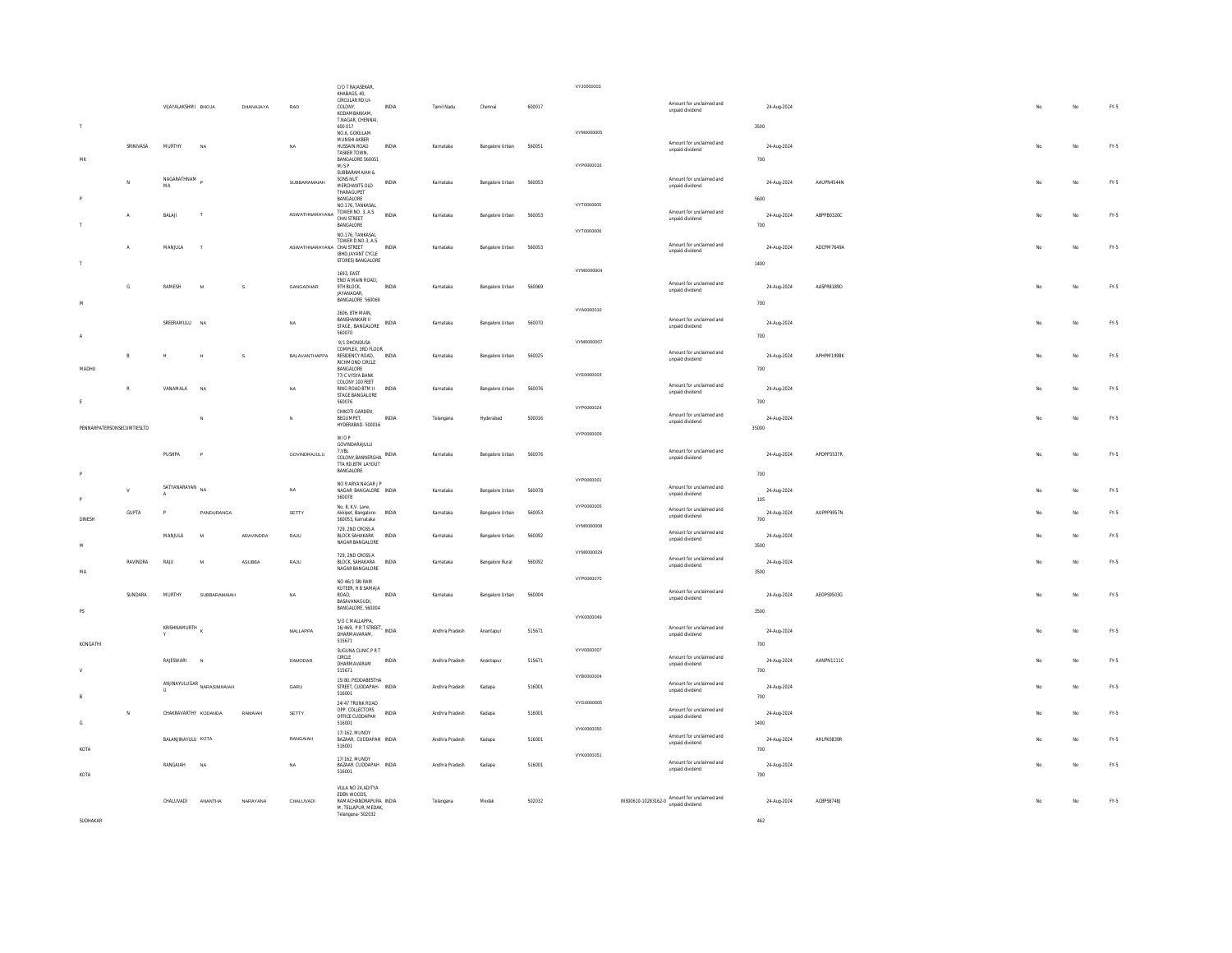|                             |                |                           |                                                                           |              |                                  | C/O T RAJASEKAR,<br>KHABAGS, 40.<br>CIRCULAR RD,UI-                     |              |                |                         |        | VYJ0000003 |                                                                       |                                             |                     |                   |    |             |        |
|-----------------------------|----------------|---------------------------|---------------------------------------------------------------------------|--------------|----------------------------------|-------------------------------------------------------------------------|--------------|----------------|-------------------------|--------|------------|-----------------------------------------------------------------------|---------------------------------------------|---------------------|-------------------|----|-------------|--------|
|                             |                | VIJAYALAKSHMI BHOJA       |                                                                           | DHANAJAYA    | RAO                              | COLONY,<br>KODAMRAKKAM<br>T.NAGAR, CHENNAI,                             | INDIA        | Tamil Nadu     | Chennai                 | 600017 |            |                                                                       | Amount for unclaimed and<br>unpaid dividend | 24-Aug-2024         |                   | No | $_{\rm No}$ | FY.5   |
|                             |                |                           |                                                                           |              |                                  | 600 017<br>NO.6. GOKULAM<br>MUNSHI AKBER                                |              |                |                         |        | VYM0000005 |                                                                       |                                             | 3500                |                   |    |             |        |
| M                           | SRINIVASA      | MURTHY                    | NA                                                                        |              | NA                               | HUSSAIN ROAD<br>TASKER TOWN.<br>BANGALORE 560051                        | INDIA        | Karnataka      | Bangalore Urban         | 560051 |            |                                                                       | Amount for unclaimed and<br>unpaid dividend | 24-Aug-2024<br>700  |                   | No | No          | FY.5   |
|                             |                | NAGARATHNAM               |                                                                           |              |                                  | M/S P<br>SLIBRARAMAIAH &<br>SONS NUT                                    |              |                |                         |        | VYP0000016 |                                                                       | Amount for unclaimed and                    |                     |                   |    |             |        |
|                             | M              | MA                        |                                                                           |              | SURRARAMAIAH                     | MERCHANTS OLD<br>THARAGUPFT<br>BANGALORE                                | <b>INDIA</b> | Karnataka      | <b>Bangalore Lirban</b> | 560053 |            |                                                                       | unpaid dividend                             | 24-Aug-2024         | <b>AAUPN4544N</b> | No | No          | FY-5   |
|                             | $\mathbb A$    | BALAI                     |                                                                           |              | ASWATHNARAYANA TOWER NO. 3, A.S. | NO.176. TANKASAL                                                        | <b>INDIA</b> | Karnataka      | Bangalore Urban         | 560053 | VYT0000005 |                                                                       | Amount for unclaimed and<br>unpaid dividend | 5600<br>24-Aug-2024 | ABPPB0320C        | No | No          | $FN-5$ |
|                             |                |                           |                                                                           |              |                                  | BANGALORE<br>NO.176, TANKASA                                            |              |                |                         |        | VYT0000006 |                                                                       |                                             | 700                 |                   |    |             |        |
|                             |                | MANJULA                   |                                                                           |              | ASWATHNARAYANA CHAI STREET       | TOWER D.NO.3, A.S.<br>(BHD JAYANT CYCLE<br>STORES) BANGALORE            | INDIA        | Karnataka      | Bangalore Urban         | 560053 |            |                                                                       | Amount for unclaimed and<br>unpaid dividend | 24-Aug-2024<br>1400 | ADCPM7649A        | No | No          | FY.5   |
|                             |                |                           |                                                                           |              |                                  | 1693 FAST<br>END' A'MAIN ROAD,                                          |              |                |                         |        | VYM0000004 |                                                                       | Amount for unclaimed and                    |                     |                   |    |             |        |
| M                           | $\mathsf{G}$   | RAMESH                    | $\mathbf{M}$                                                              | $\,$ s       | GANGADHAR                        | 9TH BLOCK,<br><b>IAYANAGAR</b><br>BANGALORE 560069                      | <b>INDIA</b> | Karnataka      | Bangalore Urban         | 560069 |            |                                                                       | unpaid dividend                             | 24-Aug-2024<br>700  | AASPR8189D        | No | No          | FY.5   |
|                             |                | SREERAMULU NA             |                                                                           |              | <b>NA</b>                        | 2606, 8TH MAIN<br>BANSHANKARI II                                        | INDIA        | Karnataka      | Bangalore Urban         | 560070 | VYA0000010 |                                                                       | Amount for unclaimed and                    | 24-Aug-2024         |                   |    | No          | FY-5   |
| $\mathbf{A}$                |                |                           |                                                                           |              |                                  | STAGE. BANGALORE<br>560070<br>9/1 DHONDUSA                              |              |                |                         |        | VYM0000067 |                                                                       | unpaid dividend                             | 700                 |                   |    |             |        |
|                             |                | н                         |                                                                           | $\mathbf{s}$ | RAI AVANTHAPPA                   | COMPLEX, 3RD FLOOR<br>RESIDENCY ROAD. INDIA                             |              | Karnataka      | Bangalore Urban         | 560025 |            |                                                                       | Amount for unclaimed and<br>unpaid dividend | 24-Aug-2024         | APHPM1998K        | No | No          | FY.5   |
| MADHU                       |                |                           |                                                                           |              |                                  | RICHMOND CIRCLE<br>BANGALORE<br>77/C VYSYA RANK                         |              |                |                         |        | VYE0000003 |                                                                       |                                             | 700                 |                   |    |             |        |
|                             |                | VANAMALA                  | NA                                                                        |              | $\sf{NA}$                        | COLONY 100 FEET<br>RING ROAD BTM II<br>STAGE BANGALORE                  | <b>INDIA</b> | Karnataka      | Bangalore Urban         | 560076 |            |                                                                       | Amount for unclaimed and<br>unpaid dividend | 24-Aug-2024         |                   |    | No          | $FN-5$ |
|                             |                |                           |                                                                           |              | $\mathbf{N}$                     | 560076<br>CHIKOTI GARDEN,<br>BEGUMPET,                                  | INDIA        | Telangana      | Hyderabad               | 500016 | VYP0000024 |                                                                       | Amount for unclaimed and<br>unpaid dividend | 700<br>24-Aug-2024  |                   |    | No          | FY.5   |
| PENNARPATERSONSECURITIESLTD |                |                           |                                                                           |              |                                  | HYDERABAD-500016<br>W/O P                                               |              |                |                         |        | VYP0000009 |                                                                       |                                             | 35000               |                   |    |             |        |
|                             |                | PUSHPA                    | $\mathbf{p}$                                                              |              | GOVINDRAJULU                     | GOVINDARAJULU<br>7,VBL<br>COLONY, BANNERGHA INDIA<br>TTA RD, BTM LAYOUT |              | Karnataka      | Bangalore Urban         | 560076 |            |                                                                       | Amount for unclaimed and<br>unpaid dividend | 24-Aug-2024         | APDPP3537R        | No | No          | FY.5   |
|                             |                | SATYANARAYAN              |                                                                           |              |                                  | BANGALORE<br>NO 9 ARYA NAGAR J P                                        |              |                |                         |        | VYP0000001 |                                                                       | Amount for unclaimed and                    | 700                 |                   |    |             |        |
|                             |                |                           | NA.                                                                       |              | <b>NA</b>                        | NAGAR BANGALORE INDIA<br>560078<br>No. 8. K.V. Lane.                    |              | Karnataka      | Bangalore Urban         | 560078 | VYP0000005 |                                                                       | unpaid dividend                             | 24-Aug-2024<br>105  |                   |    | No          | $FY-5$ |
| DINESH                      | GUPTA          |                           | PANDURANGA                                                                |              | SETTY                            | Akkipet, Bangalore- INDIA<br>560053, Karnataka                          |              | Karnataka      | Bangalore Urban         | 560053 | VYM0000008 |                                                                       | Amount for unclaimed and<br>unpaid dividend | 24-Aug-2024<br>700  | AUPPP9957N        |    | No          | FY.5   |
| M                           |                | MANJULA                   | M                                                                         | ARAVINDRA    | RAJU                             | 729, 2ND CROSS A<br>BLOCK SAHAKARA INDIA<br>NAGAR BANGALORE             |              | Karnataka      | Bangalore Urban         | 560092 |            |                                                                       | Amount for unclaimed and<br>unpaid dividend | 24-Aug-2024<br>3500 |                   |    | No          | FY-5   |
|                             | RAVINDRA       | RAJU                      | $\mathbf{M}$                                                              | ASUBBA       | RAJU                             | 729. 2ND CROSS A<br>BLOCK, SAHAKARA<br>NAGAR BANGALORE                  | INDIA        | Karnataka      | Bangalore Rural         | 560092 | VYM0000029 |                                                                       | Amount for unclaimed and<br>unpaid dividend | 24-Aug-2024         |                   | No | No          | FY.5   |
| MA                          |                |                           |                                                                           |              |                                  | NO 46/1 SRI RAM                                                         |              |                |                         |        | VYP0000070 |                                                                       |                                             | 3500                |                   |    |             |        |
| PS                          | <b>SUNDARA</b> | MURTHY                    | SUBBARAMAIAH                                                              |              | <b>NA</b>                        | KUTEER, H B SAMAJA<br>ROAD.<br>BASAVANAGUDI,<br>BANGALORE, 560004       | INDIA        | Karnataka      | Bangalore Urban         | 560004 |            |                                                                       | Amount for unclaimed and<br>unpaid dividend | 24-Aug-2024<br>3500 | AEOPS9503G        | No | No          | FY.5   |
|                             |                | KRISHNAMURTH              |                                                                           |              | MALLAPPA                         | S/O C MALLAPPA,<br>16/469, PR T STREET, INDIA                           |              | Andhra Pradesh | Anantapur               | 515671 | VYK0000049 |                                                                       | Amount for unclaimed and                    | 24-Aug-2024         |                   |    | No          | FY.5   |
| KONGATHI                    |                |                           |                                                                           |              |                                  | DHARMAVARAM,<br>515671                                                  |              |                |                         |        | VYV0000007 |                                                                       | unpaid dividend                             | 700                 |                   |    |             |        |
|                             |                | RAJESWARI                 |                                                                           |              | <b>DAMODAR</b>                   | SUGUNA CLINIC P R T<br>CIRCLE<br>DHARMAVARAM<br>515671                  | INDIA        | Andhra Pradesh | Anantapur               | 515671 |            |                                                                       | Amount for unclaimed and<br>unpaid dividend | 24-Aug-2024<br>700  | AANPN1111C        |    | No          | FY.5   |
|                             |                |                           | $\begin{array}{c} \hbox{ANINAYULUGAR} \\ \hbox{NARASIMHAIAN} \end{array}$ |              | GARU                             | 15/80. PEDDABESTHA<br>STREET. CUDDAPAH- INDIA<br>516001                 |              | Andhra Pradesh | Kadapa                  | 516001 | VYB0000004 |                                                                       | Amount for unclaimed and<br>unpaid dividend | 24-Aug-2024         |                   |    | No          | $FY-5$ |
| B                           |                | CHAKRAVARTHY KODANDA      |                                                                           | RAMAJAH      | SETTY                            | 24/47 TRUNK ROAD<br>OPP. COLLECTORS                                     | INDIA        | Andhra Pradesh | Kadapa                  | 516001 | VYG0000005 |                                                                       | Amount for unclaimed and                    | 700<br>24-Aug-2024  |                   |    | No          | FY.5   |
| $\mathbb{G}$                |                |                           |                                                                           |              |                                  | OFFICE CUDDAPAH<br>516001<br>17/162, MUNDY                              |              |                |                         |        | VYK0000050 |                                                                       | unpaid dividend                             | 1400                |                   |    |             |        |
| KOTA                        |                | <b>BALAN INAYELL KOTA</b> |                                                                           |              | RANGAIAH                         | BAZAAR, CUDDAPAH INDIA<br>516001                                        |              | Andhra Pradesh | Kadana                  | 516001 | VYK0000051 |                                                                       | Amount for unclaimed and<br>unpaid dividend | 24-Aug-2024<br>700  | AHLPK0839R        |    | No          | FY-5   |
| KOTA                        |                | RANGAIAH                  | NA                                                                        |              | NA                               | 17/162 MIINDY<br>BAZAAR CUDDAPAH INDIA<br>516001                        |              | Andhra Pradesh | Kadapa                  | 516001 |            |                                                                       | Amount for unclaimed and<br>unpaid dividend | 24-Aug-2024<br>700  |                   |    | No          | FY.5   |
|                             |                | CHALLIVADL                | <b>ANANTHA</b>                                                            | NARAYANA     | CHALUVADI                        | VILLA NO 24.ADITYA<br>EDEN WOODS,<br>RAMACHANDRAPURA INDIA              |              | Telangana      | Medak                   | 502032 |            | $IN300610-10283162-0 \text{ Amount for unclaimed and unpaid hiddend}$ |                                             | 24-Aug-2024         | ACBPS8748J        | Mo | No          | $FY-5$ |
| SUDHAKAR                    |                |                           |                                                                           |              |                                  | M. TELLAPUR. MEDAK.<br>Telangana-502032                                 |              |                |                         |        |            |                                                                       |                                             | 462                 |                   |    |             |        |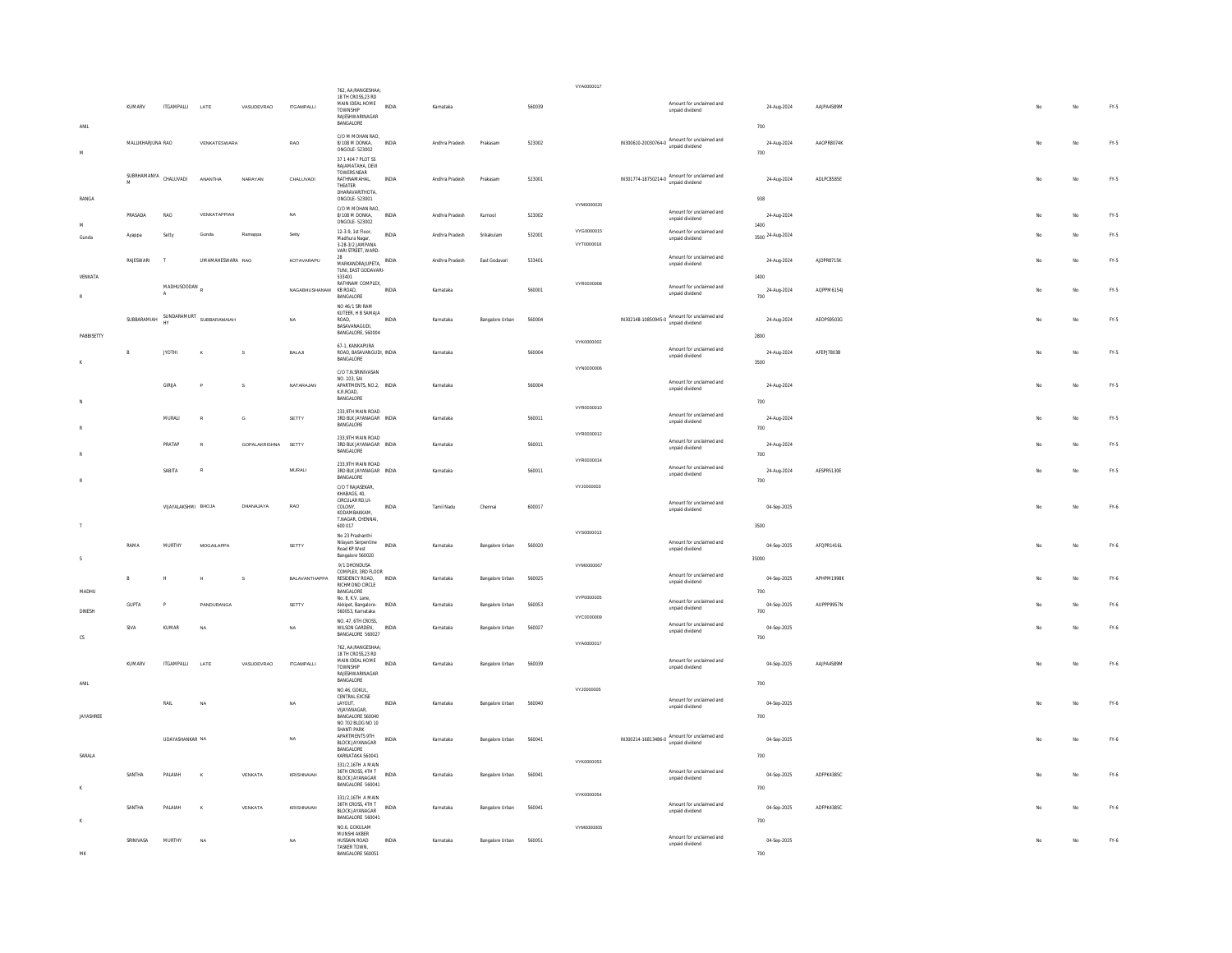|                            |                       |                               |                          |               |                        | 762, AA:RANGESHAA:                                                                    |              |                |                 |        | VYA0000017               |                                                                 |                             |            |     |             |        |
|----------------------------|-----------------------|-------------------------------|--------------------------|---------------|------------------------|---------------------------------------------------------------------------------------|--------------|----------------|-----------------|--------|--------------------------|-----------------------------------------------------------------|-----------------------------|------------|-----|-------------|--------|
|                            | KUMARV                | <b>ITGAMPALLI</b>             | LATE                     | VASUDEVRAO    | <b>ITGAMPALLI</b>      | 18 TH CROSS 23 RD<br>MAIN IDEAL HOME<br>TOWNSHIP<br>RAJESHWARINAGAR<br>BANGALORE      | INDIA        | Karnataka      |                 | 560039 |                          | Amount for unclaimed and<br>unpaid dividend                     | 24-Aug-2024                 | AAJPA4589M |     | No          | FY-5   |
| ANII<br>$\mathsf{M}$       | MALLIKHARJUNA RAO     |                               | VENKATESWARA             |               | RAO                    | C/O M MOHAN RAO,<br>8/108 M DONKA,<br>ONGOLE-523002<br>37 1 404 7 PLOT S5             | INDIA        | Andhra Pradesh | Prakasam        | 523002 |                          | IN300610-20030764-0 Amount for unclaimed and<br>unpaid dividend | 700<br>24-Aug-2024<br>700   | AAOPR8074K |     | No          | $FY.5$ |
|                            | SUBRHAMANYA CHALUVADI |                               | <b>ANANTHA</b>           | NARAYAN       | CHALUVADI              | RAJAMATAHA, DEVI<br>TOWERS NEAR<br>RATHNAMAHAL,<br>THEATER<br>DHARAVARITHOTA,         | INDIA        | Andhra Pradesh | Prakasam        | 523001 |                          | IN301774-18750214-0 Amount for unclaimed and<br>unpaid dividend | 24-Aug-2024                 | ADLPC8585E |     | No          | $FY.5$ |
| RANGA                      |                       |                               |                          |               |                        | ONGOLE- 523001<br>C/O M MOHAN RAO.                                                    |              |                |                 |        | VYM0000020               | Amount for unclaimed and                                        | 938                         |            |     |             |        |
| M                          | PRASADA               | RAO                           | VENKATAPPIAH             |               | NA                     | 8/108 M DONKA,<br>ONGOLE-523002                                                       | INDIA        | Andhra Pradesh | Kurnool         | 523002 |                          | unpaid dividend                                                 | 24-Aug-2024<br>1400         |            |     | No          | $FN-5$ |
| Gunda                      | Ayappa                | Setty                         | Gunda                    | Ramappa       | Setty                  | 12-3-9, 1st Floor.<br>Madhura Nagar,<br>3-28-3/2 JAMPANA<br>VARI STREET, WARD-        | <b>INDIA</b> | Andhra Pradesh | Srikakulam      | 532001 | VYG0000015<br>VYT0000018 | Amount for unclaimed and<br>unpaid dividend                     | 3500 24-Aug-2024            |            |     | No          | $FY.5$ |
| VENKATA                    | RAJESWARI             | $\mathbb{Z}$                  | UMAMAHESWARA RAO         |               | KOTAVARAPU             | 2R<br>MARKANDRAJUPETA, INDIA<br>TUNI FAST GODAVARI-<br>533401                         |              | Andhra Pradesh | East Godavari   | 533401 |                          | Amount for unclaimed and<br>unpaid dividend                     | 24-Aug-2024<br>1400         | AJDPR8715K | Me. | No          | FY-5   |
| $\mathbb{R}$               |                       | MADHUSOODAN<br>$\overline{A}$ |                          |               | NAGABHUSHANAM KB ROAD, | RATHNAM COMPLEX,<br>BANGALORE<br>NO 46/1 SRI RAM                                      | INDIA        | Karnataka      |                 | 560001 | VYR0000008               | Amount for unclaimed and<br>unpaid dividend                     | 24-Aug-2024<br>700          | AQPPM6154J | No  | No          | FY-5   |
|                            | SURRARAMIAH           |                               | SUNDARAMURT SUBBARAMAIAH |               | <b>NA</b>              | KUTEER, H B SAMAJA<br>ROAD.<br>BASAVANAGUDI,<br>BANGALORE, 560004                     | INDIA        | Karnataka      | Bangalore Urban | 560004 |                          | IN302148-10850945-0 Amount for unclaimed and<br>unpaid dividend | 24-Aug-2024                 | AEOPS9503G | No  | $_{\rm No}$ | $FY.5$ |
| PABBISETTY<br>$\mathbf{K}$ | R                     | <b>JYOTHI</b>                 |                          | s             | BALAJI                 | 67-1. KANKAPURA<br>ROAD, BASAVANGUDI, INDIA<br>BANGALORE                              |              | Karnataka      |                 | 560004 | VYK0000002               | Amount for unclaimed and<br>unpaid dividend                     | 2800<br>24-Aug-2024<br>3500 | AFEPJ7803B | No  | No          | FY-5   |
|                            |                       | GIRLIA                        |                          | s             | NATARAJAN              | C/O T.N.SRINIVASAN<br>NO 103 SAI<br>APARTMENTS, NO.2, INDIA<br>K R ROAD               |              | Karnataka      |                 | 560004 | VYN0000006               | Amount for unclaimed and<br>unpaid dividend                     | 24-Aug-2024                 |            |     | No          | FY.5   |
| N.                         |                       |                               |                          |               |                        | BANGALORE                                                                             |              |                |                 |        | VYR0000010               |                                                                 | 700                         |            |     |             |        |
|                            |                       | MURALI                        |                          | G             | SETTY                  | 233.9TH MAIN ROAD<br>3RD BLK JAYANAGAR INDIA<br>BANGALORE                             |              | Karnataka      |                 | 560011 | VYR0000012               | Amount for unclaimed and<br>unpaid dividend                     | 24-Aug-2024<br>700          |            |     | $_{\rm No}$ | $FN-5$ |
|                            |                       | PRATAP                        |                          | GOPALAKRISHNA | SETTY                  | 233.9TH MAIN ROAD<br>3RD BLK JAYANAGAR INDIA<br>BANGALORE                             |              | Karnataka      |                 | 560011 | VYR0000014               | Amount for unclaimed and<br>unpaid dividend                     | 24-Aug-2024<br>700          |            |     | No          | $FN-5$ |
|                            |                       | SABITA                        |                          |               | MURALI                 | 233 9TH MAIN ROAD<br>3RD BLK JAYANAGAR INDIA<br>BANGALORE<br>C/O T RAJASEKAR.         |              | Karnataka      |                 | 560011 | VYJ0000003               | Amount for unclaimed and<br>unpaid dividend                     | 24-Aug-2024<br>700          | AESPR5130E |     | No          | FY.5   |
|                            |                       | VIJAYALAKSHMI BHOJA           |                          | DHANAJAYA     | RAO                    | KHABAGS, 40,<br>CIRCULAR RD,UI-<br>COLONY,<br>KODAMRAKKAM<br>T.NAGAR, CHENNAI,        | INDIA        | Tamil Nadu     | Chennai         | 600017 |                          | Amount for unclaimed and<br>unpaid dividend                     | 04-Sep-2025                 |            | No  | No          | FY-6   |
| $\top$                     |                       |                               |                          |               |                        | 600 017<br>No 23 Prashanthi                                                           |              |                |                 |        | VYS0000013               |                                                                 | 3500                        |            |     |             |        |
| $\mathsf{s}$               | RAMA                  | MURTHY                        | MOGAILAPPA               |               | SETTY                  | Nilayam Serpentine<br>Road KP West<br>Bangalore 560020                                | <b>INDIA</b> | Karnataka      | Bangalore Urban | 560020 | VYM0000067               | Amount for unclaimed and<br>unpaid dividend                     | 04-Sep-2025<br>35000        | AFOPR1416L | No  | No          | FY-6   |
| MADHU                      |                       | $\mathbb H$                   | H                        | s             | BALAVANTHAPPA          | 9/1 DHONDUSA<br>COMPLEX, 3RD FLOOR<br>RESIDENCY ROAD,<br>RICHMOND CIRCLE<br>BANGALORE | INDIA        | Karnataka      | Bangalore Urban | 560025 |                          | Amount for unclaimed and<br>unpaid dividend                     | 04-Sep-2025<br>700          | APHPM1998K |     | No          | $FN-6$ |
| <b>DINESH</b>              | <b>GUPTA</b>          | P                             | PANDURANGA               |               | SETTY                  | No. 8, K.V. Lane,<br>Akkipet, Bangalore-<br>560053, Karnataka                         | <b>INDIA</b> | Karnataka      | Bangalore Urban | 560053 | <b>VYP0000005</b>        | Amount for unclaimed and<br>unpaid dividend                     | 04-Sep-2025<br>700          | AUPPP9957N |     | No          | FY-6   |
|                            | SIVA                  | KUMAR                         | N                        |               | NA                     | NO. 47 6TH CROSS<br>WILSON GARDEN,<br>BANGALORE 560027                                | INDIA        | Karnataka      | Bangalore Urban | 560027 | VYC0000009               | Amount for unclaimed and<br>unpaid dividend                     | 04-Sep-2025                 |            |     | No          | $FN-6$ |
| ${\tt CS}$                 |                       |                               |                          |               |                        | 762 AA-RANGESHAA-<br>18 TH CROSS, 23 RD<br>MAIN IDEAL HOME                            |              |                |                 |        | VYA0000017               | Amount for unclaimed and                                        | 700                         |            |     |             |        |
| ANIL                       | KUMARV                | <b>ITGAMPALLI</b>             | LATE                     | VASUDEVRAO    | <b>ITGAMPALLI</b>      | TOWNSHIP<br>RAJESHWARINAGAR<br>BANGALORE                                              | INDIA        | Karnataka      | Bangalore Urban | 560039 |                          | unpaid dividend                                                 | 04-Sep-2025<br>700          | AAJPA4589M |     | No.         | $FN-6$ |
| JAYASHREE                  |                       | RAIL                          | NA                       |               | NA                     | NO.46, GOKUL<br>CENTRAL EXCISE<br>LAYOUT,<br>VIJAYANAGAR,<br>BANGALORE 560040         | INDIA        | Karnataka      | Bangalore Urban | 560040 | VYJ0000005               | Amount for unclaimed and<br>unpaid dividend                     | 04-Sep-2025<br>700          |            | No  | No          | FY.6   |
|                            |                       | UDAYASHANKAR NA               |                          |               | NA                     | NO 702 BLDG NO 10<br>SHANTI PARK<br>APARTMENTS 9TH<br>BLOCK JAYANAGAR                 | <b>INDIA</b> | Karnataka      | Bangalore Urban | 560041 |                          | IN300214-16813486-0 Amount for unclaimed and<br>unpaid dividend | 04-Sep-2025                 |            | No. | No          | FY-6   |
| SARALA                     |                       |                               |                          |               |                        | BANGALORE<br>KARNATAKA 560041<br>331/2.16TH A MAIN<br>36TH CROSS, 4TH T               |              |                |                 |        | VYK0000053               | Amount for unclaimed and                                        | 700                         |            |     |             |        |
|                            | SANTHA                | PALAIAH                       | ĸ                        | VENKATA       | KRISHNAIAH             | <b>BLOCK JAYANAGAR</b><br>BANGALORE 560041<br>331/2,16TH A MAIN                       | <b>INDIA</b> | Karnataka      | Bangalore Urban | 560041 | VYK0000054               | unpaid dividend                                                 | 04-Sep-2025<br>700          | ADFPK4385C | No. | No          | FY-6   |
|                            | SANTHA                | PALAIAH                       |                          | VENKATA       | KRISHNAIAH             | 36TH CROSS 4TH T<br><b>BLOCK JAYANAGAR</b><br>BANGALORE 560041<br>NO 6 GOKULAM        | INDIA        | Karnataka      | Bangalore Urban | 560041 | VYM0000005               | Amount for unclaimed and<br>unpaid dividend                     | 04-Sep-2025<br>700          | ADFPK4385C |     | No          | FY.6   |
| MK                         | SRINIVASA             | <b>MURTHY</b>                 | NA                       |               | <b>NA</b>              | MUNSHI AKBER<br>HUSSAIN ROAD<br>TASKER TOWN,<br>BANGALORE 560051                      | <b>INDIA</b> | Karnataka      | Bangalore Urban | 560051 |                          | Amount for unclaimed and<br>unpaid dividend                     | 04-Sep-2025<br>700          |            | No. | No          | FY-6   |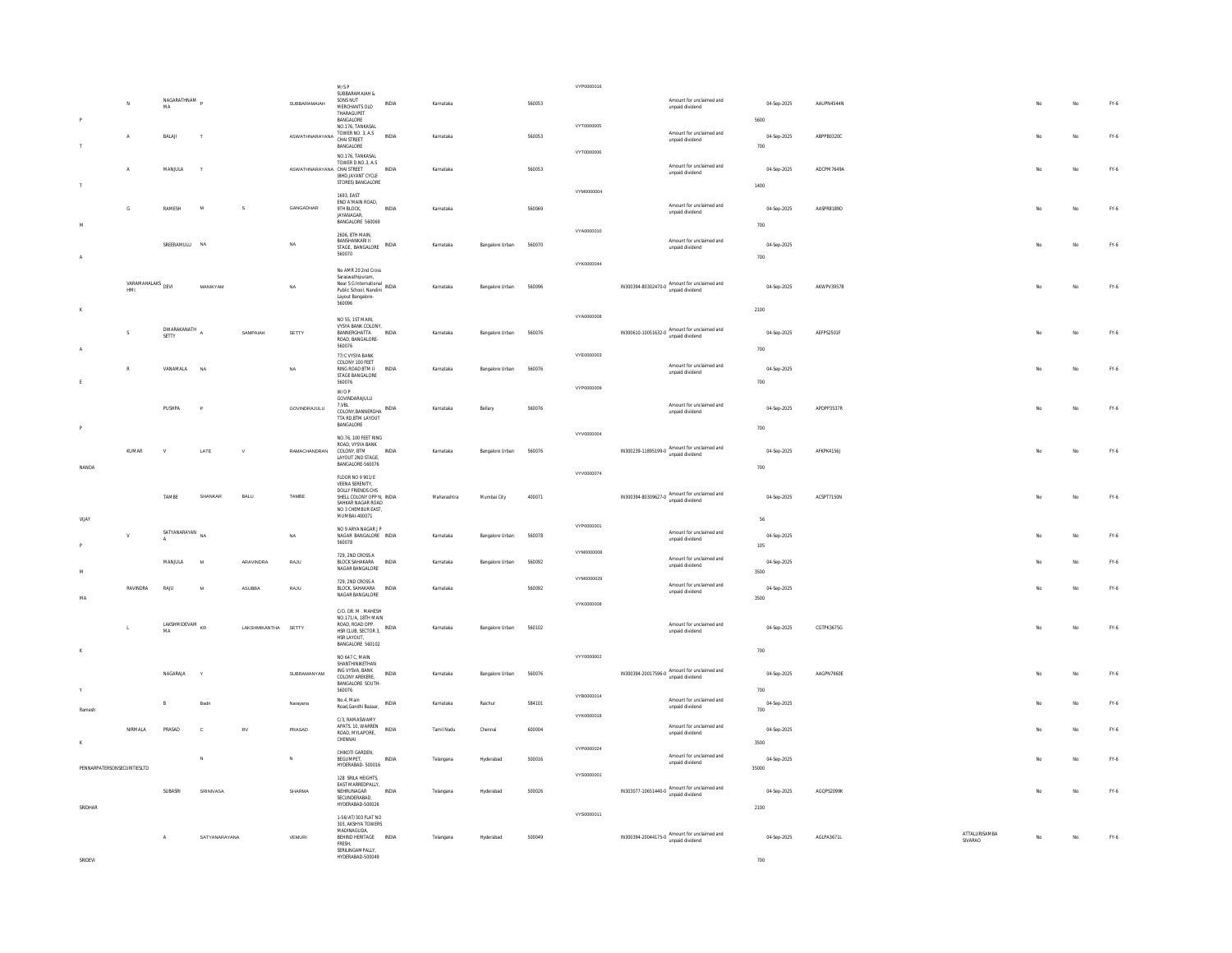|                             |                          |                                  |                 |                     |                                  | $M/SP$<br>SUBBARAMAIAH &                                            |              |             |                 |        | VYP0000016 |                                                                                  |                          |                    |            |               |         |             |                                 |
|-----------------------------|--------------------------|----------------------------------|-----------------|---------------------|----------------------------------|---------------------------------------------------------------------|--------------|-------------|-----------------|--------|------------|----------------------------------------------------------------------------------|--------------------------|--------------------|------------|---------------|---------|-------------|---------------------------------|
|                             |                          | NAGARATHNAM<br>MA                |                 |                     | SUBBARAMAIAH                     | SONS NUT<br>MERCHANTS OLD                                           | <b>INDIA</b> | Karnataka   |                 | 560053 |            |                                                                                  | Amount for unclaimed and | 04-Sep-2025        | AAUPN4544N |               |         | No          | FY-6                            |
|                             |                          |                                  |                 |                     |                                  | THARAGUPET                                                          |              |             |                 |        |            | unpaid dividend                                                                  |                          |                    |            |               |         |             |                                 |
|                             |                          |                                  |                 |                     |                                  | BANGALORE<br>NO.176, TANKASAL                                       |              |             |                 |        | VYT0000005 |                                                                                  |                          | 5600               |            |               |         |             |                                 |
|                             | $\Lambda$                | BALAI                            |                 |                     | ASWATHNARAYANA TOWER NO. 3, A.S. | <b>BANGALORE</b>                                                    | <b>INDIA</b> | Karnataka   |                 | 560053 |            | unpaid dividend                                                                  | Amount for unclaimed and | 04-Sep-2025<br>700 | ARPPR0320C |               |         | No          | $FY-6$                          |
|                             |                          |                                  |                 |                     |                                  | NO.176, TANKASAL                                                    |              |             |                 |        | VYT0000006 |                                                                                  |                          |                    |            |               |         |             |                                 |
|                             | $\mathbf{A}$             | MANJULA                          | $\mathbf{I}$    |                     | ASWATHNARAYANA CHAISTREET        | TOWER D.NO.3, A.S.                                                  | <b>INDIA</b> | Karnataka   |                 | 560053 |            |                                                                                  | Amount for unclaimed and | 04-Sep-2025        | ADCPM7649A |               |         | No          | FY.6                            |
|                             |                          |                                  |                 |                     |                                  | (BHD.JAYANT CYCLE<br>STORES) BANGALORE                              |              |             |                 |        |            | unpaid dividend                                                                  |                          | 1400               |            |               |         |             |                                 |
|                             |                          |                                  |                 |                     |                                  | 1693, EAST                                                          |              |             |                 |        | VYM0000004 |                                                                                  |                          |                    |            |               |         |             |                                 |
|                             | $\mathbb{G}$             | RAMESH                           | $\mathbf{M}$    | s                   | GANGADHAR                        | END A MAIN ROAD,<br>9TH RLOCK                                       | <b>INDIA</b> | Karnataka   |                 | 560069 |            |                                                                                  | Amount for unclaimed and | 04-Sep-2025        | AASPRR189D |               |         | No          | FY.6                            |
| <b>AA</b>                   |                          |                                  |                 |                     |                                  | JAYANAGAR,<br>BANGALORE 560069                                      |              |             |                 |        |            | unpaid dividend                                                                  |                          |                    |            |               |         |             |                                 |
|                             |                          |                                  |                 |                     |                                  | 2606 RTH MAIN                                                       |              |             |                 |        | VYA0000010 |                                                                                  |                          | 700                |            |               |         |             |                                 |
|                             |                          | SREERAMULU NA                    |                 |                     | NA                               | BANSHANKARI II<br>STAGE. BANGALORE                                  | INDIA        | Karnataka   | Bangalore Urban | 560070 |            | unpaid dividend                                                                  | Amount for unclaimed and | 04-Sep-2025        |            |               |         | No          | FY.6                            |
|                             |                          |                                  |                 |                     |                                  | 560070                                                              |              |             |                 |        | VYK0000044 |                                                                                  |                          | 700                |            |               |         |             |                                 |
|                             |                          |                                  |                 |                     |                                  | No AMR 20 2nd Cross                                                 |              |             |                 |        |            |                                                                                  |                          |                    |            |               |         |             |                                 |
|                             | VARAMAHALAKS DEVI<br>HMI |                                  | <b>MANIKYAM</b> |                     | <b>NA</b>                        | Saraswathipuram,<br>Near S G International<br>NDIA                  |              | Karnataka   | Bangalore Urban | 560096 |            | IN300394-80302470-0 Amount for unclaimed and                                     |                          | 04-Sep-2025        | AKWPV3957R |               | No      | No          | FY.6                            |
|                             |                          |                                  |                 |                     |                                  | Public School, Nandini<br>Layout Bangalore-<br>560096               |              |             |                 |        |            | unpaid dividend                                                                  |                          |                    |            |               |         |             |                                 |
| $\mathbf x$                 |                          |                                  |                 |                     |                                  |                                                                     |              |             |                 |        |            |                                                                                  |                          | 2100               |            |               |         |             |                                 |
|                             |                          | DWARAKANATH                      |                 |                     |                                  | NO 55, 1ST MAIN.<br>VYSYA BANK COLONY,                              |              |             |                 |        | VYA0000008 |                                                                                  |                          |                    |            |               |         |             |                                 |
|                             |                          | SETTY                            |                 | SAMPAIAH            | SETTY                            | BANNERGHATTA<br>ROAD, BANGALORE-                                    | <b>INDIA</b> | Karnataka   | Bangalore Urban | 560076 |            | $IN300610-10051632-0 \text{ Amount for unclaimed and} \\ \text{unpaid dividend}$ |                          | 04-Sep-2025        | AEFPS2501F |               |         | No          | FY-6                            |
|                             |                          |                                  |                 |                     |                                  | 560076                                                              |              |             |                 |        | VYE0000003 |                                                                                  |                          | 700                |            |               |         |             |                                 |
|                             |                          |                                  |                 |                     |                                  | 77/C VYSYA BANK<br>COLONY 100 FEET                                  |              |             |                 |        |            |                                                                                  | Amount for unclaimed and |                    |            |               |         |             |                                 |
|                             |                          | VANAMALA                         | NA              |                     | NA                               | <b>RING ROAD BTM II</b><br>STAGE BANGALORE                          | INDIA        | Karnataka   | Bangalore Urban | 560076 |            | unpaid dividend                                                                  |                          | 04-Sep-2025        |            |               |         | No          | FY-6                            |
|                             |                          |                                  |                 |                     |                                  | 560076<br>W/O P                                                     |              |             |                 |        | VYP0000009 |                                                                                  |                          | 700                |            |               |         |             |                                 |
|                             |                          |                                  |                 |                     |                                  | GOVINDARAJULU<br>7, VBL                                             |              |             |                 |        |            |                                                                                  | Amount for unclaimed and |                    |            |               |         |             |                                 |
|                             |                          | PUSHPA                           |                 |                     | GOVINDRAJULU                     | COLONY, BANNERGHA INDIA<br>TTA RD, BTM LAYOUT                       |              | Karnataka   | Bellary         | 560076 |            | unpaid dividend                                                                  |                          | 04-Sep-2025        | APDPP3537R |               |         | No          | FY-6                            |
|                             |                          |                                  |                 |                     |                                  | BANGALORE                                                           |              |             |                 |        |            |                                                                                  |                          | 700                |            |               |         |             |                                 |
|                             |                          |                                  |                 |                     |                                  | NO.76, 100 FFFT RING<br>ROAD, VYSYA BANK                            |              |             |                 |        | VYV0000004 |                                                                                  |                          |                    |            |               |         |             |                                 |
|                             | KUMAR                    | $\mathbf{V}$                     | LATE            | $\mathbf{v}$        | RAMACHANDRAN                     | COLONY RTM<br>LAYOUT 2ND STAGE,                                     | <b>INDIA</b> | Karnataka   | Bangalore Urban | 560076 |            | IN300239-11895199-0 Amount for unclaimed and                                     |                          | 04-Sep-2025        | AFKPK41561 |               |         | No          | FY-6                            |
| NANDA                       |                          |                                  |                 |                     |                                  | BANGALORE-560076                                                    |              |             |                 |        |            |                                                                                  |                          | $700\,$            |            |               |         |             |                                 |
|                             |                          |                                  |                 |                     |                                  | FLOOR NO 9 901/F<br>VEENA SERENITY,                                 |              |             |                 |        | VYV0000074 |                                                                                  |                          |                    |            |               |         |             |                                 |
|                             |                          | TAMBE                            | SHANKAF         | BALU                | TAMBE                            | DOLLY FRIENDS CHS<br>SHELL COLONY OPP N, INDIA                      |              | Maharashtra | Mumbai City     | 400071 |            | IN300394-80309627-0 Amount for unclaimed and<br>unpaid dividend                  |                          | 04-Sep-2025        | ACSPT7150N |               |         | No          | FY.6                            |
|                             |                          |                                  |                 |                     |                                  | SAHKAR NAGAR ROAD<br>NO 3 CHEMBUR EAST,                             |              |             |                 |        |            |                                                                                  |                          |                    |            |               |         |             |                                 |
| VIJA)                       |                          |                                  |                 |                     |                                  | MUMBAI-400071                                                       |              |             |                 |        |            |                                                                                  |                          | 56                 |            |               |         |             |                                 |
|                             |                          | SATYANARAYAN                     |                 |                     | NA                               | NO 9 ARYA NAGAR I P<br>NAGAR BANGALORE INDIA                        |              | Karnataka   | Bangalore Urban | 560078 | VYP0000001 |                                                                                  | Amount for unclaimed and | 04-Sep-2025        |            |               |         | No          | FY.6                            |
|                             |                          | $\mathbf{A}$                     |                 |                     |                                  | 560078                                                              |              |             |                 |        |            | unpaid dividend                                                                  |                          | $105\,$            |            |               |         |             |                                 |
|                             |                          | MANJULA                          | $\mathbf{M}$    | ARAVINDRA           | RAJU                             | 729, 2ND CROSS A<br>BLOCK SAHAKARA INDIA                            |              | Karnataka   | Bangalore Urban | 560092 | VYM0000008 |                                                                                  | Amount for unclaimed and | 04-Sep-2025        |            |               |         | No          | FY.6                            |
|                             |                          |                                  |                 |                     |                                  | NAGAR BANGALORE                                                     |              |             |                 |        |            | unpaid dividend                                                                  |                          | 3500               |            |               |         |             |                                 |
|                             | RAVINDRA                 | RAJU                             | M               | ASUBBA              | RAJU                             | 729, 2ND CROSS A<br>BLOCK, SAHAKARA INDIA                           |              | Karnataka   |                 | 560092 | VYM0000029 |                                                                                  | Amount for unclaimed and | 04-Sep-2025        |            |               |         | No          | FY-6                            |
| MA                          |                          |                                  |                 |                     |                                  | NAGAR BANGALORE                                                     |              |             |                 |        |            | unpaid dividend                                                                  |                          | 3500               |            |               |         |             |                                 |
|                             |                          |                                  |                 |                     |                                  | C/O. DR. M. MAHESH                                                  |              |             |                 |        | VYK0000008 |                                                                                  |                          |                    |            |               |         |             |                                 |
|                             |                          | LAKSHMIDEVAM <sub>KR</sub><br>MA |                 | LAKSHMIKANTHA SETTY |                                  | NO.171/A. 18TH MAIN<br>ROAD, ROAD OPP.<br>HSR CLUB, SECTOR 3, INDIA |              | Karnataka   | Bangalore Urban | 560102 |            |                                                                                  | Amount for unclaimed and | 04-Sep-2025        | CGTPK3675G |               |         | No          | FY.6                            |
|                             |                          |                                  |                 |                     |                                  | HSR LAYOUT,                                                         |              |             |                 |        |            | unpaid dividend                                                                  |                          |                    |            |               |         |             |                                 |
| $\mathbf{K}$                |                          |                                  |                 |                     |                                  | BANGALORE 560102                                                    |              |             |                 |        | VYY0000002 |                                                                                  |                          | 700                |            |               |         |             |                                 |
|                             |                          |                                  |                 |                     |                                  | NO 647 C, MAIN<br>SHANTHINIKETHAN                                   |              |             |                 |        |            |                                                                                  |                          |                    |            |               |         |             |                                 |
|                             |                          | NAGARAJA                         |                 |                     | SUBRAMANYAM                      | ING VYSVA, BANK<br>COLONY AREKERE.                                  | INDIA        | Karnataka   | Bangalore Urban | 560076 |            | IN300394-20017596-0 Amount for unclaimed and<br>unpaid dividend                  |                          | 04-Sep-2025        | AAGPN7960E |               |         | No          | $FN-6$                          |
|                             |                          |                                  |                 |                     |                                  | <b>BANGALORE SOUTH-</b><br>560076                                   |              |             |                 |        | VYB0000014 |                                                                                  |                          | 700                |            |               |         |             |                                 |
|                             |                          | B                                | <b>Badr</b>     |                     | Narayana                         | No.4, Main<br>Road, Gandhi Bazaar,                                  | <b>INDIA</b> | Karnataka   | Raichur         | 584101 |            | unpaid dividend                                                                  | Amount for unclaimed and | 04-Sep-2025        |            |               |         | No          | FY.6                            |
| Ramesh                      |                          |                                  |                 |                     |                                  | C/3 RAMASWAMY                                                       |              |             |                 |        | VYK0000018 |                                                                                  |                          | 700                |            |               |         |             |                                 |
|                             | NIRMALA                  | PRASAD                           | $\mathfrak{c}$  | <b>RV</b>           | PRASAD                           | APATS. 10, WARREN<br>ROAD, MYLAPORE,                                | <b>INDIA</b> | Tamil Nadu  | Chennai         | 600004 |            | unpaid dividend                                                                  | Amount for unclaimed and | 04-Sep-2025        |            |               |         | No          | FY-6                            |
|                             |                          |                                  |                 |                     |                                  | CHENNAL                                                             |              |             |                 |        |            |                                                                                  |                          | 3500               |            |               |         |             |                                 |
|                             |                          |                                  |                 |                     | $\mathbf{N}$                     | CHIKOTI GARDEN,<br>BEGUMPET,                                        | INDIA        | Telangana   | Hyderabad       | 500016 | VYP0000024 |                                                                                  | Amount for unclaimed and | 04-Sep-2025        |            |               |         | $_{\rm No}$ | $FN-6$                          |
| PENNARPATERSONSECURITIESLTD |                          |                                  |                 |                     |                                  | HYDERABAD-500016                                                    |              |             |                 |        |            | unpaid dividend                                                                  |                          | 35000              |            |               |         |             |                                 |
|                             |                          |                                  |                 |                     |                                  | 128 SRILA HEIGHTS.<br>EAST MARREDPALLY,                             |              |             |                 |        | VYS0000001 |                                                                                  |                          |                    |            |               |         |             |                                 |
|                             |                          | SUBASRI                          | SRINIVASA       |                     | SHARMA                           | NEHRUNAGAR<br>SECUNDERABAD,                                         | <b>INDIA</b> | Telangana   | Hyderabad       | 500026 |            | IN303077-10651440-0 Amount for unclaimed and<br>unpaid dividend                  |                          | 04-Sep-2025        | AGOPS2099K |               |         | No          | FY.6                            |
| SRIDHAR                     |                          |                                  |                 |                     |                                  | HYDERABAD-500026                                                    |              |             |                 |        |            |                                                                                  |                          | 2100               |            |               |         |             |                                 |
|                             |                          |                                  |                 |                     |                                  | 1-56/AT/303 FLAT NO<br>303, AKSHYA TOWERS                           |              |             |                 |        | VYS0000011 |                                                                                  |                          |                    |            |               |         |             |                                 |
|                             |                          | $\mathsf A$                      | SATYANARAYANA   |                     | VEMURI                           | MADINAGUDA.<br>BEHIND HERITAGE INDIA                                |              | Telangana   | Hyderabad       | 500049 |            | IN300394-20044175-0 Amount for unclaimed and                                     |                          | 04-Sep-2025        | AGLPA3671L | ATTALURISAMBA | .<br>No | No.         | $\mathsf{FY}\text{-}\mathsf{6}$ |
|                             |                          |                                  |                 |                     |                                  | <b>FRESH</b><br>SERILINGAMPALLY,                                    |              |             |                 |        |            |                                                                                  |                          |                    |            | SIVARAO       |         |             |                                 |
| SRIDEVI                     |                          |                                  |                 |                     |                                  | HYDERABAD-500049                                                    |              |             |                 |        |            |                                                                                  |                          | 700                |            |               |         |             |                                 |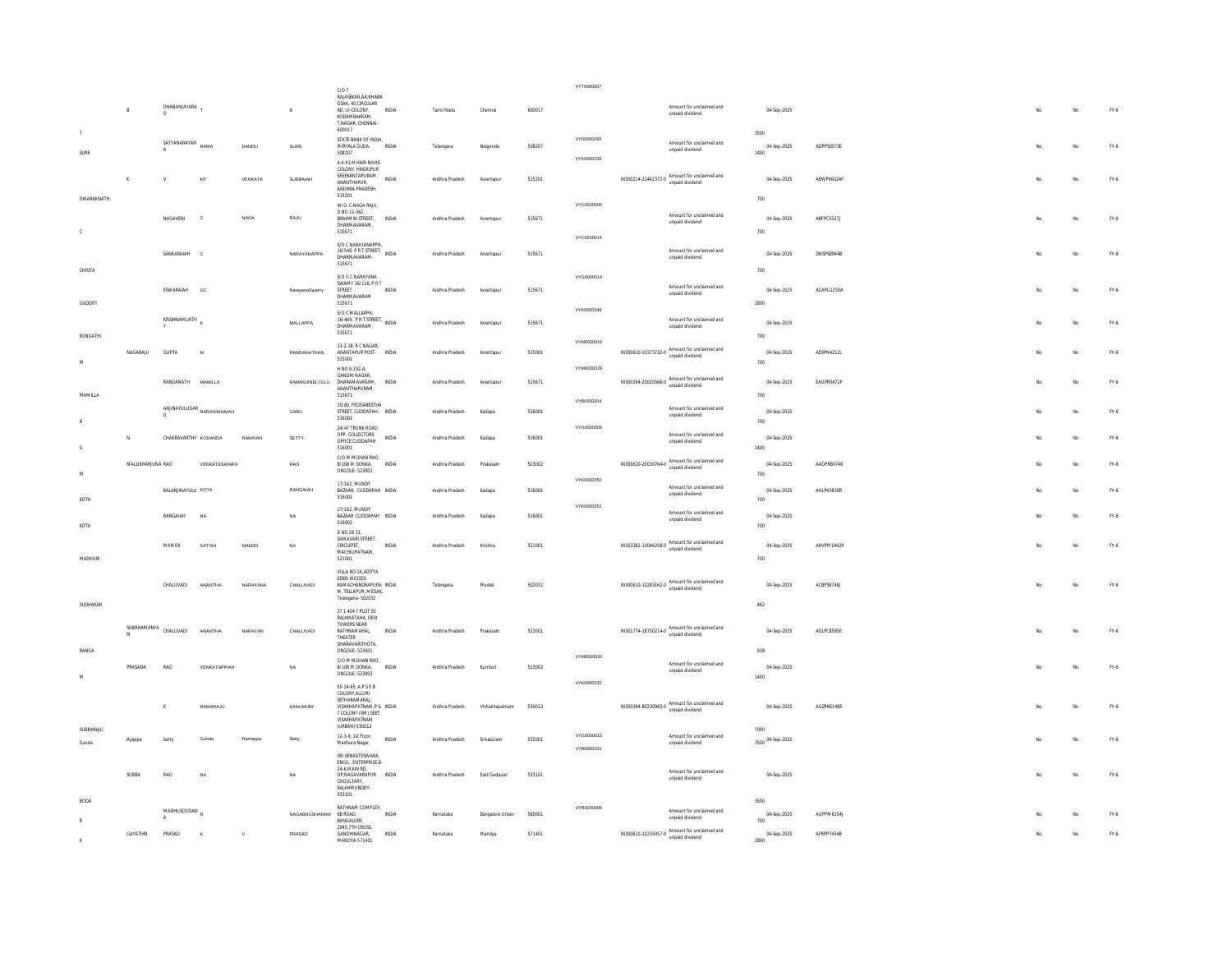|                   |                   |                           |                                                              |             |                              | C/O T                                                                                                                                          |              |                |                 |        | VYT0000007               |                                                                       |                                             |                             |                   |  |     |             |        |
|-------------------|-------------------|---------------------------|--------------------------------------------------------------|-------------|------------------------------|------------------------------------------------------------------------------------------------------------------------------------------------|--------------|----------------|-----------------|--------|--------------------------|-----------------------------------------------------------------------|---------------------------------------------|-----------------------------|-------------------|--|-----|-------------|--------|
|                   | $\mathsf B$       | DHANANJAYARA T<br>$\circ$ |                                                              |             | $\,$ B                       | RAJASEKAR, AA: KHABA<br>GSAA, 40.CIRCULAR<br>RD, UI-COLONY,<br>KODAMBAKKAM.<br>T.NAGAR, CHENNAI-<br>600017                                     | INDIA        | Tamil Nadu     | Chenna          | 600017 |                          |                                                                       | Amount for unclaimed and<br>unpaid dividend | 04-Sep-2025                 |                   |  | No  | No          | FY-6   |
| SURE              |                   | SATYANARAYAN              | RAMA                                                         | DANDU       | SURE                         | STATE BANK OF INDIA,<br>MIRYALA GUDA,<br>508207                                                                                                | INDIA        | Telangana      | Nalgonda        | 508207 | VYS0000065               |                                                                       | Amount for unclaimed and<br>unpaid dividend | 3500<br>04-Sep-2025<br>1400 | ADPPS0573E        |  |     | No.         | FY.6   |
|                   |                   |                           | KF                                                           | VENKATA     | SUBBAIAH                     | 4-4-91/H HARI NIVAS<br>COLONY, HINDUPUR<br>SREEKANTAPURAM,<br>ANANTHAPUR.<br>ANDHRA PRADESH-<br>515201                                         | <b>INDIA</b> | Andhra Pradesh | Anantapur       | 515201 | VYK0000035               | IN300214-22461372-0 Amount for unclaimed and<br>unpaid dividend       |                                             | 04-Sep-2025                 | ABWPK6024F        |  |     | No.         | FY.6   |
| <b>DWARAKNATH</b> |                   |                           |                                                              |             |                              | W/O. C.NAGA RAJU,                                                                                                                              |              |                |                 |        | VYC0000006               |                                                                       |                                             | 700                         |                   |  |     |             |        |
| $\mathsf{C}$      |                   | <b>NAGAVENI</b>           | $\mathfrak{c}$                                               | <b>NAGA</b> | RA.ILL                       | D.NO.11-562,<br><b>RRAHMIN STREET</b><br>DHARMAVARAM.<br>515671                                                                                | INDIA        | Andhra Pradesh | Anantapu        | 515671 |                          |                                                                       | Amount for unclaimed and<br>unpaid dividend | 04-Sep-2025<br>700          | ABFPC5527J        |  | No. | No          | $FN-6$ |
|                   |                   | SANKARAIAH                | $\mathbf c$                                                  |             | NARAYANAPPA                  | S/O C NARAYANAPPA,<br>16/546, PR T STREET, INDIA<br>DHARMAVARAM-                                                                               |              | Andhra Pradesh | Anantapur       | 515671 | VYC0000014               |                                                                       | Amount for unclaimed and<br>unpaid dividend | 04-Sep-2025                 | <b>DNSPS8944B</b> |  | No  | No          | FY.6   |
| CHINTA            |                   |                           |                                                              |             |                              | 515671<br>S/O G C NARAYANA<br>SWAMY 16/116, P.R.T.                                                                                             |              |                |                 |        | VYG0000014               |                                                                       | Amount for unclaimed and                    | 700                         |                   |  |     |             |        |
| <b>GUDDITI</b>    |                   | ESWARAIAH                 | GC                                                           |             | NarayanaSwamy                | STREET<br>DHARMAVARAM<br>515671<br>S/O C MALLAPPA,                                                                                             | <b>INDIA</b> | Andhra Pradesh | Anantapur       | 515671 | VYK0000049               |                                                                       | unpaid dividend                             | 04-Sep-2025<br>2800         | ACAPG1250A        |  |     | No          | FY.6   |
| KONGATHI          |                   | KRISHNAMURTH              |                                                              |             | MALLAPPA                     | 16/469, PR T STREET, INDIA<br>DHARMAVARAM.<br>515671                                                                                           |              | Andhra Pradesh | Anantapur       | 515671 |                          |                                                                       | Amount for unclaimed and<br>unpaid dividend | 04-Sep-2025<br>700          |                   |  |     | No          | FY.6   |
| M                 | NAGARAJU          | <b>GUPTA</b>              | $\overline{M}$                                               |             | RANGANATHAN                  | 13-2-18, R C NAGAR,<br>ANANTAPUR POST-<br>515001                                                                                               | INDIA        | Andhra Pradesh | Anantapur       | 515001 | VYM0000016               | IN300610-10373732-0 Amount for unclaimed and<br>unpaid dividend       |                                             | 04-Sep-2025<br>700          | AEXPN4212L        |  |     | No          | FY.6   |
|                   |                   | RANGANATH MAMILLA         |                                                              |             | RAMANJINELYULU DHARAMAVARAM, | H NO 9-332-A.<br>GANDHI NAGAR,<br>ANANTHAPURAM                                                                                                 | <b>INDIA</b> | Andhra Pradesh | Anantapur       | 515671 | VYM0000026               | IN300394-20020566-0 Amount for unclaimed and<br>unpaid dividend       |                                             | 04-Sep-2025                 | EAUPR0472P        |  |     | No          | FY-6   |
| MAMILLA           |                   |                           | ${\small \textbf{ANINAYULUGAR} \atop \textbf{NARASIMHAIAH}}$ |             | GARU                         | 515671<br>15/80. PEDDABESTHA<br>STREET, CUDDAPAH- INDIA<br>516001                                                                              |              | Andhra Pradesh | Kadapa          | 516001 | VYB0000004               |                                                                       | Amount for unclaimed and<br>unpaid dividend | 700<br>04-Sep-2025<br>700   |                   |  |     | No          | FY.6   |
|                   | N                 | CHAKRAVARTHY KODANDA      |                                                              | RAMAJAH     | SETTY                        | 24/47 TRUNK ROAD<br>OPP. COLLECTORS<br>OFFICE CUDDAPAH<br>516001                                                                               | <b>INDIA</b> | Andhra Pradesh | Kadana          | 516001 | VYG0000005               |                                                                       | Amount for unclaimed and<br>unpaid dividend | 04-Sep-2025<br>1400         |                   |  |     | No          | FY-6   |
| M                 | MALLIKHARJUNA RAO |                           | VENKATESWARA                                                 |             | RAO                          | C/O M MOHAN RAO,<br>8/108 M DONKA,<br>ONGOLE-523002                                                                                            | INDIA        | Andhra Pradesh | Prakasan        | 523002 |                          | IN300610-20030764-0 Amount for unclaimed and                          |                                             | 04-Sep-2025<br>700          | AAOPR8074K        |  |     | No          | $FN-6$ |
| KOTA              |                   | BALANJINAYULU KOTA        |                                                              |             | RANGAIAH                     | 17/162 MUNDY<br>BAZAAR, CUDDAPAH INDIA<br>516001                                                                                               |              | Andhra Pradesh | Kadapa          | 516001 | VYK0000050               |                                                                       | Amount for unclaimed and<br>unpaid dividend | 04-Sep-2025<br>700          | AHLPK0839R        |  |     | No          | FY-6   |
| KOTA              |                   | RANGAIAH                  | <b>NA</b>                                                    |             | NA                           | 17/162, MUNDY<br>BAZAAR CUDDAPAH INDIA<br>516001                                                                                               |              | Andhra Pradesh | Kadapa          | 516001 | VYK0000051               |                                                                       | Amount for unclaimed and<br>unpaid dividend | 04-Sep-2025<br>700          |                   |  | No. | No          | FY-6   |
| <b>MADHURI</b>    |                   | MAMIDI                    | SATISH                                                       | MAMIDI      | NA                           | D NO 28 33,<br>SAMAVARI STREET,<br>CIRCLEPET,<br>MACHILIPATNAM.<br>521001                                                                      | INDIA        | Andhra Pradesh | Krishna         | 521001 |                          | IN303382-10046258-0 Amount for unclaimed and                          | unpaid dividend                             | 04-Sep-2025<br>700          | ARVPM1942R        |  | No. | No          | FY-6   |
|                   |                   | CHALUVADI                 | ANANTHA                                                      | NARAYANA    | CHALUVADI                    | VIII A NO 24 ADITYA<br>EDEN WOODS,<br>RAMACHANDRAPURA INDIA<br>M. TELLAPUR. MEDAK.<br>Telangana- 502032                                        |              | Telangana      | Medak           | 502032 |                          | IN300610-10283162-0 Amount for unclaimed and                          | unpaid dividend                             | 04-Sep-2025                 | ACBPS8748J        |  |     | No          | FY-6   |
| SUDHAKAR          | SLIBRHAMANYA      | CHALUVADI                 | <b>ANANTH</b>                                                | NARAYAN     |                              | 37 1 404 7 PLOT S5<br>RAJAMATAHA, DEVI<br>TOWERS NEAR                                                                                          | <b>INDIA</b> |                | Prakasar        | 523001 |                          | IN301774-18750214-0 Amount for unclaimed and                          |                                             | 462                         | ADLPC8585E        |  |     | No          | FY.6   |
| RANGA             | M                 |                           |                                                              |             | CHALUVADI                    | RATHNAMAHAL,<br>THEATER<br>DHARAVARITHOTA<br>ONGOLE - 523001                                                                                   |              | Andhra Pradesh |                 |        | VYM0000020               |                                                                       |                                             | 04-Sep-2025<br>938          |                   |  |     |             |        |
| M                 | PRASADA           | RAO                       | VENKATAPPIAH                                                 |             | NA                           | C/O M MOHAN RAO,<br>8/108 M DONKA,<br>ONGOLE - 523002                                                                                          | INDIA        | Andhra Pradesh | Kurnool         | 523002 | VYK0000032               |                                                                       | Amount for unclaimed and<br>unpaid dividend | 04-Sep-2025<br>1400         |                   |  |     | No          | FY.6   |
| SUBBARAJU         |                   |                           | RAMARAJU                                                     |             | KANUMURI                     | 55-14-65, APSEB<br>COLONY ALLURE<br>SETHARAMARAJ,<br>VISAKHAPATNAM,P & INDIA<br>T COLONY (VM), SEET,<br><b>VISAKHAPATNAM</b><br>(URBAN)-530013 |              | Andhra Pradesh | Vishakhapatnam  | 530013 |                          | $IN300394 - 80230902 - 0$ Amount for unclaimed and<br>unpaid dividend |                                             | 04-Sep-2025<br>7000         | AGZPK6148E        |  |     | No          | $FN-6$ |
| Gunda             | Ayappa            | Setty                     | Gunda                                                        | Ramappa     | Setty                        | 12-3-9. 1st Floor.<br>Madhura Nagar,                                                                                                           | INDIA        | Andhra Pradesh | Srikakulam      | 532001 | VYG0000015<br>VYB0000031 |                                                                       | Amount for unclaimed and<br>unpaid dividend | 3500 04-Sep-2025            |                   |  |     | No          | FY.6   |
| <b>BODA</b>       | SUBBA             | RAO                       |                                                              |             | N                            | SRI VENKATESWARA<br>ENGG., ENTERPRISE, 8-<br>24-6.MAIN RD.<br>OP.NAGAVARAPUR<br>CHOULTARY.<br>RAJAHMUNDRY-<br>533101                           | INDIA        | Andhra Pradesh | East Godavar    | 533101 |                          |                                                                       | Amount for unclaimed and<br>unpaid dividend | 04-Sep-2025<br>3500         |                   |  |     | No          | FY.6   |
|                   |                   | MADHUSOODAN               |                                                              |             | NAGABHUSHANAM KB ROAD.       | RATHNAM COMPLEX,                                                                                                                               | <b>INDIA</b> | Karnataka      | Bangalore Urban | 560001 | VYR0000008               |                                                                       | Amount for unclaimed and                    | 04-Sep-2025                 | AQPPM6154J        |  |     | No          | FY-6   |
|                   |                   |                           |                                                              |             |                              | BANGALORE<br>2945.7TH CROSS.                                                                                                                   |              |                |                 |        |                          |                                                                       | unpaid dividend                             | 700                         |                   |  |     |             |        |
|                   | GAYATHRI          | PRASAD                    | K                                                            | V           | PRASAD                       | GANDHINAGAR,<br>MANDYA-571401                                                                                                                  | <b>INDIA</b> | Karnataka      | Mandya          | 571401 |                          | IN300610-10234357-0 Amount for unclaimed and<br>unpaid dividend       |                                             | 04-Sep-2025<br>2800         | AFRPP7454B        |  |     | $_{\rm No}$ | FY.6   |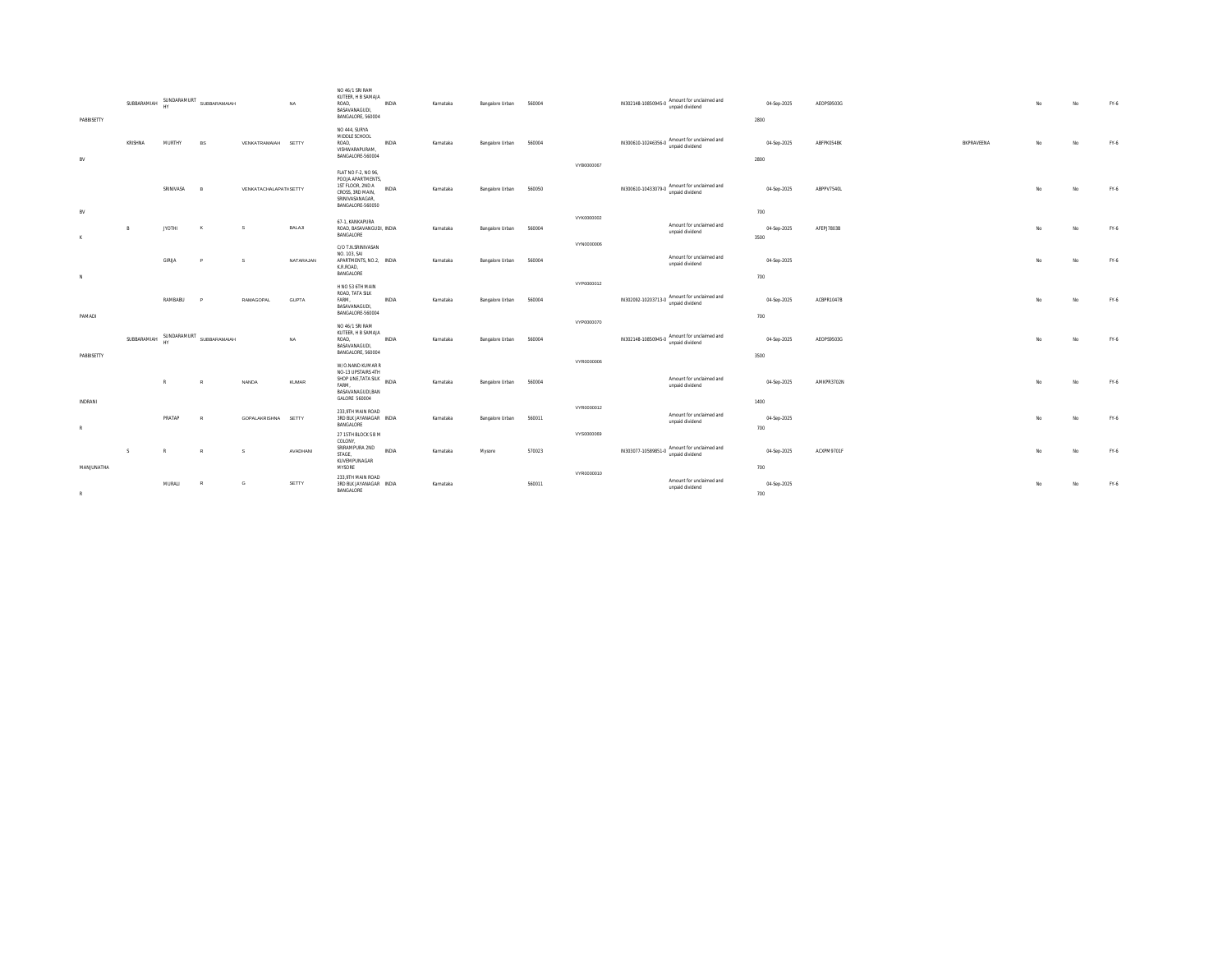| PABBISETTY           | SUBBARAMIAH | SUNDARAMURT   | SUBBARAMAIAH   |                        | <b>NA</b>    | NO 46/1 SRI RAM<br>KUTEER. H B SAMAJA<br>ROAD.<br>BASAVANAGUDI,<br>BANGALORE, 560004                                    | <b>INDIA</b> | Karnataka | Bangalore Urban | 560004 |            | IN302148-10850945-0 Amount for unclaimed and | unpaid dividend                             | 04-Sep-2025<br>2800        | AEOPS9503G |            | No  | No        | $FY-6$ |
|----------------------|-------------|---------------|----------------|------------------------|--------------|-------------------------------------------------------------------------------------------------------------------------|--------------|-----------|-----------------|--------|------------|----------------------------------------------|---------------------------------------------|----------------------------|------------|------------|-----|-----------|--------|
| BV                   | KRISHNA     | MURTHY        | <b>RS</b>      | VENKATRAMAIAH SETTY    |              | NO 444, SURYA<br>MIDDLE SCHOOL<br>ROAD,<br>VISHWARAPURAM,<br>BANGALORE-560004                                           | INDIA        | Karnataka | Bangalore Urban | 560004 |            | IN300610-10246356-0 Amount for unclaimed and | unpaid dividend                             | 04-Sep-2025<br>2800        | ABFPK0548K | BKPRAVEENA | No. | No        | FY-6   |
|                      |             | SRINIVASA     | $\overline{R}$ | VENKATACHALAPATI-SETTY |              | FLAT NO F-2, NO 96.<br>POOJA APARTMENTS.<br>1ST FLOOR, 2ND A<br>CROSS, 3RD MAIN,<br>SRINIVASANAGAR,<br>BANGALORE-560050 | <b>INDIA</b> | Karnataka | Bangalore Urban | 560050 | VYB0000067 | IN300610-10433079-0 Amount for unclaimed and | unpaid dividend                             | 04-Sep-2025                | ABPPV7540L |            | No. | No        | FY-6   |
| BV<br>K              | R           | <b>JYOTHI</b> | <b>K</b>       | s                      | BALAJI       | 67-1. KANKAPURA<br>ROAD, BASAVANGUDI, INDIA<br>BANGALORE                                                                |              | Karnataka | Bangalore Urban | 560004 | VYK0000002 |                                              | Amount for unclaimed and<br>unpaid dividend | 700<br>04-Sep-2025<br>3500 | AFEPJ7803B |            | No. | <b>No</b> | FY-6   |
|                      |             | GIRLIA        | $\overline{D}$ | s                      | NATARAJAN    | C/O T.N.SRINIVASAN<br>NO. 103. SAI<br>APARTMENTS, NO.2. INDIA<br>K.R.ROAD,<br><b>BANGALORE</b>                          |              | Karnataka | Bangalore Urban | 560004 | VYN0000006 |                                              | Amount for unclaimed and<br>unpaid dividend | 04-Sep-2025                |            |            | No. | No        | FY-6   |
| N                    |             | RAMBABU       |                | RAMAGOPAL              | GUPTA        | H NO 53 6TH MAIN<br>ROAD, TATA SILK<br>FARM.<br>BASAVANAGUDI,                                                           | INDIA        | Karnataka | Bangalore Urban | 560004 | VYP0000012 | IN302092-10203713-0 Amount for unclaimed and | unpaid dividend                             | 700<br>04-Sep-2025         | ACBPR1047B |            | No. | <b>No</b> | FY-6   |
| PAMADI<br>PABBISETTY | SUBBARAMIAH | SUNDARAMURT   | SUBBARAMAIAH   |                        | NA           | BANGALORE-560004<br>NO 46/1 SRI RAM<br>KUTEER, H B SAMAJA<br>ROAD,<br>BASAVANAGUDI,<br>BANGALORE, 560004                | INDIA        | Karnataka | Bangalore Urban | 560004 | VYP0000070 | IN302148-10850945-0 Amount for unclaimed and | unpaid dividend                             | 700<br>04-Sep-2025<br>3500 | AEOPS9503G |            |     |           | FY-6   |
|                      |             | $\mathbb{R}$  | $\mathbb{R}$   | NANDA                  | <b>KUMAR</b> | W/O.NAND KUMAR R<br>NO-13 UPSTAIRS 4TH<br>SHOP LINE, TATA SILK INDIA<br>FARM.<br>BASAVANAGUDI, BAN<br>GALORE 560004     |              | Karnataka | Bangalore Urban | 560004 | VYR0000006 |                                              | Amount for unclaimed and<br>unpaid dividend | 04-Sep-2025                | AMKPR3702N |            |     | No        | FY-6   |
| INDRANI<br>R         |             | PRATAP        | -R.            | GOPALAKRISHNA SETTY    |              | 233.9TH MAIN ROAD<br>3RD BLK JAYANAGAR INDIA<br>BANGALORE                                                               |              | Karnataka | Bangalore Urban | 560011 | VYR0000012 |                                              | Amount for unclaimed and<br>unpaid dividend | 1400<br>04-Sep-2025<br>700 |            |            | No. | <b>No</b> | FY-6   |
| MANJUNATHA           | S           | $\mathbb{R}$  | R              | s                      | AVADHANI     | 27 15TH BLOCK S B M<br>COLONY,<br>SRIRAMPURA 2ND INDIA<br>STAGE.<br>KUVEMPUNAGAR<br>MYSORE                              |              | Karnataka | Mysore          | 570023 | VYS0000069 | IN303077-10589851-0 Amount for unclaimed and | unpaid dividend                             | 04-Sep-2025<br>700         | ACXPM9701F |            | No. | <b>No</b> | FY-6   |
| R                    |             | MURALI        |                | G                      | SETTY        | 233.9TH MAIN ROAD<br>3RD BLK JAYANAGAR INDIA<br>BANGALORE                                                               |              | Karnataka |                 | 560011 | VYR0000010 |                                              | Amount for unclaimed and<br>unpaid dividend | 04-Sep-2025<br>700         |            |            |     | No        | FY-6   |